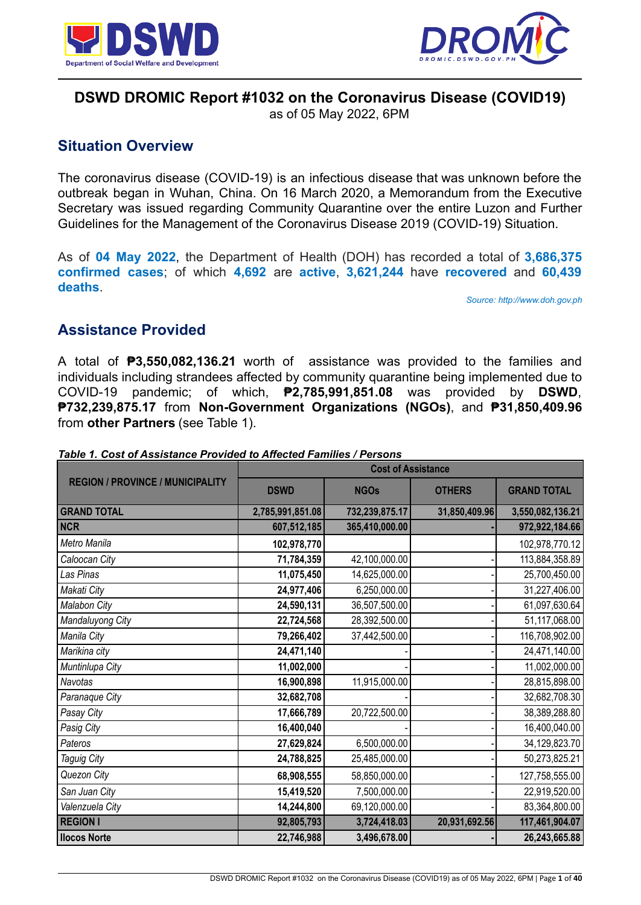



# **DSWD DROMIC Report #1032 on the Coronavirus Disease (COVID19)**

as of 05 May 2022, 6PM

# **Situation Overview**

The coronavirus disease (COVID-19) is an infectious disease that was unknown before the outbreak began in Wuhan, China. On 16 March 2020, a Memorandum from the Executive Secretary was issued regarding Community Quarantine over the entire Luzon and Further Guidelines for the Management of the Coronavirus Disease 2019 (COVID-19) Situation.

As of **04 May 2022**, the Department of Health (DOH) has recorded a total of **3,686,375 confirmed cases**; of which **4,692** are **active**, **3,621,244** have **recovered** and **60,439 deaths**.

*Source: http://www.doh.gov.ph*

# **Assistance Provided**

A total of **₱3,550,082,136.21** worth of assistance was provided to the families and individuals including strandees affected by community quarantine being implemented due to COVID-19 pandemic; of which, **₱2,785,991,851.08** was provided by **DSWD**, **₱732,239,875.17** from **Non-Government Organizations (NGOs)**, and **₱31,850,409.96** from **other Partners** (see Table 1).

|                                         | <b>Cost of Assistance</b> |                |               |                    |
|-----------------------------------------|---------------------------|----------------|---------------|--------------------|
| <b>REGION / PROVINCE / MUNICIPALITY</b> | <b>DSWD</b>               | <b>NGOs</b>    | <b>OTHERS</b> | <b>GRAND TOTAL</b> |
| <b>GRAND TOTAL</b>                      | 2,785,991,851.08          | 732,239,875.17 | 31,850,409.96 | 3,550,082,136.21   |
| <b>NCR</b>                              | 607,512,185               | 365,410,000.00 |               | 972,922,184.66     |
| Metro Manila                            | 102,978,770               |                |               | 102,978,770.12     |
| Caloocan City                           | 71,784,359                | 42,100,000.00  |               | 113,884,358.89     |
| Las Pinas                               | 11,075,450                | 14,625,000.00  |               | 25,700,450.00      |
| Makati City                             | 24,977,406                | 6,250,000.00   |               | 31,227,406.00      |
| Malabon City                            | 24,590,131                | 36,507,500.00  |               | 61,097,630.64      |
| Mandaluyong City                        | 22,724,568                | 28,392,500.00  |               | 51,117,068.00      |
| Manila City                             | 79,266,402                | 37,442,500.00  |               | 116,708,902.00     |
| Marikina city                           | 24,471,140                |                |               | 24,471,140.00      |
| Muntinlupa City                         | 11,002,000                |                |               | 11,002,000.00      |
| Navotas                                 | 16,900,898                | 11,915,000.00  |               | 28,815,898.00      |
| Paranaque City                          | 32,682,708                |                |               | 32,682,708.30      |
| Pasay City                              | 17,666,789                | 20,722,500.00  |               | 38,389,288.80      |
| Pasig City                              | 16,400,040                |                |               | 16,400,040.00      |
| Pateros                                 | 27,629,824                | 6,500,000.00   |               | 34,129,823.70      |
| <b>Taguig City</b>                      | 24,788,825                | 25,485,000.00  |               | 50,273,825.21      |
| Quezon City                             | 68,908,555                | 58,850,000.00  |               | 127,758,555.00     |
| San Juan City                           | 15,419,520                | 7,500,000.00   |               | 22,919,520.00      |
| Valenzuela City                         | 14,244,800                | 69,120,000.00  |               | 83,364,800.00      |
| <b>REGION I</b>                         | 92,805,793                | 3,724,418.03   | 20,931,692.56 | 117,461,904.07     |
| <b>Ilocos Norte</b>                     | 22,746,988                | 3,496,678.00   |               | 26,243,665.88      |

*Table 1. Cost of Assistance Provided to Affected Families / Persons*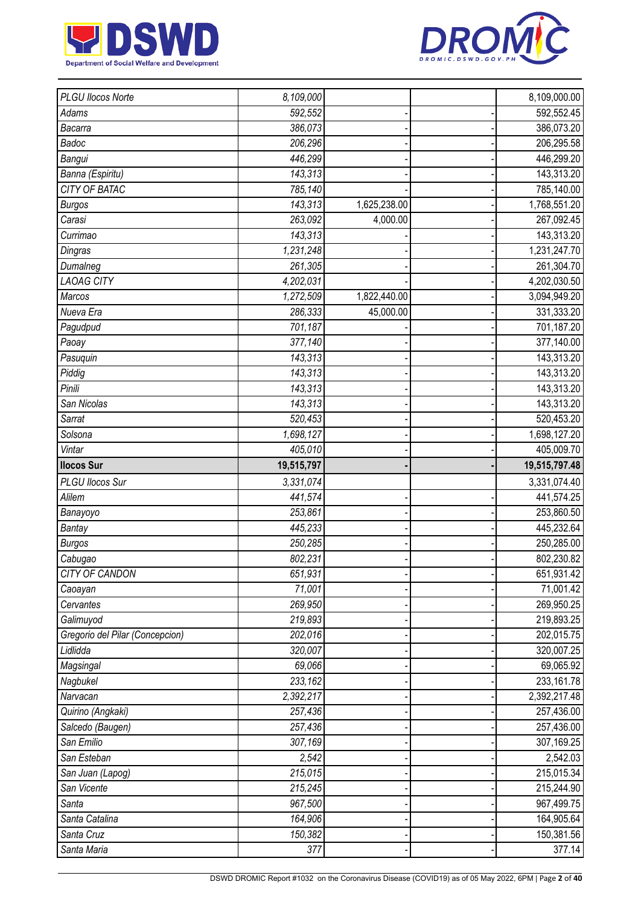



| PLGU Ilocos Norte               | 8,109,000              |              | 8,109,000.00         |
|---------------------------------|------------------------|--------------|----------------------|
| Adams                           | 592,552                |              | 592,552.45           |
| Bacarra                         | 386,073                |              | 386,073.20           |
| Badoc                           | 206,296                |              | 206,295.58           |
| Bangui                          | 446,299                |              | 446,299.20           |
| Banna (Espiritu)                | 143,313                |              | 143,313.20           |
| <b>CITY OF BATAC</b>            | 785,140                |              | 785,140.00           |
| <b>Burgos</b>                   | 143,313                | 1,625,238.00 | 1,768,551.20         |
| Carasi                          | 263,092                | 4,000.00     | 267,092.45           |
| Currimao                        | 143,313                |              | 143,313.20           |
| Dingras                         | $\overline{1,231,248}$ |              | 1,231,247.70         |
| Dumalneg                        | 261,305                |              | 261,304.70           |
| <b>LAOAG CITY</b>               | 4,202,031              |              | 4,202,030.50         |
| Marcos                          | 1,272,509              | 1,822,440.00 | 3,094,949.20         |
| Nueva Era                       | 286,333                | 45,000.00    | 331,333.20           |
| Pagudpud                        | 701,187                |              | 701,187.20           |
| Paoay                           | 377,140                |              | 377,140.00           |
| Pasuquin                        | 143,313                |              | 143,313.20           |
| Piddig                          | 143,313                |              | 143,313.20           |
| Pinili                          | 143,313                |              | 143,313.20           |
| San Nicolas                     | 143,313                |              | 143,313.20           |
| Sarrat                          | 520,453                |              | 520,453.20           |
| Solsona                         | 1,698,127              |              | 1,698,127.20         |
| Vintar                          | 405,010                |              | 405,009.70           |
| <b>Ilocos Sur</b>               | 19,515,797             |              | 19,515,797.48        |
|                                 |                        |              |                      |
| PLGU Ilocos Sur                 | 3,331,074              |              | 3,331,074.40         |
| Alilem                          | 441,574                |              | 441,574.25           |
| Banayoyo                        | 253,861                |              | 253,860.50           |
| <b>Bantay</b>                   | 445,233                |              | 445,232.64           |
| <b>Burgos</b>                   | 250,285                |              | 250,285.00           |
| Cabugao                         | 802,231                |              | 802,230.82           |
| <b>CITY OF CANDON</b>           | 651,931                |              | 651,931.42           |
| Caoayan                         | 71,001                 |              | 71,001.42            |
| Cervantes                       | 269,950                |              | 269,950.25           |
| Galimuyod                       | 219,893                |              | 219,893.25           |
| Gregorio del Pilar (Concepcion) | 202,016                |              | 202,015.75           |
| Lidlidda                        | 320,007                |              | 320,007.25           |
| Magsingal                       | 69,066                 |              | 69,065.92            |
| Nagbukel                        | 233,162                |              | 233,161.78           |
| Narvacan                        | 2,392,217              |              | 2,392,217.48         |
| Quirino (Angkaki)               | 257,436                |              | 257,436.00           |
| Salcedo (Baugen)                | 257,436                |              | 257,436.00           |
| San Emilio                      | 307,169                |              | 307,169.25           |
| San Esteban                     | 2,542                  |              | 2,542.03             |
| San Juan (Lapog)                | 215,015                |              | 215,015.34           |
| San Vicente                     | 215,245                |              | 215,244.90           |
| Santa                           | 967,500                |              | 967,499.75           |
| Santa Catalina                  | 164,906                |              | 164,905.64           |
| Santa Cruz<br>Santa Maria       | 150,382<br>377         |              | 150,381.56<br>377.14 |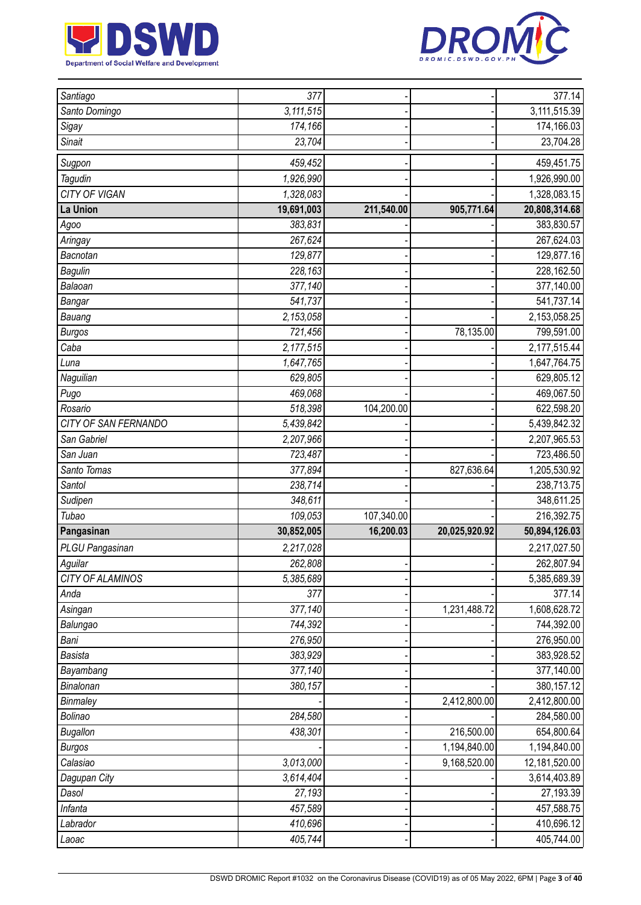



| Santiago             | 377                       |            |               | 377.14        |
|----------------------|---------------------------|------------|---------------|---------------|
| Santo Domingo        | $\overline{3}$ , 111, 515 |            |               | 3,111,515.39  |
| Sigay                | 174,166                   |            |               | 174,166.03    |
| <b>Sinait</b>        | 23,704                    |            |               | 23,704.28     |
| Sugpon               | 459,452                   |            |               | 459,451.75    |
| Tagudin              | 1,926,990                 |            |               | 1,926,990.00  |
| CITY OF VIGAN        | 1,328,083                 |            |               | 1,328,083.15  |
| La Union             | 19,691,003                | 211,540.00 | 905,771.64    | 20,808,314.68 |
| Agoo                 | 383,831                   |            |               | 383,830.57    |
| Aringay              | 267,624                   |            |               | 267,624.03    |
| Bacnotan             | 129,877                   |            |               | 129,877.16    |
| <b>Bagulin</b>       | 228,163                   |            |               | 228,162.50    |
| Balaoan              | 377,140                   |            |               | 377,140.00    |
| Bangar               | 541,737                   |            |               | 541,737.14    |
| Bauang               | 2,153,058                 |            |               | 2,153,058.25  |
| <b>Burgos</b>        | 721,456                   |            | 78,135.00     | 799,591.00    |
| Caba                 | 2,177,515                 |            |               | 2,177,515.44  |
| Luna                 | 1,647,765                 |            |               | 1,647,764.75  |
| Naguilian            | 629,805                   |            |               | 629,805.12    |
| Pugo                 | 469,068                   |            |               | 469,067.50    |
| Rosario              | 518,398                   | 104,200.00 |               | 622,598.20    |
| CITY OF SAN FERNANDO | 5,439,842                 |            |               | 5,439,842.32  |
| San Gabriel          | 2,207,966                 |            |               | 2,207,965.53  |
| San Juan             | 723,487                   |            |               | 723,486.50    |
| Santo Tomas          | 377,894                   |            | 827,636.64    | 1,205,530.92  |
| Santol               | 238,714                   |            |               | 238,713.75    |
| Sudipen              | 348,611                   |            |               | 348,611.25    |
| Tubao                | 109,053                   | 107,340.00 |               | 216,392.75    |
| Pangasinan           | 30,852,005                | 16,200.03  | 20,025,920.92 | 50,894,126.03 |
| PLGU Pangasinan      | 2,217,028                 |            |               | 2,217,027.50  |
| Aguilar              | 262,808                   |            |               | 262,807.94    |
| CITY OF ALAMINOS     | 5,385,689                 |            |               | 5,385,689.39  |
| Anda                 | 377                       |            |               | 377.14        |
| Asingan              | 377,140                   |            | 1,231,488.72  | 1,608,628.72  |
| Balungao             | 744,392                   |            |               | 744,392.00    |
| Bani                 | 276,950                   |            |               | 276,950.00    |
| <b>Basista</b>       | 383,929                   |            |               | 383,928.52    |
| Bayambang            | 377,140                   |            |               | 377,140.00    |
| Binalonan            | 380,157                   |            |               | 380,157.12    |
| Binmaley             |                           |            | 2,412,800.00  | 2,412,800.00  |
| Bolinao              | 284,580                   |            |               | 284,580.00    |
| <b>Bugallon</b>      | 438,301                   |            | 216,500.00    | 654,800.64    |
| <b>Burgos</b>        |                           |            | 1,194,840.00  | 1,194,840.00  |
| Calasiao             | 3,013,000                 |            | 9,168,520.00  | 12,181,520.00 |
| Dagupan City         | 3,614,404                 |            |               | 3,614,403.89  |
| Dasol                | 27,193                    |            |               | 27,193.39     |
| Infanta              | 457,589                   |            |               | 457,588.75    |
| Labrador             | 410,696                   |            |               | 410,696.12    |
| Laoac                | 405,744                   |            |               | 405,744.00    |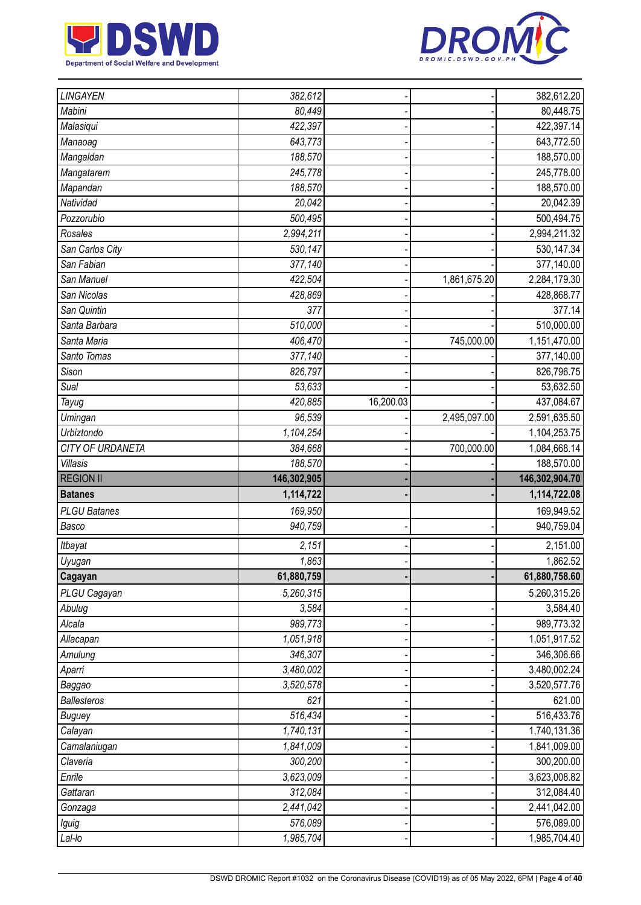



| LINGAYEN            | 382,612              |           |              | 382,612.20                 |
|---------------------|----------------------|-----------|--------------|----------------------------|
| Mabini              | 80,449               |           |              | 80,448.75                  |
| Malasiqui           | 422,397              |           |              | 422,397.14                 |
| Manaoag             | 643,773              |           |              | 643,772.50                 |
| Mangaldan           | 188,570              |           |              | 188,570.00                 |
| Mangatarem          | 245,778              |           |              | 245,778.00                 |
| Mapandan            | 188,570              |           |              | 188,570.00                 |
| Natividad           | 20,042               |           |              | 20,042.39                  |
| Pozzorubio          | 500,495              |           |              | 500,494.75                 |
| Rosales             | 2,994,211            |           |              | 2,994,211.32               |
| San Carlos City     | 530,147              |           |              | 530, 147.34                |
| San Fabian          | 377,140              |           |              | 377,140.00                 |
| San Manuel          | 422,504              |           | 1,861,675.20 | 2,284,179.30               |
| San Nicolas         | 428,869              |           |              | 428,868.77                 |
| San Quintin         | 377                  |           |              | 377.14                     |
| Santa Barbara       | 510,000              |           |              | 510,000.00                 |
| Santa Maria         | 406,470              |           | 745,000.00   | 1,151,470.00               |
| Santo Tomas         | 377,140              |           |              | 377,140.00                 |
| Sison               | 826,797              |           |              | 826,796.75                 |
| Sual                | 53,633               |           |              | 53,632.50                  |
| Tayug               | 420,885              | 16,200.03 |              | 437,084.67                 |
| Umingan             | 96,539               |           | 2,495,097.00 | 2,591,635.50               |
| Urbiztondo          | 1,104,254            |           |              | 1,104,253.75               |
| CITY OF URDANETA    | 384,668              |           | 700,000.00   | 1,084,668.14               |
| Villasis            | 188,570              |           |              | 188,570.00                 |
|                     |                      |           |              |                            |
| <b>REGION II</b>    | 146,302,905          |           |              | 146,302,904.70             |
| <b>Batanes</b>      | 1,114,722            |           |              | 1,114,722.08               |
| <b>PLGU Batanes</b> | 169,950              |           |              | 169,949.52                 |
| Basco               | 940,759              |           |              | 940,759.04                 |
| Itbayat             | 2,151                |           |              | 2,151.00                   |
| Uyugan              | 1,863                |           |              | 1,862.52                   |
| Cagayan             | 61,880,759           |           |              | 61,880,758.60              |
| PLGU Cagayan        | 5,260,315            |           |              | 5,260,315.26               |
| Abulug              | 3,584                |           |              | 3,584.40                   |
| Alcala              | 989,773              |           |              | 989,773.32                 |
| Allacapan           | 1,051,918            |           |              | 1,051,917.52               |
| Amulung             | 346,307              |           |              | 346,306.66                 |
| Aparri              | 3,480,002            |           |              | 3,480,002.24               |
| Baggao              | 3,520,578            |           |              | 3,520,577.76               |
| <b>Ballesteros</b>  | 621                  |           |              | 621.00                     |
| <b>Buguey</b>       | 516,434              |           |              | 516,433.76                 |
| Calayan             | 1,740,131            |           |              | 1,740,131.36               |
| Camalaniugan        | 1,841,009            |           |              | 1,841,009.00               |
| Claveria            | 300,200              |           |              | 300,200.00                 |
| Enrile              | 3,623,009            |           |              | 3,623,008.82               |
| Gattaran            | 312,084              |           |              | 312,084.40                 |
| Gonzaga             | 2,441,042            |           |              | 2,441,042.00               |
| Iguig<br>Lal-lo     | 576,089<br>1,985,704 |           |              | 576,089.00<br>1,985,704.40 |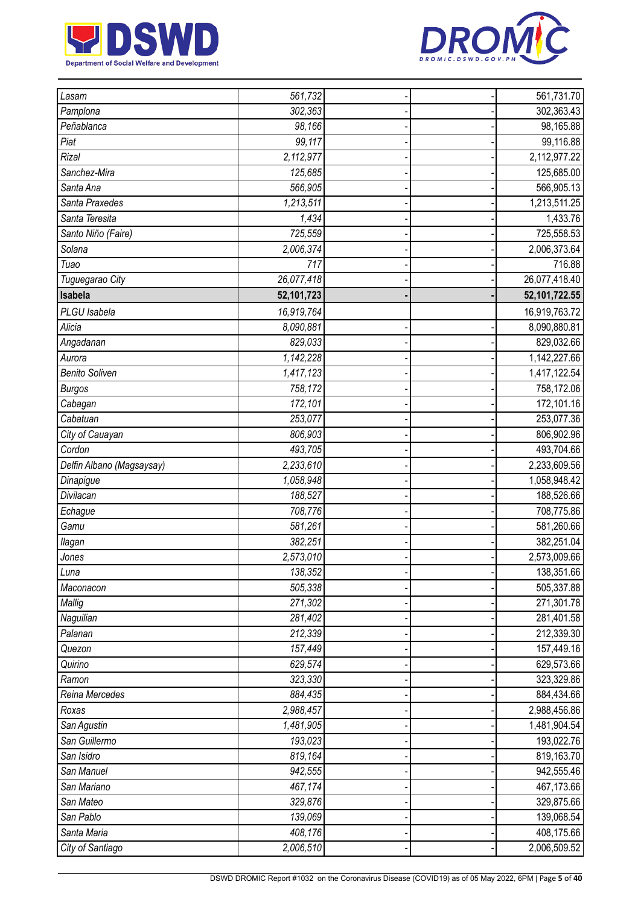



| Lasam                     | 561,732    |  | 561,731.70    |
|---------------------------|------------|--|---------------|
| Pamplona                  | 302,363    |  | 302,363.43    |
| Peñablanca                | 98,166     |  | 98,165.88     |
| Piat                      | 99,117     |  | 99,116.88     |
| <b>Rizal</b>              | 2,112,977  |  | 2,112,977.22  |
| Sanchez-Mira              | 125,685    |  | 125,685.00    |
| Santa Ana                 | 566,905    |  | 566,905.13    |
| Santa Praxedes            | 1,213,511  |  | 1,213,511.25  |
| Santa Teresita            | 1,434      |  | 1,433.76      |
| Santo Niño (Faire)        | 725,559    |  | 725,558.53    |
| Solana                    | 2,006,374  |  | 2,006,373.64  |
| Tuao                      | 717        |  | 716.88        |
| Tuguegarao City           | 26,077,418 |  | 26,077,418.40 |
| Isabela                   | 52,101,723 |  | 52,101,722.55 |
| PLGU Isabela              | 16,919,764 |  | 16,919,763.72 |
| Alicia                    | 8,090,881  |  | 8,090,880.81  |
| Angadanan                 | 829,033    |  | 829,032.66    |
| Aurora                    | 1,142,228  |  | 1,142,227.66  |
| <b>Benito Soliven</b>     | 1,417,123  |  | 1,417,122.54  |
| <b>Burgos</b>             | 758,172    |  | 758,172.06    |
| Cabagan                   | 172,101    |  | 172,101.16    |
| Cabatuan                  | 253,077    |  | 253,077.36    |
| City of Cauayan           | 806,903    |  | 806,902.96    |
| Cordon                    | 493,705    |  | 493,704.66    |
| Delfin Albano (Magsaysay) | 2,233,610  |  | 2,233,609.56  |
| Dinapigue                 | 1,058,948  |  | 1,058,948.42  |
| Divilacan                 | 188,527    |  | 188,526.66    |
| Echague                   | 708,776    |  | 708,775.86    |
| Gamu                      | 581,261    |  | 581,260.66    |
| llagan                    | 382,251    |  | 382,251.04    |
| Jones                     | 2,573,010  |  | 2,573,009.66  |
| Luna                      | 138,352    |  | 138,351.66    |
| Maconacon                 | 505,338    |  | 505,337.88    |
| Mallig                    | 271,302    |  | 271,301.78    |
| Naguilian                 | 281,402    |  | 281,401.58    |
| Palanan                   | 212,339    |  | 212,339.30    |
| Quezon                    | 157,449    |  | 157,449.16    |
| Quirino                   | 629,574    |  | 629,573.66    |
| Ramon                     | 323,330    |  | 323,329.86    |
| Reina Mercedes            | 884,435    |  | 884,434.66    |
| Roxas                     | 2,988,457  |  | 2,988,456.86  |
| San Agustin               | 1,481,905  |  | 1,481,904.54  |
| San Guillermo             | 193,023    |  | 193,022.76    |
| San Isidro                | 819,164    |  | 819,163.70    |
| San Manuel                | 942,555    |  | 942,555.46    |
| San Mariano               | 467,174    |  | 467,173.66    |
| San Mateo                 | 329,876    |  | 329,875.66    |
| San Pablo                 | 139,069    |  | 139,068.54    |
| Santa Maria               | 408,176    |  | 408,175.66    |
| City of Santiago          | 2,006,510  |  | 2,006,509.52  |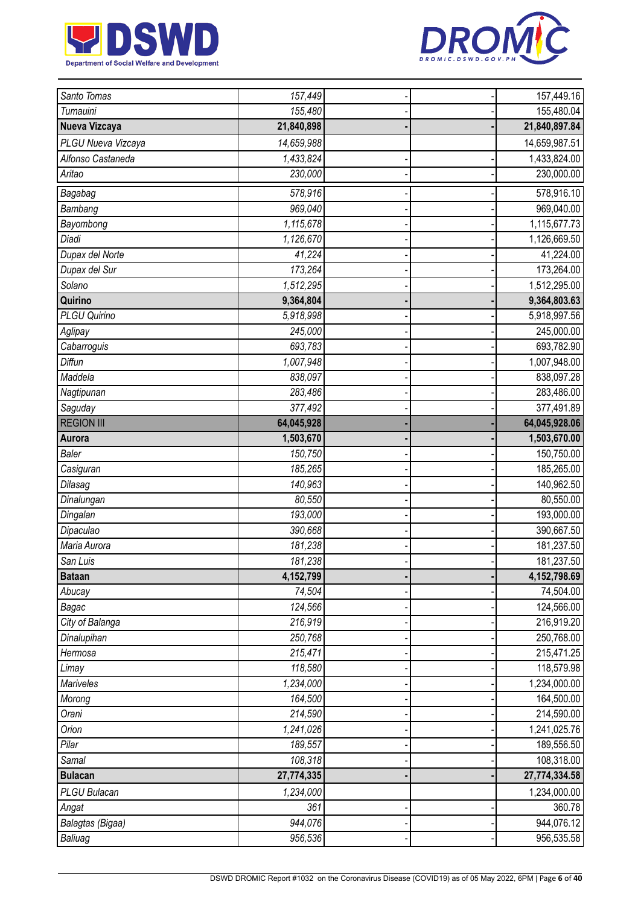



| Santo Tomas         | $\overline{157,}449$ |  | 157,449.16     |
|---------------------|----------------------|--|----------------|
| Tumauini            | 155,480              |  | 155,480.04     |
| Nueva Vizcaya       | 21,840,898           |  | 21,840,897.84  |
| PLGU Nueva Vizcaya  | 14,659,988           |  | 14,659,987.51  |
| Alfonso Castaneda   | 1,433,824            |  | 1,433,824.00   |
| Aritao              | 230,000              |  | 230,000.00     |
| Bagabag             | 578,916              |  | 578,916.10     |
| Bambang             | 969,040              |  | 969,040.00     |
| Bayombong           | 1,115,678            |  | 1,115,677.73   |
| Diadi               | 1,126,670            |  | 1,126,669.50   |
| Dupax del Norte     | 41,224               |  | 41,224.00      |
| Dupax del Sur       | 173,264              |  | 173,264.00     |
| Solano              | 1,512,295            |  | 1,512,295.00   |
| Quirino             | 9,364,804            |  | 9,364,803.63   |
| <b>PLGU Quirino</b> | 5,918,998            |  | 5,918,997.56   |
| Aglipay             | 245,000              |  | 245,000.00     |
| Cabarroguis         | 693,783              |  | 693,782.90     |
| Diffun              | 1,007,948            |  | 1,007,948.00   |
| Maddela             | 838,097              |  | 838,097.28     |
| Nagtipunan          | 283,486              |  | 283,486.00     |
| Saguday             | 377,492              |  | 377,491.89     |
| <b>REGION III</b>   | 64,045,928           |  | 64,045,928.06  |
| Aurora              | 1,503,670            |  | 1,503,670.00   |
| <b>Baler</b>        | 150,750              |  | 150,750.00     |
| Casiguran           | 185,265              |  | 185,265.00     |
| Dilasag             | 140,963              |  | 140,962.50     |
| Dinalungan          | 80,550               |  | 80,550.00      |
| Dingalan            | 193,000              |  | 193,000.00     |
| Dipaculao           | 390,668              |  | 390,667.50     |
| Maria Aurora        | 181,238              |  | 181,237.50     |
| San Luis            | 181,238              |  | 181,237.50     |
| <b>Bataan</b>       | 4,152,799            |  | 4, 152, 798.69 |
| Abucay              | 74,504               |  | 74,504.00      |
| Bagac               | 124,566              |  | 124,566.00     |
| City of Balanga     | 216,919              |  | 216,919.20     |
| Dinalupihan         | 250,768              |  | 250,768.00     |
| Hermosa             | 215,471              |  | 215,471.25     |
| Limay               | 118,580              |  | 118,579.98     |
| Mariveles           | 1,234,000            |  | 1,234,000.00   |
| Morong              | 164,500              |  | 164,500.00     |
| Orani               | 214,590              |  | 214,590.00     |
| Orion               | 1,241,026            |  | 1,241,025.76   |
| Pilar               | 189,557              |  | 189,556.50     |
| Samal               | $\overline{108,}318$ |  | 108,318.00     |
| <b>Bulacan</b>      | 27,774,335           |  | 27,774,334.58  |
| PLGU Bulacan        | 1,234,000            |  | 1,234,000.00   |
| Angat               | 361                  |  | 360.78         |
| Balagtas (Bigaa)    | 944,076              |  | 944,076.12     |
| Baliuag             | 956,536              |  | 956,535.58     |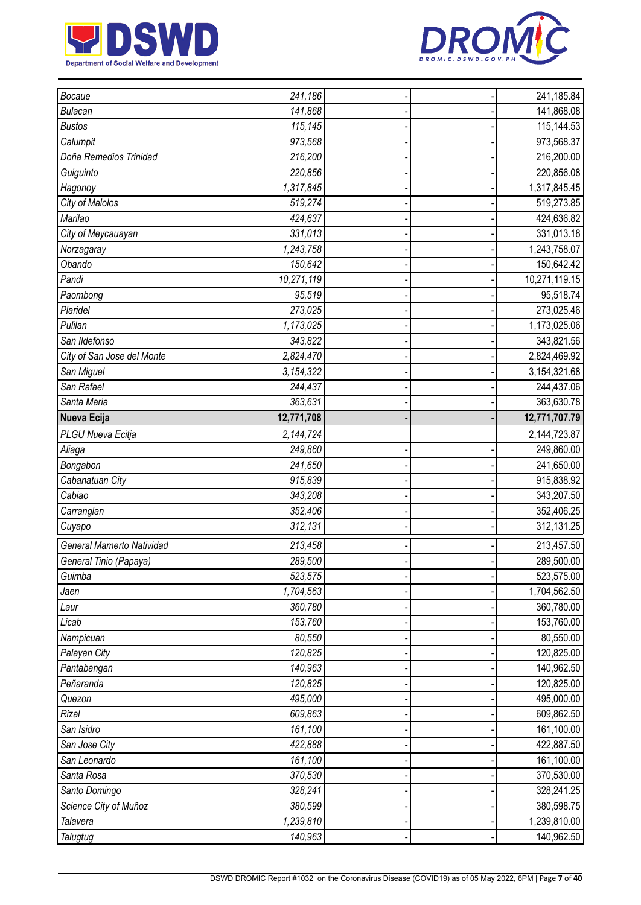



| Bocaue                     | 241,186    |  | 241,185.84    |
|----------------------------|------------|--|---------------|
| <b>Bulacan</b>             | 141,868    |  | 141,868.08    |
| <b>Bustos</b>              | 115,145    |  | 115,144.53    |
| Calumpit                   | 973,568    |  | 973,568.37    |
| Doña Remedios Trinidad     | 216,200    |  | 216,200.00    |
| Guiguinto                  | 220,856    |  | 220,856.08    |
| Hagonoy                    | 1,317,845  |  | 1,317,845.45  |
| City of Malolos            | 519,274    |  | 519,273.85    |
| Marilao                    | 424,637    |  | 424,636.82    |
| City of Meycauayan         | 331,013    |  | 331,013.18    |
| Norzagaray                 | 1,243,758  |  | 1,243,758.07  |
| Obando                     | 150,642    |  | 150,642.42    |
| Pandi                      | 10,271,119 |  | 10,271,119.15 |
| Paombong                   | 95,519     |  | 95,518.74     |
| Plaridel                   | 273,025    |  | 273,025.46    |
| Pulilan                    | 1,173,025  |  | 1,173,025.06  |
| San Ildefonso              | 343,822    |  | 343,821.56    |
| City of San Jose del Monte | 2,824,470  |  | 2,824,469.92  |
| San Miguel                 | 3,154,322  |  | 3,154,321.68  |
| San Rafael                 | 244,437    |  | 244,437.06    |
| Santa Maria                | 363,631    |  | 363,630.78    |
| Nueva Ecija                | 12,771,708 |  | 12,771,707.79 |
| PLGU Nueva Ecitja          | 2,144,724  |  | 2,144,723.87  |
| Aliaga                     | 249,860    |  | 249,860.00    |
| Bongabon                   | 241,650    |  | 241,650.00    |
| Cabanatuan City            | 915,839    |  | 915,838.92    |
| Cabiao                     | 343,208    |  | 343,207.50    |
| Carranglan                 | 352,406    |  | 352,406.25    |
| Cuyapo                     | 312,131    |  | 312,131.25    |
| General Mamerto Natividad  | 213,458    |  | 213,457.50    |
| General Tinio (Papaya)     | 289,500    |  | 289,500.00    |
| Guimba                     | 523,575    |  | 523,575.00    |
| Jaen                       | 1,704,563  |  | 1,704,562.50  |
| Laur                       | 360,780    |  | 360,780.00    |
| Licab                      | 153,760    |  | 153,760.00    |
| Nampicuan                  | 80,550     |  | 80,550.00     |
| Palayan City               | 120,825    |  | 120,825.00    |
| Pantabangan                | 140,963    |  | 140,962.50    |
| Peñaranda                  | 120,825    |  | 120,825.00    |
| Quezon                     | 495,000    |  | 495,000.00    |
| Rizal                      | 609,863    |  | 609,862.50    |
| San Isidro                 | 161,100    |  | 161,100.00    |
| San Jose City              | 422,888    |  | 422,887.50    |
| San Leonardo               | 161,100    |  | 161,100.00    |
| Santa Rosa                 | 370,530    |  | 370,530.00    |
| Santo Domingo              | 328,241    |  | 328,241.25    |
| Science City of Muñoz      | 380,599    |  | 380,598.75    |
| Talavera                   | 1,239,810  |  | 1,239,810.00  |
| Talugtug                   | 140,963    |  | 140,962.50    |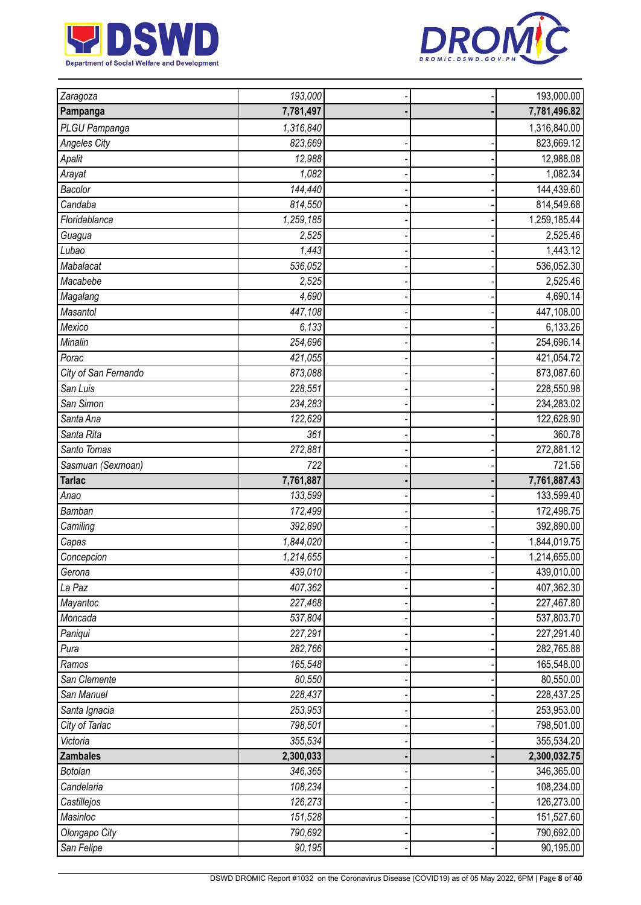



| Zaragoza                    | 193,000           |  | 193,000.00              |
|-----------------------------|-------------------|--|-------------------------|
| Pampanga                    | 7,781,497         |  | 7,781,496.82            |
| PLGU Pampanga               | 1,316,840         |  | 1,316,840.00            |
| <b>Angeles City</b>         | 823,669           |  | 823,669.12              |
| Apalit                      | 12,988            |  | 12,988.08               |
| Arayat                      | 1,082             |  | 1,082.34                |
| Bacolor                     | 144,440           |  | 144,439.60              |
| Candaba                     | 814,550           |  | 814,549.68              |
| Floridablanca               | 1,259,185         |  | 1,259,185.44            |
| Guagua                      | 2,525             |  | 2,525.46                |
| Lubao                       | 1,443             |  | 1,443.12                |
| Mabalacat                   | 536,052           |  | 536,052.30              |
| Macabebe                    | 2,525             |  | 2,525.46                |
| Magalang                    | 4,690             |  | 4,690.14                |
| Masantol                    | 447,108           |  | 447,108.00              |
| Mexico                      | 6,133             |  | 6,133.26                |
| Minalin                     | 254,696           |  | 254,696.14              |
| Porac                       | 421,055           |  | 421,054.72              |
| City of San Fernando        | 873,088           |  | 873,087.60              |
| San Luis                    | 228,551           |  | 228,550.98              |
| San Simon                   | 234,283           |  | 234,283.02              |
| Santa Ana                   | 122,629           |  | 122,628.90              |
| Santa Rita                  | 361               |  | 360.78                  |
| Santo Tomas                 | 272,881           |  | 272,881.12              |
| Sasmuan (Sexmoan)           | 722               |  | 721.56                  |
|                             |                   |  |                         |
| <b>Tarlac</b>               | 7,761,887         |  | 7,761,887.43            |
| Anao                        | 133,599           |  | 133,599.40              |
| Bamban                      | 172,499           |  | 172,498.75              |
| Camiling                    | 392,890           |  | 392,890.00              |
| Capas                       | 1,844,020         |  | 1,844,019.75            |
| Concepcion                  | 1,214,655         |  | 1,214,655.00            |
| Gerona                      | 439,010           |  | 439,010.00              |
| La Paz                      | 407,362           |  | 407,362.30              |
| Mayantoc                    | 227,468           |  | 227,467.80              |
| Moncada                     | 537,804           |  | 537,803.70              |
| Paniqui                     | 227,291           |  | 227,291.40              |
| Pura                        | 282,766           |  | 282,765.88              |
| Ramos                       | 165,548           |  | 165,548.00              |
| San Clemente                | 80,550            |  | 80,550.00               |
| San Manuel                  | 228,437           |  | 228,437.25              |
| Santa Ignacia               | 253,953           |  | 253,953.00              |
| City of Tarlac              | 798,501           |  | 798,501.00              |
| Victoria                    | 355,534           |  | 355,534.20              |
| <b>Zambales</b>             | 2,300,033         |  | 2,300,032.75            |
| Botolan                     | 346,365           |  | 346,365.00              |
| Candelaria                  | 108,234           |  | 108,234.00              |
| Castillejos                 | 126,273           |  | 126,273.00              |
| Masinloc                    | 151,528           |  | 151,527.60              |
| Olongapo City<br>San Felipe | 790,692<br>90,195 |  | 790,692.00<br>90,195.00 |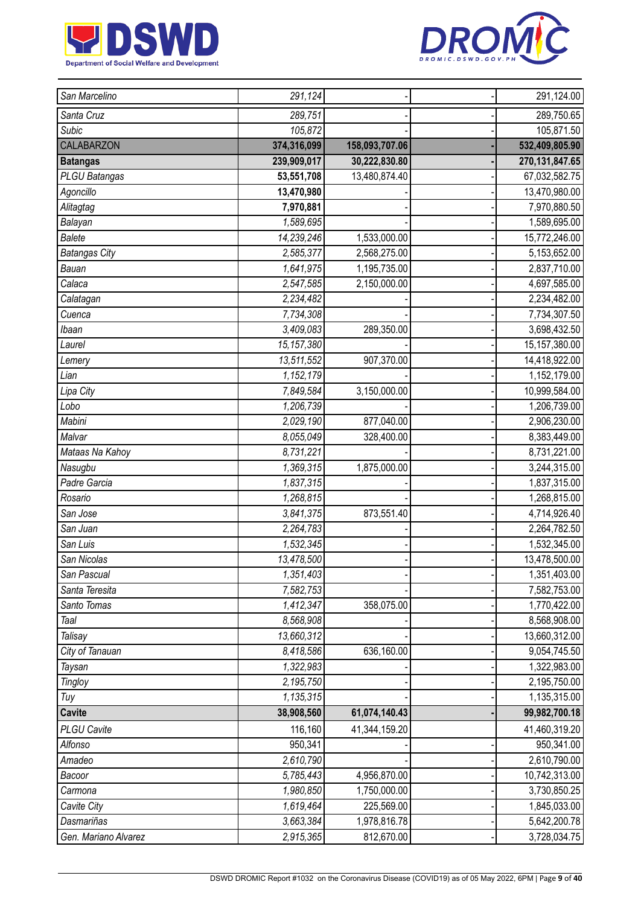



| San Marcelino        | 291,124      |                | 291,124.00       |
|----------------------|--------------|----------------|------------------|
| Santa Cruz           | 289,751      |                | 289,750.65       |
| Subic                | 105,872      |                | 105,871.50       |
| <b>CALABARZON</b>    | 374,316,099  | 158,093,707.06 | 532,409,805.90   |
| <b>Batangas</b>      | 239,909,017  | 30,222,830.80  | 270, 131, 847.65 |
| PLGU Batangas        | 53,551,708   | 13,480,874.40  | 67,032,582.75    |
| Agoncillo            | 13,470,980   |                | 13,470,980.00    |
| Alitagtag            | 7,970,881    |                | 7,970,880.50     |
| Balayan              | 1,589,695    |                | 1,589,695.00     |
| <b>Balete</b>        | 14,239,246   | 1,533,000.00   | 15,772,246.00    |
| <b>Batangas City</b> | 2,585,377    | 2,568,275.00   | 5,153,652.00     |
| Bauan                | 1,641,975    | 1,195,735.00   | 2,837,710.00     |
| Calaca               | 2,547,585    | 2,150,000.00   | 4,697,585.00     |
| Calatagan            | 2,234,482    |                | 2,234,482.00     |
| Cuenca               | 7,734,308    |                | 7,734,307.50     |
| Ibaan                | 3,409,083    | 289,350.00     | 3,698,432.50     |
| Laurel               | 15, 157, 380 |                | 15, 157, 380.00  |
| Lemery               | 13,511,552   | 907,370.00     | 14,418,922.00    |
| Lian                 | 1,152,179    |                | 1,152,179.00     |
| Lipa City            | 7,849,584    | 3,150,000.00   | 10,999,584.00    |
| Lobo                 | 1,206,739    |                | 1,206,739.00     |
| Mabini               | 2,029,190    | 877,040.00     | 2,906,230.00     |
| Malvar               | 8,055,049    | 328,400.00     | 8,383,449.00     |
| Mataas Na Kahoy      | 8,731,221    |                | 8,731,221.00     |
| Nasugbu              | 1,369,315    | 1,875,000.00   | 3,244,315.00     |
| Padre Garcia         | 1,837,315    |                | 1,837,315.00     |
| Rosario              | 1,268,815    |                | 1,268,815.00     |
| San Jose             | 3,841,375    | 873,551.40     | 4,714,926.40     |
| San Juan             | 2,264,783    |                | 2,264,782.50     |
| San Luis             | 1,532,345    |                | 1,532,345.00     |
| San Nicolas          | 13,478,500   |                | 13,478,500.00    |
| San Pascual          | 1,351,403    |                | 1,351,403.00     |
| Santa Teresita       | 7,582,753    |                | 7,582,753.00     |
| Santo Tomas          | 1,412,347    | 358,075.00     | 1,770,422.00     |
| Taal                 | 8,568,908    |                | 8,568,908.00     |
| Talisay              | 13,660,312   |                | 13,660,312.00    |
| City of Tanauan      | 8,418,586    | 636,160.00     | 9,054,745.50     |
| Taysan               | 1,322,983    |                | 1,322,983.00     |
| <b>Tingloy</b>       | 2,195,750    |                | 2,195,750.00     |
| Tuy                  | 1,135,315    |                | 1,135,315.00     |
| <b>Cavite</b>        | 38,908,560   | 61,074,140.43  | 99,982,700.18    |
| <b>PLGU Cavite</b>   | 116,160      | 41,344,159.20  | 41,460,319.20    |
| Alfonso              | 950,341      |                | 950,341.00       |
| Amadeo               | 2,610,790    |                | 2,610,790.00     |
| Bacoor               | 5,785,443    | 4,956,870.00   | 10,742,313.00    |
| Carmona              | 1,980,850    | 1,750,000.00   | 3,730,850.25     |
| Cavite City          | 1,619,464    | 225,569.00     | 1,845,033.00     |
| Dasmariñas           | 3,663,384    | 1,978,816.78   | 5,642,200.78     |
| Gen. Mariano Alvarez | 2,915,365    | 812,670.00     | 3,728,034.75     |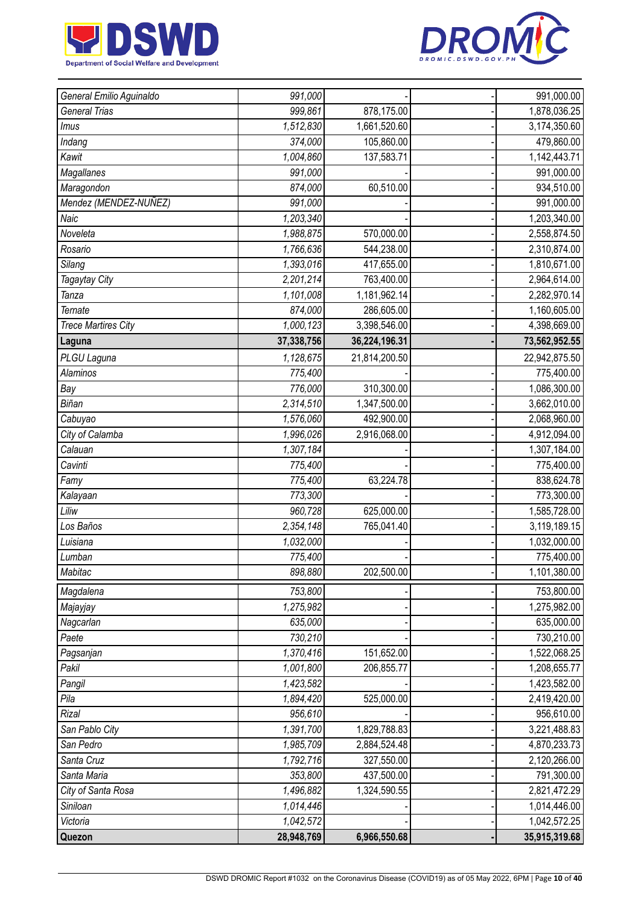



| General Emilio Aguinaldo   | 991,000    |               | 991,000.00    |
|----------------------------|------------|---------------|---------------|
| General Trias              | 999,861    | 878,175.00    | 1,878,036.25  |
| Imus                       | 1,512,830  | 1,661,520.60  | 3,174,350.60  |
| Indang                     | 374,000    | 105,860.00    | 479,860.00    |
| Kawit                      | 1,004,860  | 137,583.71    | 1,142,443.71  |
| Magallanes                 | 991,000    |               | 991,000.00    |
| Maragondon                 | 874,000    | 60,510.00     | 934,510.00    |
| Mendez (MENDEZ-NUÑEZ)      | 991,000    |               | 991,000.00    |
| Naic                       | 1,203,340  |               | 1,203,340.00  |
| Noveleta                   | 1,988,875  | 570,000.00    | 2,558,874.50  |
| Rosario                    | 1,766,636  | 544,238.00    | 2,310,874.00  |
| Silang                     | 1,393,016  | 417,655.00    | 1,810,671.00  |
| Tagaytay City              | 2,201,214  | 763,400.00    | 2,964,614.00  |
| Tanza                      | 1,101,008  | 1,181,962.14  | 2,282,970.14  |
| <b>Ternate</b>             | 874,000    | 286,605.00    | 1,160,605.00  |
| <b>Trece Martires City</b> | 1,000,123  | 3,398,546.00  | 4,398,669.00  |
| Laguna                     | 37,338,756 | 36,224,196.31 | 73,562,952.55 |
| PLGU Laguna                | 1,128,675  | 21,814,200.50 | 22,942,875.50 |
| <b>Alaminos</b>            | 775,400    |               | 775,400.00    |
| Bay                        | 776,000    | 310,300.00    | 1,086,300.00  |
| Biñan                      | 2,314,510  | 1,347,500.00  | 3,662,010.00  |
| Cabuyao                    | 1,576,060  | 492,900.00    | 2,068,960.00  |
| City of Calamba            | 1,996,026  | 2,916,068.00  | 4,912,094.00  |
| Calauan                    | 1,307,184  |               | 1,307,184.00  |
| Cavinti                    | 775,400    |               | 775,400.00    |
| Famy                       | 775,400    | 63,224.78     | 838,624.78    |
| Kalayaan                   | 773,300    |               | 773,300.00    |
| Liliw                      | 960,728    | 625,000.00    | 1,585,728.00  |
| Los Baños                  | 2,354,148  | 765,041.40    | 3,119,189.15  |
| Luisiana                   | 1,032,000  |               | 1,032,000.00  |
| Lumban                     | 775,400    |               | 775,400.00    |
| Mabitac                    | 898,880    | 202,500.00    | 1,101,380.00  |
| Magdalena                  | 753,800    |               | 753,800.00    |
| Majayjay                   | 1,275,982  |               | 1,275,982.00  |
| Nagcarlan                  | 635,000    |               | 635,000.00    |
| Paete                      | 730,210    |               | 730,210.00    |
| Pagsanjan                  | 1,370,416  | 151,652.00    | 1,522,068.25  |
| Pakil                      | 1,001,800  | 206,855.77    | 1,208,655.77  |
| Pangil                     | 1,423,582  |               | 1,423,582.00  |
| Pila                       | 1,894,420  | 525,000.00    | 2,419,420.00  |
| Rizal                      | 956,610    |               | 956,610.00    |
| San Pablo City             | 1,391,700  | 1,829,788.83  | 3,221,488.83  |
| San Pedro                  | 1,985,709  | 2,884,524.48  | 4,870,233.73  |
| Santa Cruz                 | 1,792,716  | 327,550.00    | 2,120,266.00  |
| Santa Maria                | 353,800    | 437,500.00    | 791,300.00    |
| City of Santa Rosa         | 1,496,882  | 1,324,590.55  | 2,821,472.29  |
| Siniloan                   | 1,014,446  |               | 1,014,446.00  |
| Victoria                   | 1,042,572  |               | 1,042,572.25  |
| Quezon                     | 28,948,769 | 6,966,550.68  | 35,915,319.68 |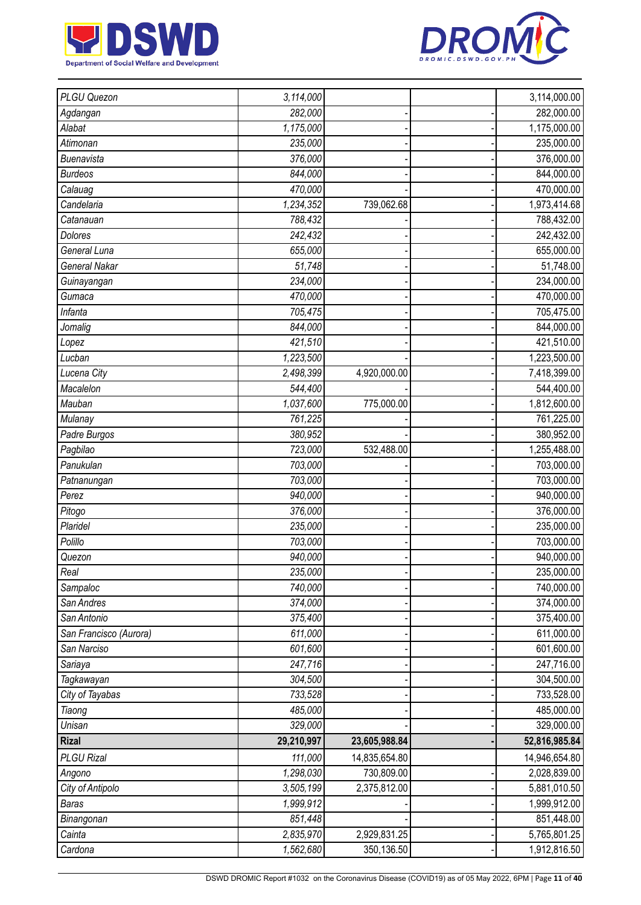



| PLGU Quezon            | 3,114,000  |               | 3,114,000.00  |
|------------------------|------------|---------------|---------------|
| Agdangan               | 282,000    |               | 282,000.00    |
| Alabat                 | 1,175,000  |               | 1,175,000.00  |
| Atimonan               | 235,000    |               | 235,000.00    |
| Buenavista             | 376,000    |               | 376,000.00    |
| <b>Burdeos</b>         | 844,000    |               | 844,000.00    |
| Calauag                | 470,000    |               | 470,000.00    |
| Candelaria             | 1,234,352  | 739,062.68    | 1,973,414.68  |
| Catanauan              | 788,432    |               | 788,432.00    |
| <b>Dolores</b>         | 242,432    |               | 242,432.00    |
| General Luna           | 655,000    |               | 655,000.00    |
| <b>General Nakar</b>   | 51,748     |               | 51,748.00     |
| Guinayangan            | 234,000    |               | 234,000.00    |
| Gumaca                 | 470,000    |               | 470,000.00    |
| Infanta                | 705,475    |               | 705,475.00    |
| Jomalig                | 844,000    |               | 844,000.00    |
| Lopez                  | 421,510    |               | 421,510.00    |
| Lucban                 | 1,223,500  |               | 1,223,500.00  |
| Lucena City            | 2,498,399  | 4,920,000.00  | 7,418,399.00  |
| Macalelon              | 544,400    |               | 544,400.00    |
| Mauban                 | 1,037,600  | 775,000.00    | 1,812,600.00  |
| Mulanay                | 761,225    |               | 761,225.00    |
| Padre Burgos           | 380,952    |               | 380,952.00    |
| Pagbilao               | 723,000    | 532,488.00    | 1,255,488.00  |
| Panukulan              | 703,000    |               | 703,000.00    |
| Patnanungan            | 703,000    |               | 703,000.00    |
| Perez                  | 940,000    |               | 940,000.00    |
| Pitogo                 | 376,000    |               | 376,000.00    |
| Plaridel               | 235,000    |               | 235,000.00    |
| Polillo                | 703,000    |               | 703,000.00    |
| Quezon                 | 940,000    |               | 940,000.00    |
| Real                   | 235,000    |               | 235,000.00    |
| Sampaloc               | 740,000    |               | 740,000.00    |
| San Andres             | 374,000    |               | 374,000.00    |
| San Antonio            | 375,400    |               | 375,400.00    |
| San Francisco (Aurora) | 611,000    |               | 611,000.00    |
| San Narciso            | 601,600    |               | 601,600.00    |
| Sariaya                | 247,716    |               | 247,716.00    |
| Tagkawayan             | 304,500    |               | 304,500.00    |
| City of Tayabas        | 733,528    |               | 733,528.00    |
| Tiaong                 | 485,000    |               | 485,000.00    |
| Unisan                 | 329,000    |               | 329,000.00    |
| <b>Rizal</b>           | 29,210,997 | 23,605,988.84 | 52,816,985.84 |
| <b>PLGU Rizal</b>      | 111,000    | 14,835,654.80 | 14,946,654.80 |
| Angono                 | 1,298,030  | 730,809.00    | 2,028,839.00  |
| City of Antipolo       | 3,505,199  | 2,375,812.00  | 5,881,010.50  |
| <b>Baras</b>           | 1,999,912  |               | 1,999,912.00  |
| Binangonan             | 851,448    |               | 851,448.00    |
| Cainta                 | 2,835,970  | 2,929,831.25  | 5,765,801.25  |
| Cardona                | 1,562,680  | 350,136.50    | 1,912,816.50  |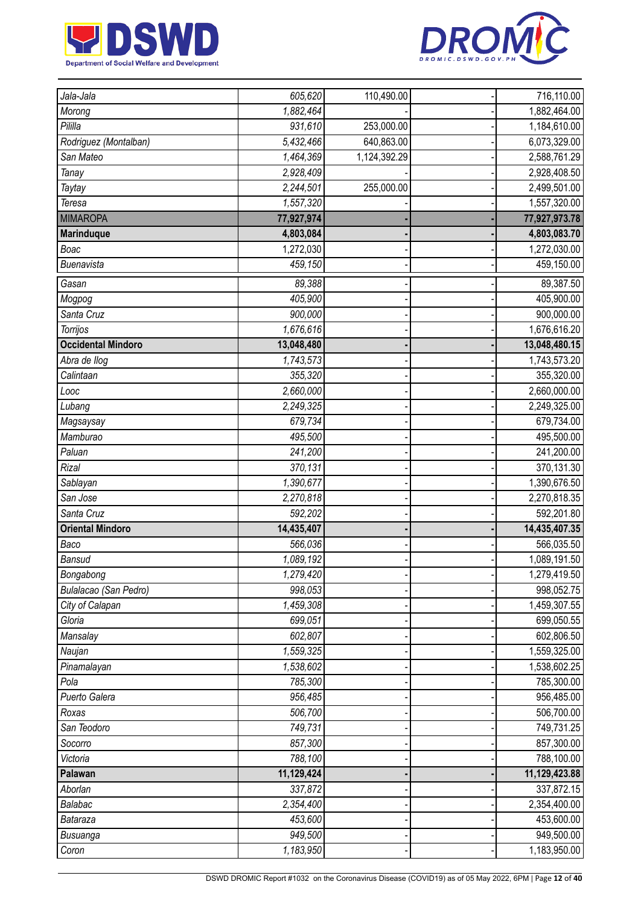



| Jala-Jala                 | 605,620                | 110,490.00   | 716,110.00                 |
|---------------------------|------------------------|--------------|----------------------------|
| Morong                    | 1,882,464              |              | 1,882,464.00               |
| Pililla                   | 931,610                | 253,000.00   | 1,184,610.00               |
| Rodriguez (Montalban)     | 5,432,466              | 640,863.00   | 6,073,329.00               |
| San Mateo                 | 1,464,369              | 1,124,392.29 | 2,588,761.29               |
| Tanay                     | 2,928,409              |              | 2,928,408.50               |
| Taytay                    | 2,244,501              | 255,000.00   | 2,499,501.00               |
| Teresa                    | 1,557,320              |              | 1,557,320.00               |
| <b>MIMAROPA</b>           | 77,927,974             |              | 77,927,973.78              |
| <b>Marinduque</b>         | 4,803,084              |              | 4,803,083.70               |
| Boac                      | 1,272,030              |              | 1,272,030.00               |
| Buenavista                | 459,150                |              | 459,150.00                 |
| Gasan                     | 89,388                 |              | 89,387.50                  |
| Mogpog                    | 405,900                |              | 405,900.00                 |
| Santa Cruz                | 900,000                |              | 900,000.00                 |
| Torrijos                  | 1,676,616              |              | 1,676,616.20               |
| <b>Occidental Mindoro</b> | 13,048,480             |              | 13,048,480.15              |
| Abra de llog              | $\overline{1,743,573}$ |              | 1,743,573.20               |
| Calintaan                 | 355,320                |              | 355,320.00                 |
| Looc                      | 2,660,000              |              | 2,660,000.00               |
| Lubang                    | 2,249,325              |              | 2,249,325.00               |
| Magsaysay                 | 679,734                |              | 679,734.00                 |
| Mamburao                  | 495,500                |              | 495,500.00                 |
| Paluan                    | 241,200                |              | 241,200.00                 |
| Rizal                     | 370,131                |              | 370,131.30                 |
| Sablayan                  | 1,390,677              |              | 1,390,676.50               |
| San Jose                  | 2,270,818              |              | 2,270,818.35               |
| Santa Cruz                | 592,202                |              | 592,201.80                 |
| <b>Oriental Mindoro</b>   | 14,435,407             |              | 14,435,407.35              |
| Baco                      | 566,036                |              | 566,035.50                 |
| Bansud                    | 1,089,192              |              | 1,089,191.50               |
| Bongabong                 | 1,279,420              |              | 1,279,419.50               |
| Bulalacao (San Pedro)     | 998,053                |              | 998,052.75                 |
| City of Calapan           | 1,459,308              |              | 1,459,307.55               |
| Gloria                    | 699,051                |              | 699,050.55                 |
| Mansalay                  | 602,807                |              | 602,806.50                 |
| Naujan                    | 1,559,325              |              | 1,559,325.00               |
| Pinamalayan               | 1,538,602              |              | 1,538,602.25               |
| Pola                      | 785,300                |              | 785,300.00                 |
| Puerto Galera             | 956,485                |              | 956,485.00                 |
| Roxas                     | 506,700                |              | 506,700.00                 |
| San Teodoro               | 749,731                |              | 749,731.25                 |
| Socorro                   | 857,300                |              | 857,300.00                 |
| Victoria                  | 788,100                |              | 788,100.00                 |
| Palawan                   | 11,129,424             |              | 11,129,423.88              |
| Aborlan                   | 337,872                |              | 337,872.15                 |
| Balabac                   |                        |              | 2,354,400.00               |
|                           | 2,354,400              |              |                            |
| Bataraza                  | 453,600                |              | 453,600.00                 |
| Busuanga<br>Coron         | 949,500<br>1,183,950   |              | 949,500.00<br>1,183,950.00 |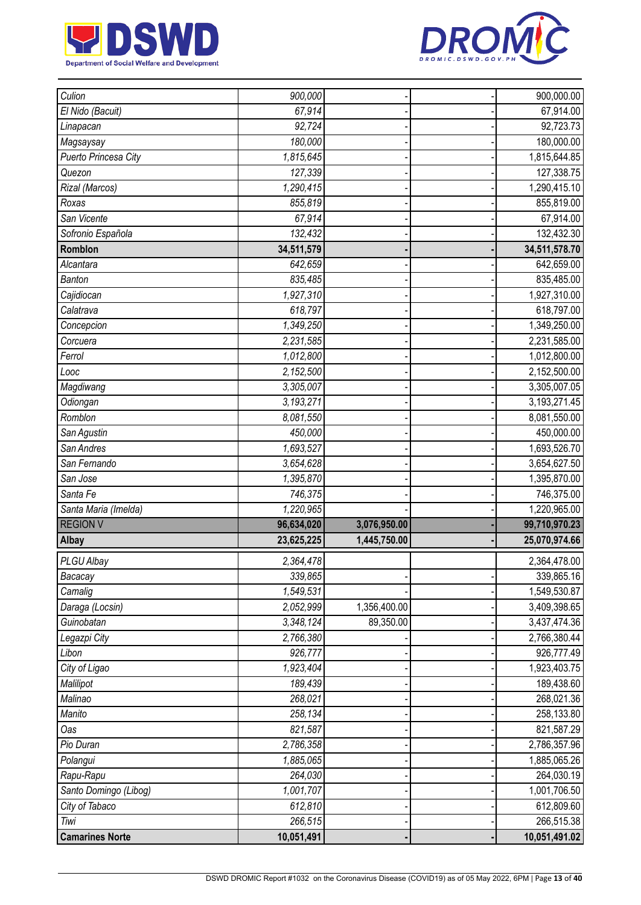



| Culion                         | 900,000               |              | 900,000.00                  |
|--------------------------------|-----------------------|--------------|-----------------------------|
| El Nido (Bacuit)               | 67,914                |              | 67,914.00                   |
| Linapacan                      | 92,724                |              | 92,723.73                   |
| Magsaysay                      | 180,000               |              | 180,000.00                  |
| Puerto Princesa City           | 1,815,645             |              | 1,815,644.85                |
| Quezon                         | 127,339               |              | 127,338.75                  |
| Rizal (Marcos)                 | 1,290,415             |              | 1,290,415.10                |
| Roxas                          | 855,819               |              | 855,819.00                  |
| San Vicente                    | 67,914                |              | 67,914.00                   |
| Sofronio Española              | 132,432               |              | 132,432.30                  |
| Romblon                        | 34,511,579            |              | 34,511,578.70               |
| Alcantara                      | 642,659               |              | 642,659.00                  |
| <b>Banton</b>                  | 835,485               |              | 835,485.00                  |
| Cajidiocan                     | 1,927,310             |              | 1,927,310.00                |
| Calatrava                      | 618,797               |              | 618,797.00                  |
| Concepcion                     | 1,349,250             |              | 1,349,250.00                |
| Corcuera                       | 2,231,585             |              | 2,231,585.00                |
| Ferrol                         | 1,012,800             |              | 1,012,800.00                |
| $L$ ooc                        | 2,152,500             |              | 2,152,500.00                |
| Magdiwang                      | 3,305,007             |              | 3,305,007.05                |
| Odiongan                       | 3,193,271             |              | 3,193,271.45                |
| Romblon                        | 8,081,550             |              | 8,081,550.00                |
| San Agustin                    | 450,000               |              | 450,000.00                  |
| San Andres                     | 1,693,527             |              | 1,693,526.70                |
| San Fernando                   | 3,654,628             |              | 3,654,627.50                |
| San Jose                       | 1,395,870             |              | 1,395,870.00                |
| Santa Fe                       | 746,375               |              | 746,375.00                  |
| Santa Maria (Imelda)           | 1,220,965             |              | 1,220,965.00                |
| <b>REGION V</b>                | 96,634,020            | 3,076,950.00 | 99,710,970.23               |
| Albay                          | 23,625,225            | 1,445,750.00 | 25,070,974.66               |
| PLGU Albay                     | 2,364,478             |              | 2,364,478.00                |
| Bacacay                        | 339,865               |              | 339,865.16                  |
| Camalig                        | 1,549,531             |              | 1,549,530.87                |
| Daraga (Locsin)                | 2,052,999             | 1,356,400.00 | 3,409,398.65                |
| Guinobatan                     | 3,348,124             | 89,350.00    | 3,437,474.36                |
| Legazpi City                   | 2,766,380             |              | 2,766,380.44                |
| Libon                          | 926,777               |              | 926,777.49                  |
| City of Ligao                  | 1,923,404             |              | 1,923,403.75                |
| Malilipot                      | 189,439               |              | 189,438.60                  |
| Malinao                        | 268,021               |              | 268,021.36                  |
| Manito                         | 258,134               |              | 258,133.80                  |
| Oas                            | 821,587               |              | 821,587.29                  |
| Pio Duran                      | 2,786,358             |              | 2,786,357.96                |
| Polangui                       | 1,885,065             |              | 1,885,065.26                |
| Rapu-Rapu                      | 264,030               |              | 264,030.19                  |
| Santo Domingo (Libog)          | 1,001,707             |              | 1,001,706.50                |
| City of Tabaco                 | 612,810               |              | 612,809.60                  |
|                                |                       |              |                             |
| Tiwi<br><b>Camarines Norte</b> | 266,515<br>10,051,491 |              | 266,515.38<br>10,051,491.02 |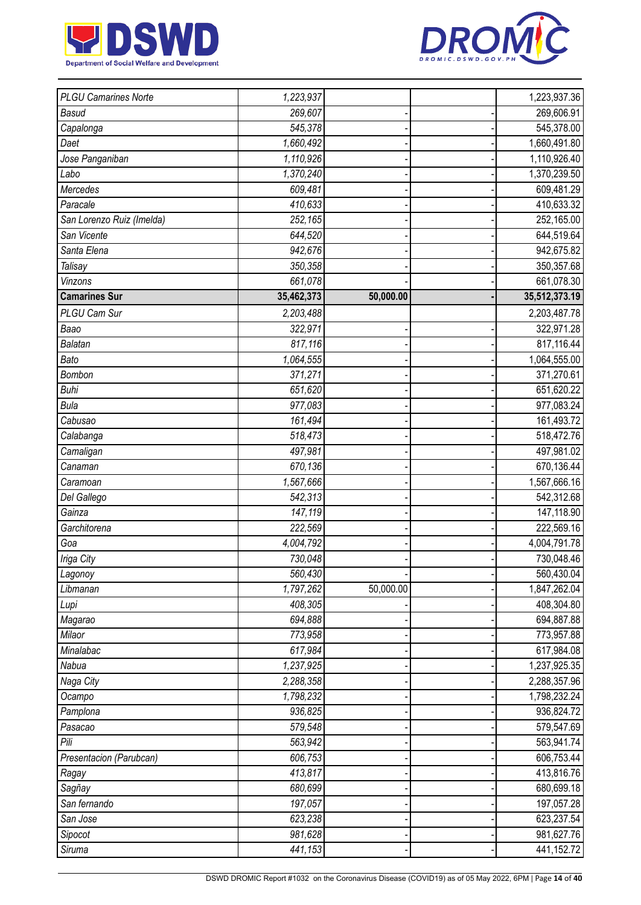



| <b>PLGU Camarines Norte</b> | 1,223,937  |           | 1,223,937.36  |
|-----------------------------|------------|-----------|---------------|
| <b>Basud</b>                | 269,607    |           | 269,606.91    |
| Capalonga                   | 545,378    |           | 545,378.00    |
| Daet                        | 1,660,492  |           | 1,660,491.80  |
| Jose Panganiban             | 1,110,926  |           | 1,110,926.40  |
| Labo                        | 1,370,240  |           | 1,370,239.50  |
| Mercedes                    | 609,481    |           | 609,481.29    |
| Paracale                    | 410,633    |           | 410,633.32    |
| San Lorenzo Ruiz (Imelda)   | 252,165    |           | 252,165.00    |
| San Vicente                 | 644,520    |           | 644,519.64    |
| Santa Elena                 | 942,676    |           | 942,675.82    |
| Talisay                     | 350,358    |           | 350,357.68    |
| Vinzons                     | 661,078    |           | 661,078.30    |
| <b>Camarines Sur</b>        | 35,462,373 | 50,000.00 | 35,512,373.19 |
| PLGU Cam Sur                | 2,203,488  |           | 2,203,487.78  |
| Baao                        | 322,971    |           | 322,971.28    |
| Balatan                     | 817,116    |           | 817,116.44    |
| Bato                        | 1,064,555  |           | 1,064,555.00  |
| Bombon                      | 371,271    |           | 371,270.61    |
| <b>Buhi</b>                 | 651,620    |           | 651,620.22    |
| <b>Bula</b>                 | 977,083    |           | 977,083.24    |
| Cabusao                     | 161,494    |           | 161,493.72    |
| Calabanga                   | 518,473    |           | 518,472.76    |
| Camaligan                   | 497,981    |           | 497,981.02    |
| Canaman                     | 670,136    |           | 670,136.44    |
| Caramoan                    | 1,567,666  |           | 1,567,666.16  |
| Del Gallego                 | 542,313    |           | 542,312.68    |
| Gainza                      | 147,119    |           | 147,118.90    |
| Garchitorena                | 222,569    |           | 222,569.16    |
| Goa                         | 4,004,792  |           | 4,004,791.78  |
| Iriga City                  | 730,048    |           | 730,048.46    |
| Lagonoy                     | 560,430    |           | 560,430.04    |
| Libmanan                    | 1,797,262  | 50,000.00 | 1,847,262.04  |
| Lupi                        | 408,305    |           | 408,304.80    |
| Magarao                     | 694,888    |           | 694,887.88    |
| Milaor                      | 773,958    |           | 773,957.88    |
| Minalabac                   | 617,984    |           | 617,984.08    |
| Nabua                       | 1,237,925  |           | 1,237,925.35  |
| Naga City                   | 2,288,358  |           | 2,288,357.96  |
| Ocampo                      | 1,798,232  |           | 1,798,232.24  |
| Pamplona                    | 936,825    |           | 936,824.72    |
| Pasacao                     | 579,548    |           | 579,547.69    |
| Pili                        | 563,942    |           | 563,941.74    |
| Presentacion (Parubcan)     | 606,753    |           | 606,753.44    |
| Ragay                       | 413,817    |           | 413,816.76    |
| Sagñay                      | 680,699    |           | 680,699.18    |
| San fernando                | 197,057    |           | 197,057.28    |
| San Jose                    | 623,238    |           | 623,237.54    |
| Sipocot                     | 981,628    |           | 981,627.76    |
| Siruma                      | 441,153    |           | 441,152.72    |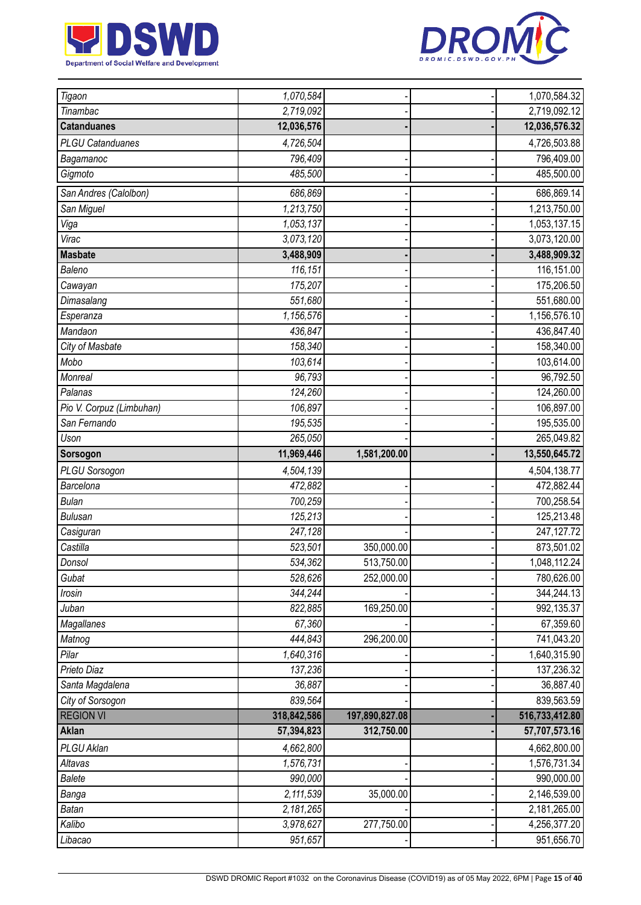



| Tigaon                   | 1,070,584   |                | 1,070,584.32   |
|--------------------------|-------------|----------------|----------------|
| Tinambac                 | 2,719,092   |                | 2,719,092.12   |
| <b>Catanduanes</b>       | 12,036,576  |                | 12,036,576.32  |
| <b>PLGU Catanduanes</b>  | 4,726,504   |                | 4,726,503.88   |
| Bagamanoc                | 796,409     |                | 796,409.00     |
| Gigmoto                  | 485,500     |                | 485,500.00     |
| San Andres (Calolbon)    | 686,869     |                | 686,869.14     |
| San Miguel               | 1,213,750   |                | 1,213,750.00   |
| Viga                     | 1,053,137   |                | 1,053,137.15   |
| Virac                    | 3,073,120   |                | 3,073,120.00   |
| <b>Masbate</b>           | 3,488,909   |                | 3,488,909.32   |
| Baleno                   | 116,151     |                | 116,151.00     |
| Cawayan                  | 175,207     |                | 175,206.50     |
| Dimasalang               | 551,680     |                | 551,680.00     |
| Esperanza                | 1,156,576   |                | 1,156,576.10   |
| Mandaon                  | 436,847     |                | 436,847.40     |
| City of Masbate          | 158,340     |                | 158,340.00     |
| Mobo                     | 103,614     |                | 103,614.00     |
| Monreal                  | 96,793      |                | 96,792.50      |
| Palanas                  | 124,260     |                | 124,260.00     |
| Pio V. Corpuz (Limbuhan) | 106,897     |                | 106,897.00     |
| San Fernando             | 195,535     |                | 195,535.00     |
| Uson                     | 265,050     |                | 265,049.82     |
| Sorsogon                 | 11,969,446  | 1,581,200.00   | 13,550,645.72  |
| PLGU Sorsogon            | 4,504,139   |                | 4,504,138.77   |
| Barcelona                | 472,882     |                | 472,882.44     |
| <b>Bulan</b>             | 700,259     |                | 700,258.54     |
| <b>Bulusan</b>           | 125,213     |                | 125,213.48     |
| Casiguran                | 247,128     |                | 247, 127. 72   |
| Castilla                 | 523,501     | 350,000.00     | 873,501.02     |
| Donsol                   | 534,362     | 513,750.00     | 1,048,112.24   |
| Gubat                    | 528,626     | 252,000.00     | 780,626.00     |
| Irosin                   | 344,244     |                | 344,244.13     |
| Juban                    | 822,885     | 169,250.00     | 992,135.37     |
| Magallanes               | 67,360      |                | 67,359.60      |
| Matnog                   | 444,843     | 296,200.00     | 741,043.20     |
| Pilar                    | 1,640,316   |                | 1,640,315.90   |
| Prieto Diaz              | 137,236     |                | 137,236.32     |
| Santa Magdalena          | 36,887      |                | 36,887.40      |
| City of Sorsogon         | 839,564     |                | 839,563.59     |
| <b>REGION VI</b>         | 318,842,586 | 197,890,827.08 | 516,733,412.80 |
| <b>Aklan</b>             | 57,394,823  | 312,750.00     | 57,707,573.16  |
| PLGU Aklan               | 4,662,800   |                | 4,662,800.00   |
| Altavas                  | 1,576,731   |                | 1,576,731.34   |
| <b>Balete</b>            | 990,000     |                | 990,000.00     |
| Banga                    | 2,111,539   | 35,000.00      | 2,146,539.00   |
| <b>Batan</b>             | 2,181,265   |                | 2,181,265.00   |
| Kalibo                   | 3,978,627   | 277,750.00     | 4,256,377.20   |
| Libacao                  | 951,657     |                | 951,656.70     |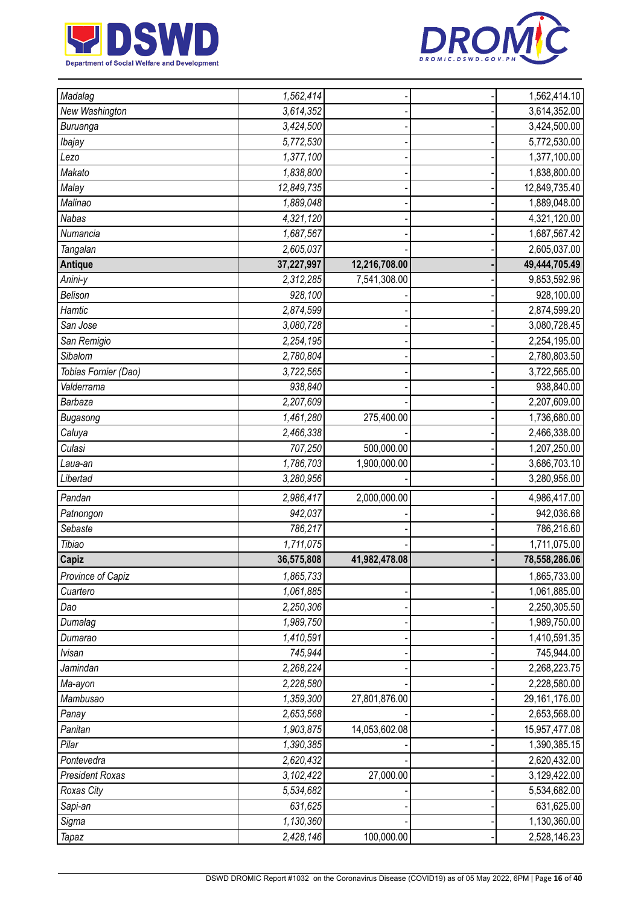



| Madalag                | 1,562,414  |               | 1,562,414.10  |
|------------------------|------------|---------------|---------------|
| New Washington         | 3,614,352  |               | 3,614,352.00  |
| Buruanga               | 3,424,500  |               | 3,424,500.00  |
| Ibajay                 | 5,772,530  |               | 5,772,530.00  |
| Lezo                   | 1,377,100  |               | 1,377,100.00  |
| Makato                 | 1,838,800  |               | 1,838,800.00  |
| Malay                  | 12,849,735 |               | 12,849,735.40 |
| Malinao                | 1,889,048  |               | 1,889,048.00  |
| <b>Nabas</b>           | 4,321,120  |               | 4,321,120.00  |
| Numancia               | 1,687,567  |               | 1,687,567.42  |
| Tangalan               | 2,605,037  |               | 2,605,037.00  |
| <b>Antique</b>         | 37,227,997 | 12,216,708.00 | 49,444,705.49 |
| Anini-y                | 2,312,285  | 7,541,308.00  | 9,853,592.96  |
| Belison                | 928,100    |               | 928,100.00    |
| Hamtic                 | 2,874,599  |               | 2,874,599.20  |
| San Jose               | 3,080,728  |               | 3,080,728.45  |
| San Remigio            | 2,254,195  |               | 2,254,195.00  |
| Sibalom                | 2,780,804  |               | 2,780,803.50  |
| Tobias Fornier (Dao)   | 3,722,565  |               | 3,722,565.00  |
| Valderrama             | 938,840    |               | 938,840.00    |
| Barbaza                | 2,207,609  |               | 2,207,609.00  |
| Bugasong               | 1,461,280  | 275,400.00    | 1,736,680.00  |
| Caluya                 | 2,466,338  |               | 2,466,338.00  |
| Culasi                 | 707,250    | 500,000.00    | 1,207,250.00  |
| Laua-an                | 1,786,703  | 1,900,000.00  | 3,686,703.10  |
| Libertad               | 3,280,956  |               | 3,280,956.00  |
| Pandan                 | 2,986,417  | 2,000,000.00  | 4,986,417.00  |
| Patnongon              | 942,037    |               | 942,036.68    |
| Sebaste                | 786,217    |               | 786,216.60    |
| Tibiao                 | 1,711,075  |               | 1,711,075.00  |
| <b>Capiz</b>           | 36,575,808 | 41,982,478.08 | 78,558,286.06 |
| Province of Capiz      | 1,865,733  |               | 1,865,733.00  |
| Cuartero               | 1,061,885  |               | 1,061,885.00  |
| Dao                    | 2,250,306  |               | 2,250,305.50  |
| Dumalag                | 1,989,750  |               | 1,989,750.00  |
| Dumarao                | 1,410,591  |               | 1,410,591.35  |
| <b>Ivisan</b>          | 745,944    |               | 745,944.00    |
| Jamindan               | 2,268,224  |               | 2,268,223.75  |
| Ma-ayon                | 2,228,580  |               | 2,228,580.00  |
| Mambusao               | 1,359,300  | 27,801,876.00 | 29,161,176.00 |
| Panay                  | 2,653,568  |               | 2,653,568.00  |
| Panitan                | 1,903,875  | 14,053,602.08 | 15,957,477.08 |
| Pilar                  | 1,390,385  |               | 1,390,385.15  |
| Pontevedra             | 2,620,432  |               | 2,620,432.00  |
| <b>President Roxas</b> | 3,102,422  | 27,000.00     | 3,129,422.00  |
| Roxas City             | 5,534,682  |               | 5,534,682.00  |
| Sapi-an                | 631,625    |               | 631,625.00    |
| Sigma                  | 1,130,360  |               | 1,130,360.00  |
| <b>Tapaz</b>           | 2,428,146  | 100,000.00    | 2,528,146.23  |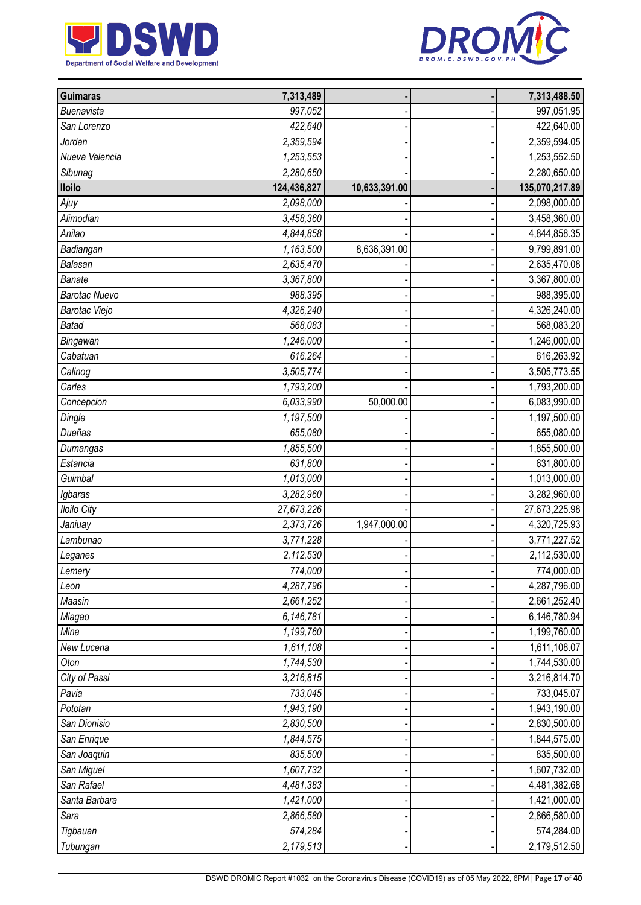



| <b>Guimaras</b>      | 7,313,489   |               | 7,313,488.50   |
|----------------------|-------------|---------------|----------------|
| Buenavista           | 997,052     |               | 997,051.95     |
| San Lorenzo          | 422,640     |               | 422,640.00     |
| Jordan               | 2,359,594   |               | 2,359,594.05   |
| Nueva Valencia       | 1,253,553   |               | 1,253,552.50   |
| Sibunag              | 2,280,650   |               | 2,280,650.00   |
| <b>Iloilo</b>        | 124,436,827 | 10,633,391.00 | 135,070,217.89 |
| Ajuy                 | 2,098,000   |               | 2,098,000.00   |
| Alimodian            | 3,458,360   |               | 3,458,360.00   |
| Anilao               | 4,844,858   |               | 4,844,858.35   |
| Badiangan            | 1,163,500   | 8,636,391.00  | 9,799,891.00   |
| Balasan              | 2,635,470   |               | 2,635,470.08   |
| <b>Banate</b>        | 3,367,800   |               | 3,367,800.00   |
| <b>Barotac Nuevo</b> | 988,395     |               | 988,395.00     |
| Barotac Viejo        | 4,326,240   |               | 4,326,240.00   |
| <b>Batad</b>         | 568,083     |               | 568,083.20     |
| Bingawan             | 1,246,000   |               | 1,246,000.00   |
| Cabatuan             | 616,264     |               | 616,263.92     |
| Calinog              | 3,505,774   |               | 3,505,773.55   |
| Carles               | 1,793,200   |               | 1,793,200.00   |
| Concepcion           | 6,033,990   | 50,000.00     | 6,083,990.00   |
| Dingle               | 1,197,500   |               | 1,197,500.00   |
| Dueñas               | 655,080     |               | 655,080.00     |
| Dumangas             | 1,855,500   |               | 1,855,500.00   |
| Estancia             | 631,800     |               | 631,800.00     |
| Guimbal              | 1,013,000   |               | 1,013,000.00   |
| Igbaras              | 3,282,960   |               | 3,282,960.00   |
| <b>Iloilo City</b>   | 27,673,226  |               | 27,673,225.98  |
| Janiuay              | 2,373,726   | 1,947,000.00  | 4,320,725.93   |
| Lambunao             | 3,771,228   |               | 3,771,227.52   |
| Leganes              | 2,112,530   |               | 2,112,530.00   |
| Lemery               | 774,000     |               | 774,000.00     |
| Leon                 | 4,287,796   |               | 4,287,796.00   |
| Maasin               | 2,661,252   |               | 2,661,252.40   |
| Miagao               | 6,146,781   |               | 6,146,780.94   |
| Mina                 | 1,199,760   |               | 1,199,760.00   |
| New Lucena           | 1,611,108   |               | 1,611,108.07   |
| Oton                 | 1,744,530   |               | 1,744,530.00   |
| City of Passi        | 3,216,815   |               | 3,216,814.70   |
| Pavia                | 733,045     |               | 733,045.07     |
| Pototan              | 1,943,190   |               | 1,943,190.00   |
| San Dionisio         | 2,830,500   |               | 2,830,500.00   |
| San Enrique          | 1,844,575   |               | 1,844,575.00   |
| San Joaquin          | 835,500     |               | 835,500.00     |
| San Miguel           | 1,607,732   |               | 1,607,732.00   |
| San Rafael           | 4,481,383   |               | 4,481,382.68   |
| Santa Barbara        | 1,421,000   |               | 1,421,000.00   |
| Sara                 | 2,866,580   |               | 2,866,580.00   |
| Tigbauan             | 574,284     |               | 574,284.00     |
| Tubungan             | 2,179,513   |               | 2,179,512.50   |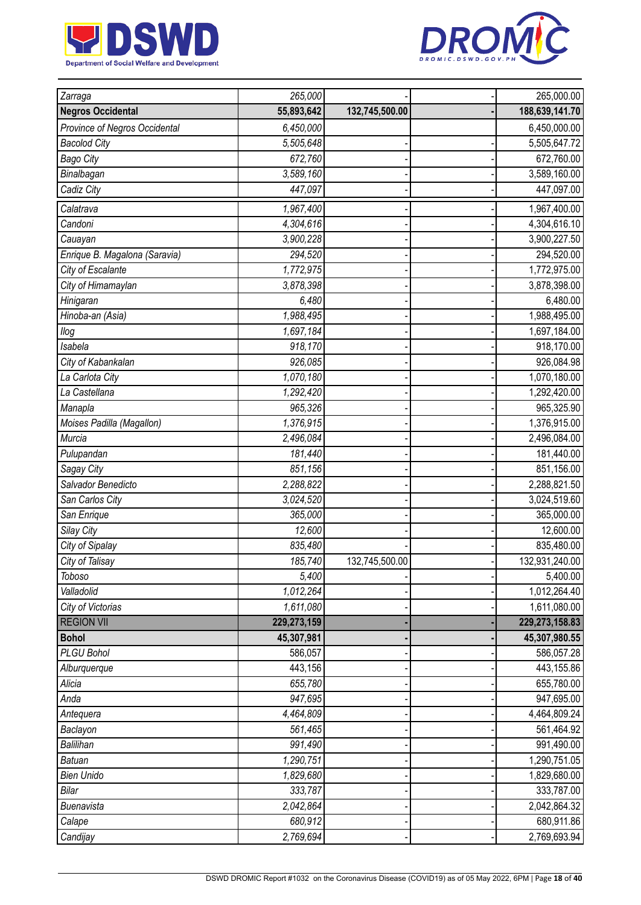



| Zarraga                       | 265,000     |                | 265,000.00       |
|-------------------------------|-------------|----------------|------------------|
| <b>Negros Occidental</b>      | 55,893,642  | 132,745,500.00 | 188,639,141.70   |
| Province of Negros Occidental | 6,450,000   |                | 6,450,000.00     |
| <b>Bacolod City</b>           | 5,505,648   |                | 5,505,647.72     |
| <b>Bago City</b>              | 672,760     |                | 672,760.00       |
| Binalbagan                    | 3,589,160   |                | 3,589,160.00     |
| Cadiz City                    | 447,097     |                | 447,097.00       |
| Calatrava                     | 1,967,400   |                | 1,967,400.00     |
| Candoni                       | 4,304,616   |                | 4,304,616.10     |
| Cauayan                       | 3,900,228   |                | 3,900,227.50     |
| Enrique B. Magalona (Saravia) | 294,520     |                | 294,520.00       |
| City of Escalante             | 1,772,975   |                | 1,772,975.00     |
| City of Himamaylan            | 3,878,398   |                | 3,878,398.00     |
| Hinigaran                     | 6,480       |                | 6,480.00         |
| Hinoba-an (Asia)              | 1,988,495   |                | 1,988,495.00     |
| llog                          | 1,697,184   |                | 1,697,184.00     |
| Isabela                       | 918,170     |                | 918,170.00       |
| City of Kabankalan            | 926,085     |                | 926,084.98       |
| La Carlota City               | 1,070,180   |                | 1,070,180.00     |
| La Castellana                 | 1,292,420   |                | 1,292,420.00     |
| Manapla                       | 965,326     |                | 965,325.90       |
| Moises Padilla (Magallon)     | 1,376,915   |                | 1,376,915.00     |
| Murcia                        | 2,496,084   |                | 2,496,084.00     |
| Pulupandan                    | 181,440     |                | 181,440.00       |
| Sagay City                    | 851,156     |                | 851,156.00       |
| Salvador Benedicto            | 2,288,822   |                | 2,288,821.50     |
| San Carlos City               | 3,024,520   |                | 3,024,519.60     |
| San Enrique                   | 365,000     |                | 365,000.00       |
| Silay City                    | 12,600      |                | 12,600.00        |
| City of Sipalay               | 835,480     |                | 835,480.00       |
| City of Talisay               | 185,740     | 132,745,500.00 | 132,931,240.00   |
| Toboso                        | 5,400       |                | 5,400.00         |
| Valladolid                    | 1,012,264   |                | 1,012,264.40     |
| City of Victorias             | 1,611,080   |                | 1,611,080.00     |
| <b>REGION VII</b>             | 229,273,159 |                | 229, 273, 158.83 |
| <b>Bohol</b>                  | 45,307,981  |                | 45,307,980.55    |
| PLGU Bohol                    | 586,057     |                | 586,057.28       |
| Alburquerque                  | 443,156     |                | 443,155.86       |
| Alicia                        | 655,780     |                | 655,780.00       |
| Anda                          | 947,695     |                | 947,695.00       |
| Antequera                     | 4,464,809   |                | 4,464,809.24     |
| Baclayon                      | 561,465     |                | 561,464.92       |
| Balilihan                     | 991,490     |                | 991,490.00       |
| <b>Batuan</b>                 | 1,290,751   |                | 1,290,751.05     |
| <b>Bien Unido</b>             | 1,829,680   |                | 1,829,680.00     |
| Bilar                         | 333,787     |                | 333,787.00       |
| Buenavista                    | 2,042,864   |                | 2,042,864.32     |
| Calape                        | 680,912     |                | 680,911.86       |
| Candijay                      | 2,769,694   |                | 2,769,693.94     |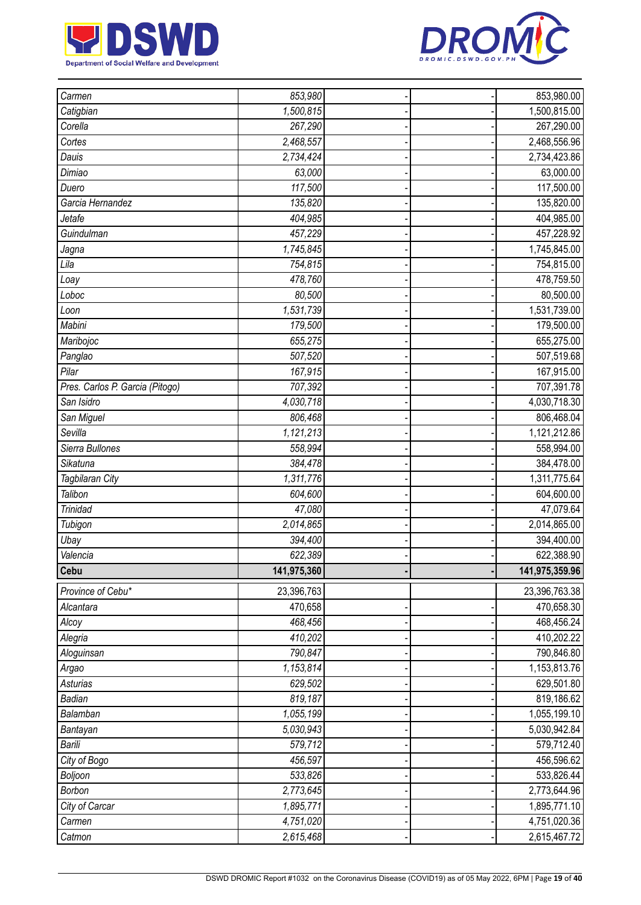



| Carmen                          | 853,980     |  | 853,980.00                   |
|---------------------------------|-------------|--|------------------------------|
| Catigbian                       | 1,500,815   |  | 1,500,815.00                 |
| Corella                         | 267,290     |  | 267,290.00                   |
| Cortes                          | 2,468,557   |  | 2,468,556.96                 |
| Dauis                           | 2,734,424   |  | 2,734,423.86                 |
| Dimiao                          | 63,000      |  | 63,000.00                    |
| Duero                           | 117,500     |  | 117,500.00                   |
| Garcia Hernandez                | 135,820     |  | 135,820.00                   |
| Jetafe                          | 404,985     |  | 404,985.00                   |
| Guindulman                      | 457,229     |  | 457,228.92                   |
| Jagna                           | 1,745,845   |  | 1,745,845.00                 |
| Lila                            | 754,815     |  | 754,815.00                   |
| Loay                            | 478,760     |  | 478,759.50                   |
| Loboc                           | 80,500      |  | 80,500.00                    |
| Loon                            | 1,531,739   |  | 1,531,739.00                 |
| Mabini                          | 179,500     |  | 179,500.00                   |
| Maribojoc                       | 655,275     |  | 655,275.00                   |
| Panglao                         | 507,520     |  | 507,519.68                   |
| Pilar                           | 167,915     |  | 167,915.00                   |
| Pres. Carlos P. Garcia (Pitogo) | 707,392     |  | 707,391.78                   |
| San Isidro                      | 4,030,718   |  | 4,030,718.30                 |
| San Miguel                      | 806,468     |  | 806,468.04                   |
| Sevilla                         | 1,121,213   |  | 1,121,212.86                 |
| Sierra Bullones                 | 558,994     |  | 558,994.00                   |
| Sikatuna                        | 384,478     |  | 384,478.00                   |
| Tagbilaran City                 | 1,311,776   |  | 1,311,775.64                 |
| Talibon                         | 604,600     |  | 604,600.00                   |
| <b>Trinidad</b>                 | 47,080      |  | 47,079.64                    |
| Tubigon                         | 2,014,865   |  | 2,014,865.00                 |
| Ubay                            | 394,400     |  | 394,400.00                   |
| Valencia                        | 622,389     |  | 622,388.90                   |
| Cebu                            | 141,975,360 |  | 141,975,359.96               |
| Province of Cebu*               | 23,396,763  |  | 23,396,763.38                |
| Alcantara                       | 470,658     |  | 470,658.30                   |
| Alcoy                           | 468,456     |  | 468,456.24                   |
| Alegria                         | 410,202     |  | 410,202.22                   |
| Aloguinsan                      | 790,847     |  | 790,846.80                   |
| Argao                           | 1,153,814   |  | 1,153,813.76                 |
| <b>Asturias</b>                 | 629,502     |  | 629,501.80                   |
| Badian                          | 819,187     |  | 819,186.62                   |
| Balamban                        | 1,055,199   |  | 1,055,199.10                 |
| Bantayan                        | 5,030,943   |  | 5,030,942.84                 |
| Barili                          | 579,712     |  | 579,712.40                   |
| City of Bogo                    | 456,597     |  | 456,596.62                   |
| Boljoon                         | 533,826     |  | 533,826.44                   |
| Borbon                          | 2,773,645   |  | 2,773,644.96                 |
| City of Carcar                  |             |  | 1,895,771.10                 |
|                                 | 1,895,771   |  |                              |
| Carmen                          | 4,751,020   |  | 4,751,020.36<br>2,615,467.72 |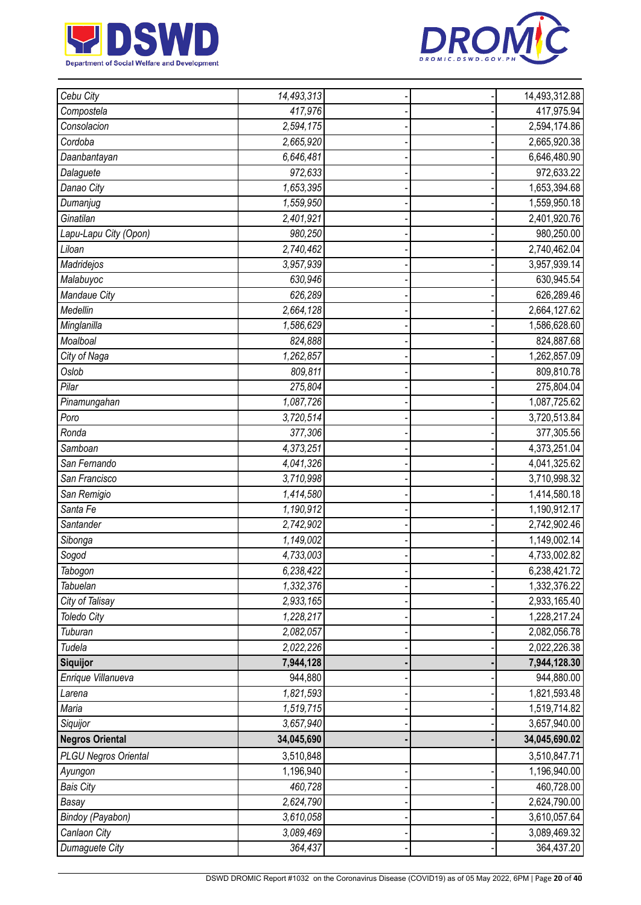



| Cebu City                   | 14,493,313             |  | 14,493,312.88 |
|-----------------------------|------------------------|--|---------------|
| Compostela                  | 417,976                |  | 417,975.94    |
| Consolacion                 | 2,594,175              |  | 2,594,174.86  |
| Cordoba                     | 2,665,920              |  | 2,665,920.38  |
| Daanbantayan                | 6,646,481              |  | 6,646,480.90  |
| Dalaguete                   | 972,633                |  | 972,633.22    |
| Danao City                  | 1,653,395              |  | 1,653,394.68  |
| Dumanjug                    | 1,559,950              |  | 1,559,950.18  |
| Ginatilan                   | 2,401,921              |  | 2,401,920.76  |
| Lapu-Lapu City (Opon)       | 980,250                |  | 980,250.00    |
| Liloan                      | 2,740,462              |  | 2,740,462.04  |
| Madridejos                  | 3,957,939              |  | 3,957,939.14  |
| Malabuyoc                   | 630,946                |  | 630,945.54    |
| Mandaue City                | 626,289                |  | 626,289.46    |
| Medellin                    | 2,664,128              |  | 2,664,127.62  |
| Minglanilla                 | 1,586,629              |  | 1,586,628.60  |
| Moalboal                    | 824,888                |  | 824,887.68    |
| City of Naga                | 1,262,857              |  | 1,262,857.09  |
| Oslob                       | 809,811                |  | 809,810.78    |
| Pilar                       | 275,804                |  | 275,804.04    |
| Pinamungahan                | 1,087,726              |  | 1,087,725.62  |
| Poro                        | 3,720,514              |  | 3,720,513.84  |
| Ronda                       | 377,306                |  | 377,305.56    |
| Samboan                     | 4,373,251              |  | 4,373,251.04  |
| San Fernando                | 4,041,326              |  | 4,041,325.62  |
| San Francisco               | 3,710,998              |  | 3,710,998.32  |
| San Remigio                 | 1,414,580              |  | 1,414,580.18  |
| Santa Fe                    | 1,190,912              |  | 1,190,912.17  |
| Santander                   | 2,742,902              |  | 2,742,902.46  |
| Sibonga                     | 1,149,002              |  | 1,149,002.14  |
| Sogod                       | 4,733,003              |  | 4,733,002.82  |
| Tabogon                     | 6,238,422              |  | 6,238,421.72  |
| Tabuelan                    | 1,332,376              |  | 1,332,376.22  |
| City of Talisay             | 2,933,165              |  | 2,933,165.40  |
| <b>Toledo City</b>          | 1,228,217              |  | 1,228,217.24  |
| Tuburan                     | 2,082,057              |  | 2,082,056.78  |
| Tudela                      | 2,022,226              |  | 2,022,226.38  |
| Siquijor                    | 7,944,128              |  | 7,944,128.30  |
| Enrique Villanueva          | 944,880                |  | 944,880.00    |
| Larena                      | 1,821,593              |  | 1,821,593.48  |
| Maria                       | 1,519,715              |  | 1,519,714.82  |
| Siquijor                    | 3,657,940              |  | 3,657,940.00  |
| <b>Negros Oriental</b>      | 34,045,690             |  | 34,045,690.02 |
| <b>PLGU Negros Oriental</b> | 3,510,848              |  | 3,510,847.71  |
| Ayungon                     | 1,196,940              |  | 1,196,940.00  |
| <b>Bais City</b>            | 460,728                |  | 460,728.00    |
| Basay                       | $\overline{2,624,790}$ |  | 2,624,790.00  |
| Bindoy (Payabon)            | 3,610,058              |  | 3,610,057.64  |
| Canlaon City                | 3,089,469              |  | 3,089,469.32  |
| Dumaguete City              | 364,437                |  | 364,437.20    |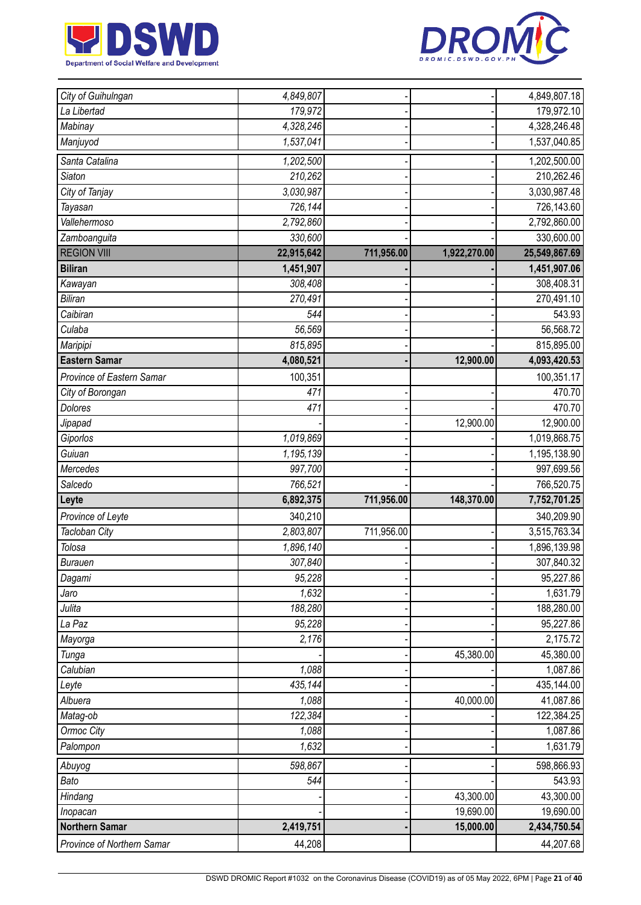



| City of Guihulngan         | 4,849,807  |            |              | 4,849,807.18  |
|----------------------------|------------|------------|--------------|---------------|
| La Libertad                | 179,972    |            |              | 179,972.10    |
| Mabinay                    | 4,328,246  |            |              | 4,328,246.48  |
| Manjuyod                   | 1,537,041  |            |              | 1,537,040.85  |
| Santa Catalina             | 1,202,500  |            |              | 1,202,500.00  |
| <b>Siaton</b>              | 210,262    |            |              | 210,262.46    |
| City of Tanjay             | 3,030,987  |            |              | 3,030,987.48  |
| Tayasan                    | 726,144    |            |              | 726,143.60    |
| Vallehermoso               | 2,792,860  |            |              | 2,792,860.00  |
| Zamboanguita               | 330,600    |            |              | 330,600.00    |
| <b>REGION VIII</b>         | 22,915,642 | 711,956.00 | 1,922,270.00 | 25,549,867.69 |
| <b>Biliran</b>             | 1,451,907  |            |              | 1,451,907.06  |
| Kawayan                    | 308,408    |            |              | 308,408.31    |
| <b>Biliran</b>             | 270,491    |            |              | 270,491.10    |
| Caibiran                   | 544        |            |              | 543.93        |
| Culaba                     | 56,569     |            |              | 56,568.72     |
| Maripipi                   | 815,895    |            |              | 815,895.00    |
| <b>Eastern Samar</b>       | 4,080,521  |            | 12,900.00    | 4,093,420.53  |
| Province of Eastern Samar  | 100,351    |            |              | 100,351.17    |
| City of Borongan           | 471        |            |              | 470.70        |
| <b>Dolores</b>             | 471        |            |              | 470.70        |
| Jipapad                    |            |            | 12,900.00    | 12,900.00     |
| Giporlos                   | 1,019,869  |            |              | 1,019,868.75  |
| Guiuan                     | 1,195,139  |            |              | 1,195,138.90  |
| Mercedes                   | 997,700    |            |              | 997,699.56    |
| Salcedo                    | 766,521    |            |              | 766,520.75    |
| Leyte                      | 6,892,375  | 711,956.00 | 148,370.00   | 7,752,701.25  |
| Province of Leyte          | 340,210    |            |              | 340,209.90    |
| Tacloban City              | 2,803,807  | 711,956.00 |              | 3,515,763.34  |
| Tolosa                     | 1,896,140  |            |              | 1,896,139.98  |
| <b>Burauen</b>             | 307,840    |            |              | 307,840.32    |
| Dagami                     | 95,228     |            |              | 95,227.86     |
| Jaro                       | 1,632      |            |              | 1,631.79      |
| Julita                     | 188,280    |            |              | 188,280.00    |
| La Paz                     | 95,228     |            |              | 95,227.86     |
| Mayorga                    | 2,176      |            |              | 2,175.72      |
| Tunga                      |            |            | 45,380.00    | 45,380.00     |
| Calubian                   | 1,088      |            |              | 1,087.86      |
| Leyte                      | 435,144    |            |              | 435,144.00    |
| Albuera                    | 1,088      |            | 40,000.00    | 41,087.86     |
| Matag-ob                   | 122,384    |            |              | 122,384.25    |
| Ormoc City                 | 1,088      |            |              | 1,087.86      |
| Palompon                   | 1,632      |            |              | 1,631.79      |
| Abuyog                     | 598,867    |            |              | 598,866.93    |
| Bato                       | 544        |            |              | 543.93        |
| Hindang                    |            |            | 43,300.00    | 43,300.00     |
| Inopacan                   |            |            | 19,690.00    | 19,690.00     |
| <b>Northern Samar</b>      | 2,419,751  |            | 15,000.00    | 2,434,750.54  |
| Province of Northern Samar | 44,208     |            |              | 44,207.68     |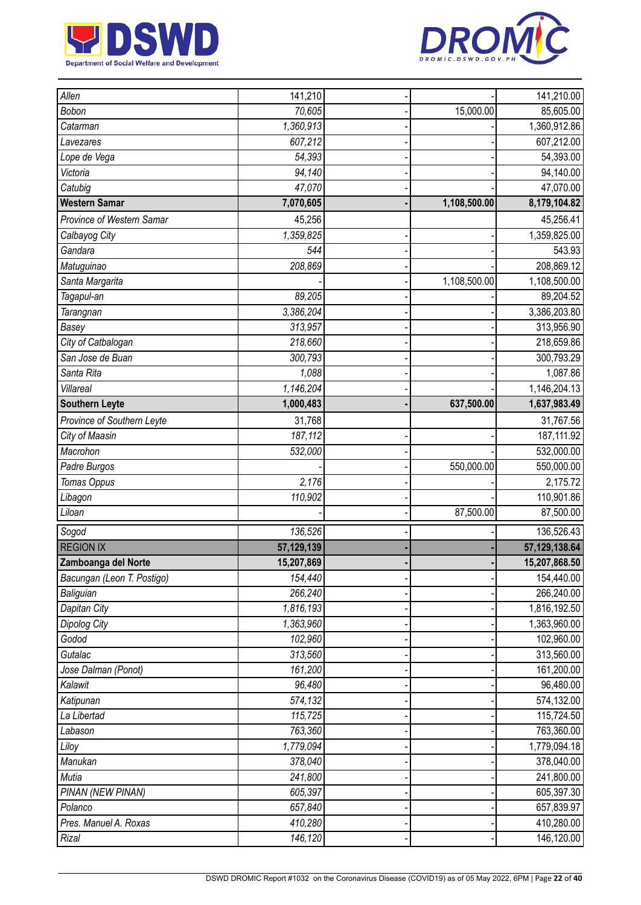



| Allen                      | 141,210    |              | 141,210.00                |
|----------------------------|------------|--------------|---------------------------|
| Bobon                      | 70,605     | 15,000.00    | 85,605.00                 |
| Catarman                   | 1,360,913  |              | 1,360,912.86              |
|                            | 607,212    |              | 607,212.00                |
| Lavezares<br>Lope de Vega  | 54,393     |              | 54,393.00                 |
| Victoria                   | 94,140     |              |                           |
| Catubig                    | 47,070     |              | 94,140.00<br>47,070.00    |
| <b>Western Samar</b>       |            |              |                           |
|                            | 7,070,605  | 1,108,500.00 | 8,179,104.82              |
| Province of Western Samar  | 45,256     |              | 45,256.41                 |
| Calbayog City              | 1,359,825  |              | 1,359,825.00              |
| Gandara                    | 544        |              | 543.93                    |
| Matuguinao                 | 208,869    |              | 208,869.12                |
| Santa Margarita            |            | 1,108,500.00 | 1,108,500.00              |
| Tagapul-an                 | 89,205     |              | 89,204.52                 |
| Tarangnan                  | 3,386,204  |              | 3,386,203.80              |
| Basey                      | 313,957    |              | 313,956.90                |
| City of Catbalogan         | 218,660    |              | 218,659.86                |
| San Jose de Buan           | 300,793    |              | 300,793.29                |
| Santa Rita                 | 1,088      |              | 1,087.86                  |
| Villareal                  | 1,146,204  |              | $\overline{1,}146,204.13$ |
| <b>Southern Leyte</b>      | 1,000,483  | 637,500.00   | 1,637,983.49              |
| Province of Southern Leyte | 31,768     |              | 31,767.56                 |
| City of Maasin             | 187,112    |              | 187, 111.92               |
| Macrohon                   | 532,000    |              | 532,000.00                |
| Padre Burgos               |            | 550,000.00   | 550,000.00                |
| Tomas Oppus                | 2,176      |              | 2,175.72                  |
| Libagon                    | 110,902    |              | 110,901.86                |
| Liloan                     |            | 87,500.00    | 87,500.00                 |
| Sogod                      | 136,526    |              | 136,526.43                |
| <b>REGION IX</b>           | 57,129,139 |              | 57,129,138.64             |
| Zamboanga del Norte        | 15,207,869 |              | 15,207,868.50             |
| Bacungan (Leon T. Postigo) | 154,440    |              | 154,440.00                |
| Baliguian                  | 266,240    |              | 266,240.00                |
| Dapitan City               | 1,816,193  |              | 1,816,192.50              |
| Dipolog City               | 1,363,960  |              | 1,363,960.00              |
| Godod                      | 102,960    |              | 102,960.00                |
| Gutalac                    | 313,560    |              | 313,560.00                |
| Jose Dalman (Ponot)        | 161,200    |              | 161,200.00                |
| Kalawit                    | 96,480     |              | 96,480.00                 |
| Katipunan                  | 574,132    |              | 574,132.00                |
| La Libertad                | 115,725    |              | 115,724.50                |
| Labason                    | 763,360    |              | 763,360.00                |
| Liloy                      | 1,779,094  |              | 1,779,094.18              |
| Manukan                    | 378,040    |              | 378,040.00                |
| Mutia                      | 241,800    |              | 241,800.00                |
| PINAN (NEW PINAN)          | 605,397    |              | 605,397.30                |
| Polanco                    | 657,840    |              | 657,839.97                |
| Pres. Manuel A. Roxas      | 410,280    |              | 410,280.00                |
| Rizal                      | 146,120    |              | 146,120.00                |
|                            |            |              |                           |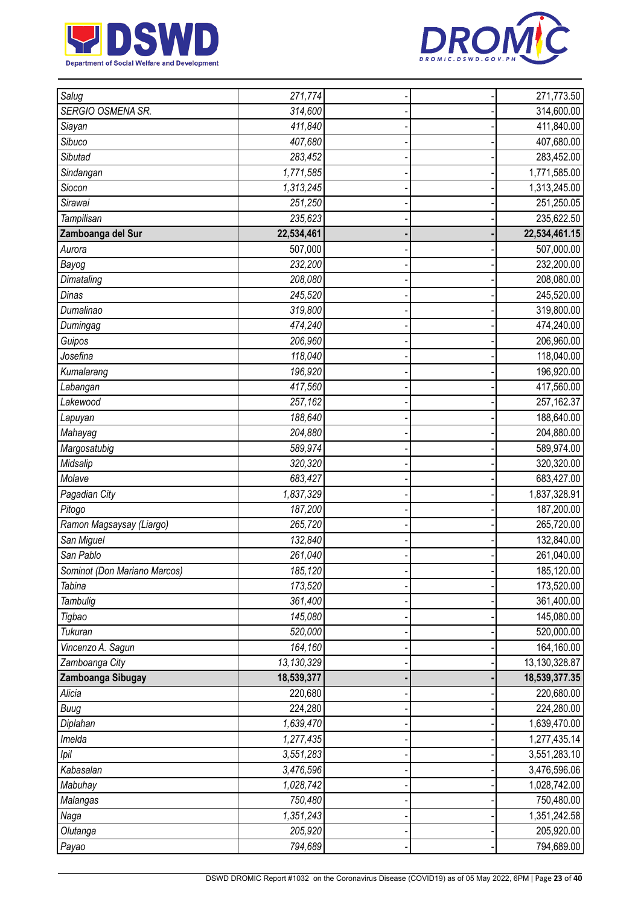



| Salug                        | 271,774    |  | 271,773.50    |
|------------------------------|------------|--|---------------|
| SERGIO OSMENA SR.            | 314,600    |  | 314,600.00    |
| Siayan                       | 411,840    |  | 411,840.00    |
| Sibuco                       | 407,680    |  | 407,680.00    |
| Sibutad                      | 283,452    |  | 283,452.00    |
| Sindangan                    | 1,771,585  |  | 1,771,585.00  |
| Siocon                       | 1,313,245  |  | 1,313,245.00  |
| Sirawai                      | 251,250    |  | 251,250.05    |
| Tampilisan                   | 235,623    |  | 235,622.50    |
| Zamboanga del Sur            | 22,534,461 |  | 22,534,461.15 |
| Aurora                       | 507,000    |  | 507,000.00    |
| Bayog                        | 232,200    |  | 232,200.00    |
| Dimataling                   | 208,080    |  | 208,080.00    |
| Dinas                        | 245,520    |  | 245,520.00    |
| Dumalinao                    | 319,800    |  | 319,800.00    |
| Dumingag                     | 474,240    |  | 474,240.00    |
| Guipos                       | 206,960    |  | 206,960.00    |
| Josefina                     | 118,040    |  | 118,040.00    |
| Kumalarang                   | 196,920    |  | 196,920.00    |
| Labangan                     | 417,560    |  | 417,560.00    |
| Lakewood                     | 257,162    |  | 257,162.37    |
| Lapuyan                      | 188,640    |  | 188,640.00    |
| Mahayag                      | 204,880    |  | 204,880.00    |
| Margosatubig                 | 589,974    |  | 589,974.00    |
| Midsalip                     | 320,320    |  | 320,320.00    |
| Molave                       | 683,427    |  | 683,427.00    |
| Pagadian City                | 1,837,329  |  | 1,837,328.91  |
| Pitogo                       | 187,200    |  | 187,200.00    |
| Ramon Magsaysay (Liargo)     | 265,720    |  | 265,720.00    |
| San Miguel                   | 132,840    |  | 132,840.00    |
| San Pablo                    | 261,040    |  | 261,040.00    |
| Sominot (Don Mariano Marcos) | 185,120    |  | 185,120.00    |
| Tabina                       | 173,520    |  | 173,520.00    |
| Tambulig                     | 361,400    |  | 361,400.00    |
| Tigbao                       | 145,080    |  | 145,080.00    |
| Tukuran                      | 520,000    |  | 520,000.00    |
| Vincenzo A. Sagun            | 164,160    |  | 164,160.00    |
| Zamboanga City               | 13,130,329 |  | 13,130,328.87 |
| Zamboanga Sibugay            | 18,539,377 |  | 18,539,377.35 |
| Alicia                       | 220,680    |  | 220,680.00    |
| Buug                         | 224,280    |  | 224,280.00    |
| Diplahan                     | 1,639,470  |  | 1,639,470.00  |
| Imelda                       | 1,277,435  |  | 1,277,435.14  |
| Ipil                         | 3,551,283  |  | 3,551,283.10  |
| Kabasalan                    | 3,476,596  |  | 3,476,596.06  |
| Mabuhay                      | 1,028,742  |  | 1,028,742.00  |
| Malangas                     | 750,480    |  | 750,480.00    |
| Naga                         | 1,351,243  |  | 1,351,242.58  |
| Olutanga                     | 205,920    |  | 205,920.00    |
| Payao                        | 794,689    |  | 794,689.00    |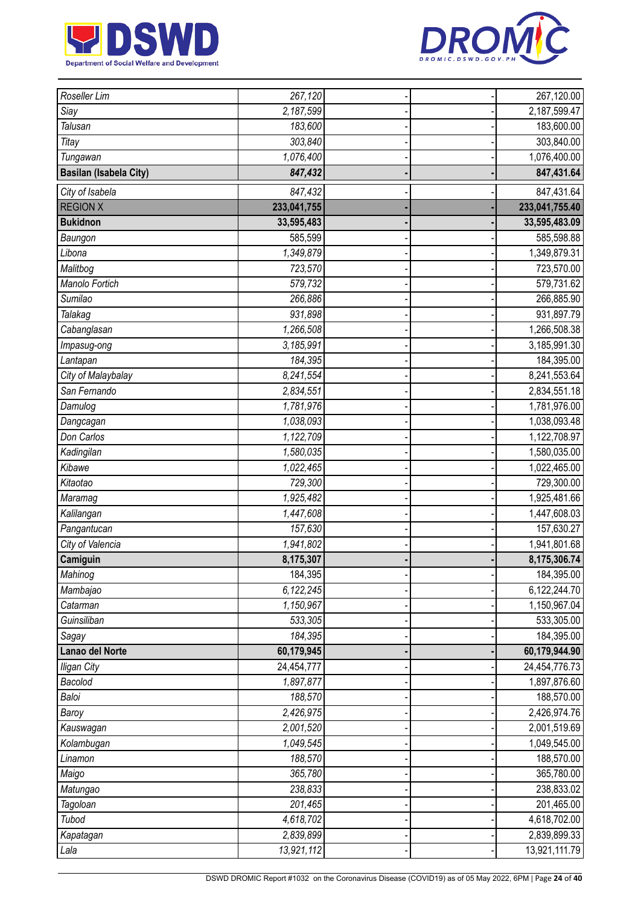



| Roseller Lim                  | 267,120     |  | 267,120.00     |
|-------------------------------|-------------|--|----------------|
| Siay                          | 2,187,599   |  | 2,187,599.47   |
| Talusan                       | 183,600     |  | 183,600.00     |
| Titay                         | 303,840     |  | 303,840.00     |
| Tungawan                      | 1,076,400   |  | 1,076,400.00   |
| <b>Basilan (Isabela City)</b> | 847,432     |  | 847,431.64     |
| City of Isabela               | 847,432     |  | 847,431.64     |
| <b>REGION X</b>               | 233,041,755 |  | 233,041,755.40 |
| <b>Bukidnon</b>               | 33,595,483  |  | 33,595,483.09  |
| Baungon                       | 585,599     |  | 585,598.88     |
| Libona                        | 1,349,879   |  | 1,349,879.31   |
| Malitbog                      | 723,570     |  | 723,570.00     |
| Manolo Fortich                | 579,732     |  | 579,731.62     |
| Sumilao                       | 266,886     |  | 266,885.90     |
| Talakag                       | 931,898     |  | 931,897.79     |
| Cabanglasan                   | 1,266,508   |  | 1,266,508.38   |
| Impasug-ong                   | 3,185,991   |  | 3,185,991.30   |
| Lantapan                      | 184,395     |  | 184,395.00     |
| City of Malaybalay            | 8,241,554   |  | 8,241,553.64   |
| San Fernando                  | 2,834,551   |  | 2,834,551.18   |
| Damulog                       | 1,781,976   |  | 1,781,976.00   |
| Dangcagan                     | 1,038,093   |  | 1,038,093.48   |
| Don Carlos                    | 1,122,709   |  | 1,122,708.97   |
| Kadingilan                    | 1,580,035   |  | 1,580,035.00   |
| Kibawe                        | 1,022,465   |  | 1,022,465.00   |
| Kitaotao                      | 729,300     |  | 729,300.00     |
| Maramag                       | 1,925,482   |  | 1,925,481.66   |
| Kalilangan                    | 1,447,608   |  | 1,447,608.03   |
| Pangantucan                   | 157,630     |  | 157,630.27     |
| City of Valencia              | 1,941,802   |  | 1,941,801.68   |
| Camiguin                      | 8,175,307   |  | 8,175,306.74   |
| Mahinog                       | 184,395     |  | 184,395.00     |
| Mambajao                      | 6,122,245   |  | 6,122,244.70   |
| Catarman                      | 1,150,967   |  | 1,150,967.04   |
| Guinsiliban                   | 533,305     |  | 533,305.00     |
| Sagay                         | 184,395     |  | 184,395.00     |
| Lanao del Norte               | 60,179,945  |  | 60,179,944.90  |
| <b>Iligan City</b>            | 24,454,777  |  | 24,454,776.73  |
| Bacolod                       | 1,897,877   |  | 1,897,876.60   |
| Baloi                         | 188,570     |  | 188,570.00     |
| Baroy                         | 2,426,975   |  | 2,426,974.76   |
| Kauswagan                     | 2,001,520   |  | 2,001,519.69   |
| Kolambugan                    | 1,049,545   |  | 1,049,545.00   |
| Linamon                       | 188,570     |  | 188,570.00     |
| Maigo                         | 365,780     |  | 365,780.00     |
| Matungao                      | 238,833     |  | 238,833.02     |
| Tagoloan                      | 201,465     |  | 201,465.00     |
| Tubod                         | 4,618,702   |  | 4,618,702.00   |
| Kapatagan                     | 2,839,899   |  | 2,839,899.33   |
| Lala                          | 13,921,112  |  | 13,921,111.79  |
|                               |             |  |                |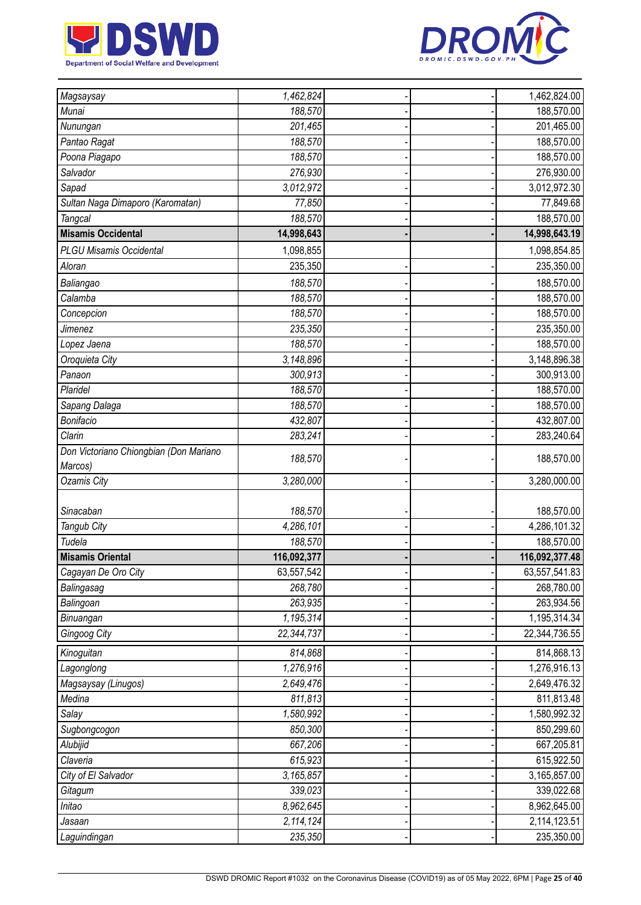



| Magsaysay                              | 1,462,824   |  | 1,462,824.00             |
|----------------------------------------|-------------|--|--------------------------|
| Munai                                  | 188,570     |  | 188,570.00               |
| Nunungan                               | 201,465     |  | 201,465.00               |
| Pantao Ragat                           | 188,570     |  | 188,570.00               |
| Poona Piagapo                          | 188,570     |  | 188,570.00               |
| Salvador                               | 276,930     |  | 276,930.00               |
| Sapad                                  | 3,012,972   |  | 3,012,972.30             |
| Sultan Naga Dimaporo (Karomatan)       | 77,850      |  | 77,849.68                |
| <b>Tangcal</b>                         | 188,570     |  | 188,570.00               |
| <b>Misamis Occidental</b>              | 14,998,643  |  | 14,998,643.19            |
| <b>PLGU Misamis Occidental</b>         | 1,098,855   |  | 1,098,854.85             |
| Aloran                                 | 235,350     |  | 235,350.00               |
| Baliangao                              | 188,570     |  | 188,570.00               |
| Calamba                                | 188,570     |  | 188,570.00               |
| Concepcion                             | 188,570     |  | 188,570.00               |
| Jimenez                                | 235,350     |  | 235,350.00               |
| Lopez Jaena                            | 188,570     |  | 188,570.00               |
| Oroquieta City                         | 3,148,896   |  | 3,148,896.38             |
| Panaon                                 | 300,913     |  | 300,913.00               |
| Plaridel                               | 188,570     |  | 188,570.00               |
|                                        | 188,570     |  | 188,570.00               |
| Sapang Dalaga<br>Bonifacio             | 432,807     |  |                          |
| Clarin                                 | 283,241     |  | 432,807.00<br>283,240.64 |
| Don Victoriano Chiongbian (Don Mariano |             |  |                          |
| Marcos)                                | 188,570     |  | 188,570.00               |
| Ozamis City                            | 3,280,000   |  | 3,280,000.00             |
|                                        |             |  |                          |
| Sinacaban                              | 188,570     |  | 188,570.00               |
| Tangub City                            | 4,286,101   |  | 4,286,101.32             |
| Tudela                                 | 188,570     |  | 188,570.00               |
| <b>Misamis Oriental</b>                | 116,092,377 |  | 116,092,377.48           |
| Cagayan De Oro City                    | 63,557,542  |  | 63,557,541.83            |
| Balingasag                             | 268,780     |  | 268,780.00               |
| Balingoan                              | 263,935     |  | 263,934.56               |
| Binuangan                              | 1,195,314   |  | 1,195,314.34             |
| Gingoog City                           | 22,344,737  |  | 22,344,736.55            |
| Kinoguitan                             | 814,868     |  | 814,868.13               |
| Lagonglong                             | 1,276,916   |  | 1,276,916.13             |
| Magsaysay (Linugos)                    | 2,649,476   |  | 2,649,476.32             |
| Medina                                 | 811,813     |  | 811,813.48               |
| Salay                                  | 1,580,992   |  | 1,580,992.32             |
| Sugbongcogon                           | 850,300     |  | 850,299.60               |
| Alubijid                               | 667,206     |  | 667,205.81               |
| Claveria                               | 615,923     |  | 615,922.50               |
| City of El Salvador                    | 3,165,857   |  | 3,165,857.00             |
| Gitagum                                | 339,023     |  | 339,022.68               |
| Initao                                 | 8,962,645   |  | 8,962,645.00             |
| Jasaan                                 | 2,114,124   |  | 2,114,123.51             |
| Laguindingan                           | 235,350     |  | 235,350.00               |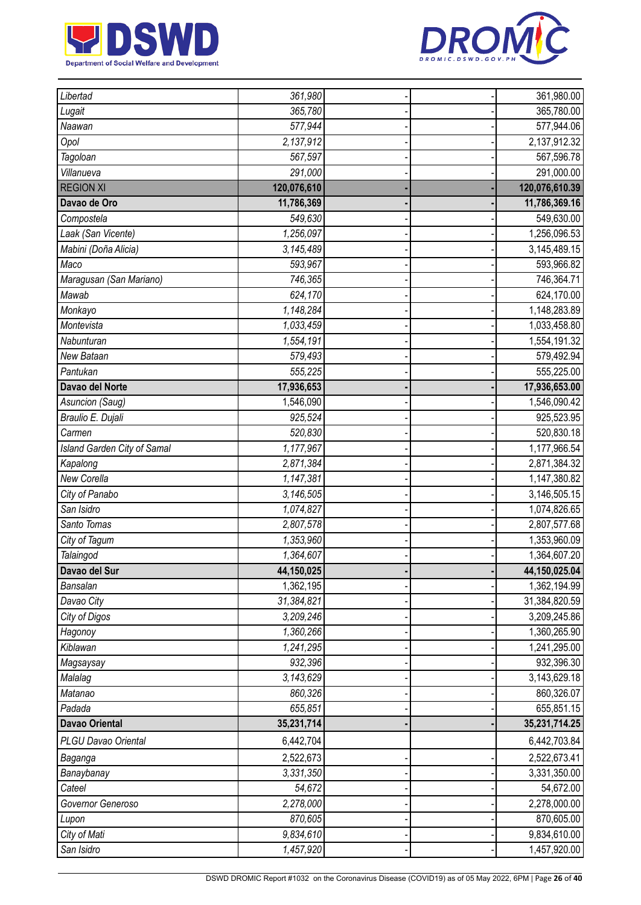



| Libertad                    | 361,980     |  | 361,980.00     |
|-----------------------------|-------------|--|----------------|
| Lugait                      | 365,780     |  | 365,780.00     |
| Naawan                      | 577,944     |  | 577,944.06     |
| Opol                        | 2,137,912   |  | 2,137,912.32   |
| Tagoloan                    | 567,597     |  | 567,596.78     |
| Villanueva                  | 291,000     |  | 291,000.00     |
| <b>REGION XI</b>            | 120,076,610 |  | 120,076,610.39 |
| Davao de Oro                | 11,786,369  |  | 11,786,369.16  |
| Compostela                  | 549,630     |  | 549,630.00     |
| Laak (San Vicente)          | 1,256,097   |  | 1,256,096.53   |
| Mabini (Doña Alicia)        | 3,145,489   |  | 3,145,489.15   |
| Maco                        | 593,967     |  | 593,966.82     |
| Maragusan (San Mariano)     | 746,365     |  | 746,364.71     |
| Mawab                       | 624,170     |  | 624,170.00     |
| Monkayo                     | 1,148,284   |  | 1,148,283.89   |
| Montevista                  | 1,033,459   |  | 1,033,458.80   |
| Nabunturan                  | 1,554,191   |  | 1,554,191.32   |
| New Bataan                  | 579,493     |  | 579,492.94     |
| Pantukan                    | 555,225     |  | 555,225.00     |
| Davao del Norte             | 17,936,653  |  | 17,936,653.00  |
| Asuncion (Saug)             | 1,546,090   |  | 1,546,090.42   |
| Braulio E. Dujali           | 925,524     |  | 925,523.95     |
| Carmen                      | 520,830     |  | 520,830.18     |
| Island Garden City of Samal | 1,177,967   |  | 1,177,966.54   |
| Kapalong                    | 2,871,384   |  | 2,871,384.32   |
| New Corella                 | 1,147,381   |  | 1,147,380.82   |
| City of Panabo              | 3,146,505   |  | 3,146,505.15   |
| San Isidro                  | 1,074,827   |  | 1,074,826.65   |
| Santo Tomas                 | 2,807,578   |  | 2,807,577.68   |
| City of Tagum               | 1,353,960   |  | 1,353,960.09   |
| Talaingod                   | 1,364,607   |  | 1,364,607.20   |
| Davao del Sur               | 44,150,025  |  | 44,150,025.04  |
| Bansalan                    | 1,362,195   |  | 1,362,194.99   |
| Davao City                  | 31,384,821  |  | 31,384,820.59  |
| City of Digos               | 3,209,246   |  | 3,209,245.86   |
| Hagonoy                     | 1,360,266   |  | 1,360,265.90   |
| Kiblawan                    | 1,241,295   |  | 1,241,295.00   |
| Magsaysay                   | 932,396     |  | 932,396.30     |
| Malalag                     | 3,143,629   |  | 3,143,629.18   |
| Matanao                     | 860,326     |  | 860,326.07     |
| Padada                      | 655,851     |  | 655,851.15     |
| <b>Davao Oriental</b>       | 35,231,714  |  | 35,231,714.25  |
| PLGU Davao Oriental         | 6,442,704   |  | 6,442,703.84   |
| Baganga                     | 2,522,673   |  | 2,522,673.41   |
| Banaybanay                  | 3,331,350   |  | 3,331,350.00   |
| Cateel                      | 54,672      |  | 54,672.00      |
| Governor Generoso           | 2,278,000   |  | 2,278,000.00   |
| Lupon                       | 870,605     |  | 870,605.00     |
| City of Mati                | 9,834,610   |  | 9,834,610.00   |
| San Isidro                  | 1,457,920   |  | 1,457,920.00   |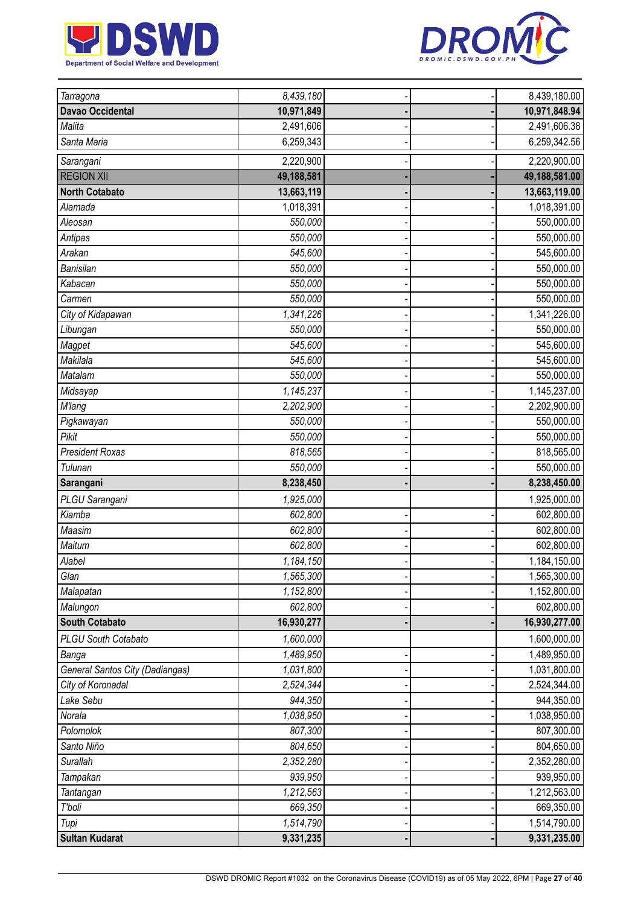



| Tarragona                       | 8,439,180  |  | 8,439,180.00  |
|---------------------------------|------------|--|---------------|
| <b>Davao Occidental</b>         | 10,971,849 |  | 10,971,848.94 |
| Malita                          | 2,491,606  |  | 2,491,606.38  |
| Santa Maria                     | 6,259,343  |  | 6,259,342.56  |
| Sarangani                       | 2,220,900  |  | 2,220,900.00  |
| <b>REGION XII</b>               | 49,188,581 |  | 49,188,581.00 |
| <b>North Cotabato</b>           | 13,663,119 |  | 13,663,119.00 |
| Alamada                         | 1,018,391  |  | 1,018,391.00  |
| Aleosan                         | 550,000    |  | 550,000.00    |
| Antipas                         | 550,000    |  | 550,000.00    |
| Arakan                          | 545,600    |  | 545,600.00    |
| Banisilan                       | 550,000    |  | 550,000.00    |
| Kabacan                         | 550,000    |  | 550,000.00    |
| Carmen                          | 550,000    |  | 550,000.00    |
| City of Kidapawan               | 1,341,226  |  | 1,341,226.00  |
| Libungan                        | 550,000    |  | 550,000.00    |
| Magpet                          | 545,600    |  | 545,600.00    |
| Makilala                        | 545,600    |  | 545,600.00    |
| Matalam                         | 550,000    |  | 550,000.00    |
| Midsayap                        | 1,145,237  |  | 1,145,237.00  |
| <b>M'lang</b>                   | 2,202,900  |  | 2,202,900.00  |
| Pigkawayan                      | 550,000    |  | 550,000.00    |
| Pikit                           | 550,000    |  | 550,000.00    |
| <b>President Roxas</b>          | 818,565    |  | 818,565.00    |
| Tulunan                         | 550,000    |  | 550,000.00    |
| Sarangani                       | 8,238,450  |  | 8,238,450.00  |
| PLGU Sarangani                  | 1,925,000  |  | 1,925,000.00  |
| Kiamba                          | 602,800    |  | 602,800.00    |
| Maasim                          | 602,800    |  | 602,800.00    |
| Maitum                          | 602,800    |  | 602,800.00    |
| Alabel                          | 1,184,150  |  | 1,184,150.00  |
| Glan                            | 1,565,300  |  | 1,565,300.00  |
| Malapatan                       | 1,152,800  |  | 1,152,800.00  |
| Malungon                        |            |  |               |
|                                 | 602,800    |  | 602,800.00    |
| <b>South Cotabato</b>           | 16,930,277 |  | 16,930,277.00 |
| <b>PLGU South Cotabato</b>      | 1,600,000  |  | 1,600,000.00  |
| Banga                           | 1,489,950  |  | 1,489,950.00  |
| General Santos City (Dadiangas) | 1,031,800  |  | 1,031,800.00  |
| City of Koronadal               | 2,524,344  |  | 2,524,344.00  |
| Lake Sebu                       | 944,350    |  | 944,350.00    |
| Norala                          | 1,038,950  |  | 1,038,950.00  |
| Polomolok                       | 807,300    |  | 807,300.00    |
| Santo Niño                      | 804,650    |  | 804,650.00    |
| Surallah                        | 2,352,280  |  | 2,352,280.00  |
| Tampakan                        | 939,950    |  | 939,950.00    |
| Tantangan                       | 1,212,563  |  | 1,212,563.00  |
| T'boli                          | 669,350    |  | 669,350.00    |
| Tupi                            | 1,514,790  |  | 1,514,790.00  |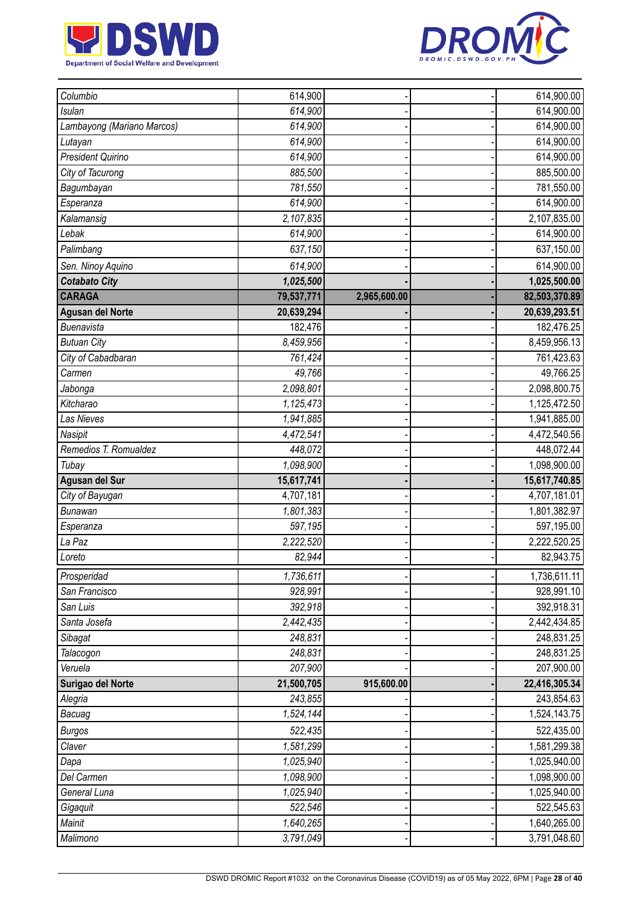



| Columbio                   | 614,900    |              | 614,900.00    |
|----------------------------|------------|--------------|---------------|
| <b>Isulan</b>              | 614,900    |              | 614,900.00    |
| Lambayong (Mariano Marcos) | 614,900    |              | 614,900.00    |
| Lutayan                    | 614,900    |              | 614,900.00    |
| <b>President Quirino</b>   | 614,900    |              | 614,900.00    |
| City of Tacurong           | 885,500    |              | 885,500.00    |
| Bagumbayan                 | 781,550    |              | 781,550.00    |
| Esperanza                  | 614,900    |              | 614,900.00    |
| Kalamansig                 | 2,107,835  |              | 2,107,835.00  |
| Lebak                      | 614,900    |              | 614,900.00    |
| Palimbang                  | 637,150    |              | 637,150.00    |
| Sen. Ninoy Aquino          | 614,900    |              | 614,900.00    |
| <b>Cotabato City</b>       | 1,025,500  |              | 1,025,500.00  |
| <b>CARAGA</b>              | 79,537,771 | 2,965,600.00 | 82,503,370.89 |
| <b>Agusan del Norte</b>    | 20,639,294 |              | 20,639,293.51 |
| Buenavista                 | 182,476    |              | 182,476.25    |
| <b>Butuan City</b>         | 8,459,956  |              | 8,459,956.13  |
| City of Cabadbaran         | 761,424    |              | 761,423.63    |
| Carmen                     | 49,766     |              | 49,766.25     |
| Jabonga                    | 2,098,801  |              | 2,098,800.75  |
| Kitcharao                  | 1,125,473  |              | 1,125,472.50  |
| <b>Las Nieves</b>          | 1,941,885  |              | 1,941,885.00  |
| Nasipit                    | 4,472,541  |              | 4,472,540.56  |
| Remedios T. Romualdez      | 448,072    |              | 448,072.44    |
| Tubay                      | 1,098,900  |              | 1,098,900.00  |
| Agusan del Sur             | 15,617,741 |              | 15,617,740.85 |
| City of Bayugan            | 4,707,181  |              | 4,707,181.01  |
| <b>Bunawan</b>             | 1,801,383  |              | 1,801,382.97  |
| Esperanza                  | 597,195    |              | 597,195.00    |
| La Paz                     | 2,222,520  |              | 2,222,520.25  |
| Loreto                     | 82,944     |              | 82,943.75     |
| Prosperidad                | 1,736,611  |              | 1,736,611.11  |
| San Francisco              | 928,991    |              | 928,991.10    |
| San Luis                   | 392,918    |              | 392,918.31    |
| Santa Josefa               | 2,442,435  |              | 2,442,434.85  |
| Sibagat                    | 248,831    |              | 248,831.25    |
| Talacogon                  | 248,831    |              | 248,831.25    |
| Veruela                    | 207,900    |              | 207,900.00    |
| Surigao del Norte          | 21,500,705 | 915,600.00   | 22,416,305.34 |
| Alegria                    | 243,855    |              | 243,854.63    |
| Bacuag                     | 1,524,144  |              | 1,524,143.75  |
| <b>Burgos</b>              | 522,435    |              | 522,435.00    |
| Claver                     | 1,581,299  |              | 1,581,299.38  |
| Dapa                       | 1,025,940  |              | 1,025,940.00  |
| Del Carmen                 | 1,098,900  |              | 1,098,900.00  |
| General Luna               | 1,025,940  |              | 1,025,940.00  |
| Gigaquit                   | 522,546    |              | 522,545.63    |
| Mainit                     | 1,640,265  |              | 1,640,265.00  |
| Malimono                   | 3,791,049  |              | 3,791,048.60  |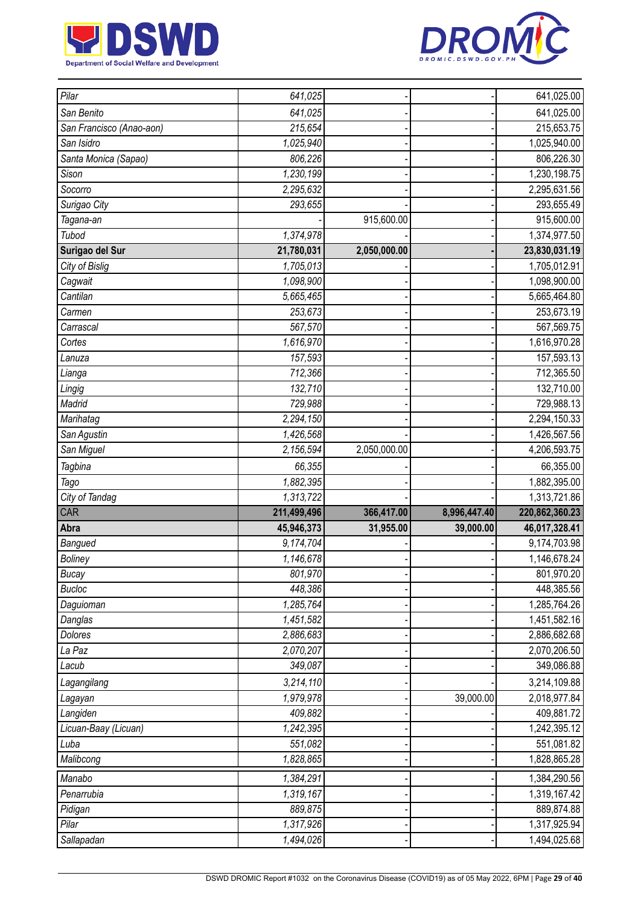



| Pilar                    | 641,025     |              |              | 641,025.00     |
|--------------------------|-------------|--------------|--------------|----------------|
| San Benito               | 641,025     |              |              | 641,025.00     |
| San Francisco (Anao-aon) | 215,654     |              |              | 215,653.75     |
| San Isidro               | 1,025,940   |              |              | 1,025,940.00   |
| Santa Monica (Sapao)     | 806,226     |              |              | 806,226.30     |
| Sison                    | 1,230,199   |              |              | 1,230,198.75   |
| Socorro                  | 2,295,632   |              |              | 2,295,631.56   |
| Surigao City             | 293,655     |              |              | 293,655.49     |
| Tagana-an                |             | 915,600.00   |              | 915,600.00     |
| Tubod                    | 1,374,978   |              |              | 1,374,977.50   |
| Surigao del Sur          | 21,780,031  | 2,050,000.00 |              | 23,830,031.19  |
| City of Bislig           | 1,705,013   |              |              | 1,705,012.91   |
| Cagwait                  | 1,098,900   |              |              | 1,098,900.00   |
| Cantilan                 | 5,665,465   |              |              | 5,665,464.80   |
| Carmen                   | 253,673     |              |              | 253,673.19     |
| Carrascal                | 567,570     |              |              | 567,569.75     |
| Cortes                   | 1,616,970   |              |              | 1,616,970.28   |
| Lanuza                   | 157,593     |              |              | 157,593.13     |
| Lianga                   | 712,366     |              |              | 712,365.50     |
| Lingig                   | 132,710     |              |              | 132,710.00     |
| Madrid                   | 729,988     |              |              | 729,988.13     |
| Marihatag                | 2,294,150   |              |              | 2,294,150.33   |
| San Agustin              | 1,426,568   |              |              | 1,426,567.56   |
| San Miguel               | 2,156,594   | 2,050,000.00 |              | 4,206,593.75   |
|                          |             |              |              |                |
| Tagbina                  | 66,355      |              |              | 66,355.00      |
| Tago                     | 1,882,395   |              |              | 1,882,395.00   |
| City of Tandag           | 1,313,722   |              |              | 1,313,721.86   |
| CAR                      | 211,499,496 | 366,417.00   | 8,996,447.40 | 220,862,360.23 |
| Abra                     | 45,946,373  | 31,955.00    | 39,000.00    | 46,017,328.41  |
| Bangued                  | 9,174,704   |              |              | 9,174,703.98   |
| <b>Boliney</b>           | 1,146,678   |              |              | 1,146,678.24   |
| <b>Bucay</b>             | 801,970     |              |              | 801,970.20     |
| <b>Bucloc</b>            | 448,386     |              |              | 448,385.56     |
| Daguioman                | 1,285,764   |              |              | 1,285,764.26   |
| Danglas                  | 1,451,582   |              |              | 1,451,582.16   |
| Dolores                  | 2,886,683   |              |              | 2,886,682.68   |
| La Paz                   | 2,070,207   |              |              | 2,070,206.50   |
| Lacub                    | 349,087     |              |              | 349,086.88     |
| Lagangilang              | 3,214,110   |              |              | 3,214,109.88   |
| Lagayan                  | 1,979,978   |              | 39,000.00    | 2,018,977.84   |
| Langiden                 | 409,882     |              |              | 409,881.72     |
| Licuan-Baay (Licuan)     | 1,242,395   |              |              | 1,242,395.12   |
| Luba                     | 551,082     |              |              | 551,081.82     |
| Malibcong                | 1,828,865   |              |              | 1,828,865.28   |
| Manabo                   | 1,384,291   |              |              | 1,384,290.56   |
| Penarrubia               | 1,319,167   |              |              | 1,319,167.42   |
| Pidigan                  | 889,875     |              |              | 889,874.88     |
| Pilar                    | 1,317,926   |              |              | 1,317,925.94   |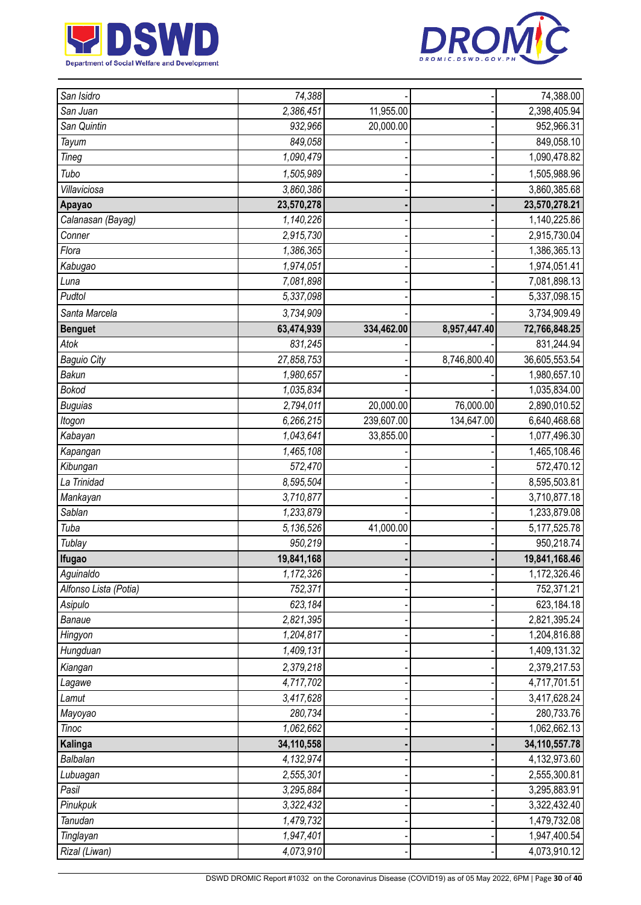



| San Isidro            | 74,388     |            |              | 74,388.00       |
|-----------------------|------------|------------|--------------|-----------------|
| San Juan              | 2,386,451  | 11,955.00  |              | 2,398,405.94    |
| San Quintin           | 932,966    | 20,000.00  |              | 952,966.31      |
| Tayum                 | 849,058    |            |              | 849,058.10      |
| Tineg                 | 1,090,479  |            |              | 1,090,478.82    |
| Tubo                  | 1,505,989  |            |              | 1,505,988.96    |
| Villaviciosa          | 3,860,386  |            |              | 3,860,385.68    |
| Apayao                | 23,570,278 |            |              | 23,570,278.21   |
| Calanasan (Bayag)     | 1,140,226  |            |              | 1,140,225.86    |
| Conner                | 2,915,730  |            |              | 2,915,730.04    |
| Flora                 | 1,386,365  |            |              | 1,386,365.13    |
| Kabugao               | 1,974,051  |            |              | 1,974,051.41    |
| Luna                  | 7,081,898  |            |              | 7,081,898.13    |
| Pudtol                | 5,337,098  |            |              | 5,337,098.15    |
| Santa Marcela         | 3,734,909  |            |              | 3,734,909.49    |
| <b>Benguet</b>        | 63,474,939 | 334,462.00 | 8,957,447.40 | 72,766,848.25   |
| Atok                  | 831,245    |            |              | 831,244.94      |
| <b>Baguio City</b>    | 27,858,753 |            | 8,746,800.40 | 36,605,553.54   |
| Bakun                 | 1,980,657  |            |              | 1,980,657.10    |
| <b>Bokod</b>          | 1,035,834  |            |              | 1,035,834.00    |
| <b>Buguias</b>        | 2,794,011  | 20,000.00  | 76,000.00    | 2,890,010.52    |
| Itogon                | 6,266,215  | 239,607.00 | 134,647.00   | 6,640,468.68    |
| Kabayan               | 1,043,641  | 33,855.00  |              | 1,077,496.30    |
| Kapangan              | 1,465,108  |            |              | 1,465,108.46    |
| Kibungan              | 572,470    |            |              | 572,470.12      |
| La Trinidad           | 8,595,504  |            |              | 8,595,503.81    |
| Mankayan              | 3,710,877  |            |              | 3,710,877.18    |
| Sablan                | 1,233,879  |            |              | 1,233,879.08    |
| Tuba                  | 5,136,526  | 41,000.00  |              | 5, 177, 525. 78 |
| Tublay                | 950,219    |            |              | 950,218.74      |
| Ifugao                | 19,841,168 |            |              | 19,841,168.46   |
| Aguinaldo             | 1,172,326  |            |              | 1,172,326.46    |
| Alfonso Lista (Potia) | 752,371    |            |              | 752,371.21      |
| Asipulo               | 623,184    |            |              | 623,184.18      |
| Banaue                | 2,821,395  |            |              | 2,821,395.24    |
| Hingyon               | 1,204,817  |            |              | 1,204,816.88    |
| Hungduan              | 1,409,131  |            |              | 1,409,131.32    |
| Kiangan               | 2,379,218  |            |              | 2,379,217.53    |
| Lagawe                | 4,717,702  |            |              | 4,717,701.51    |
| Lamut                 | 3,417,628  |            |              | 3,417,628.24    |
| Mayoyao               | 280,734    |            |              | 280,733.76      |
| <b>Tinoc</b>          | 1,062,662  |            |              | 1,062,662.13    |
| Kalinga               | 34,110,558 |            |              | 34,110,557.78   |
| Balbalan              | 4,132,974  |            |              | 4,132,973.60    |
| Lubuagan              | 2,555,301  |            |              | 2,555,300.81    |
| Pasil                 | 3,295,884  |            |              | 3,295,883.91    |
| Pinukpuk              | 3,322,432  |            |              | 3,322,432.40    |
| Tanudan               | 1,479,732  |            |              | 1,479,732.08    |
| Tinglayan             | 1,947,401  |            |              | 1,947,400.54    |
| Rizal (Liwan)         | 4,073,910  |            |              | 4,073,910.12    |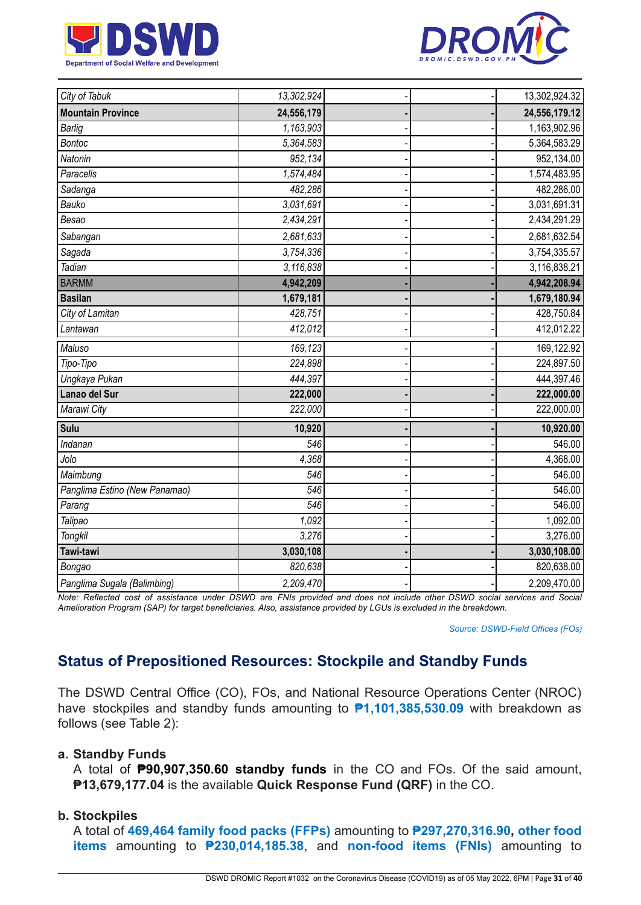



| City of Tabuk                 | 13,302,924 |  | 13,302,924.32 |
|-------------------------------|------------|--|---------------|
| <b>Mountain Province</b>      | 24,556,179 |  | 24,556,179.12 |
| <b>Barlig</b>                 | 1,163,903  |  | 1,163,902.96  |
| <b>Bontoc</b>                 | 5,364,583  |  | 5,364,583.29  |
| Natonin                       | 952,134    |  | 952,134.00    |
| Paracelis                     | 1,574,484  |  | 1,574,483.95  |
| Sadanga                       | 482,286    |  | 482,286.00    |
| Bauko                         | 3,031,691  |  | 3,031,691.31  |
| Besao                         | 2,434,291  |  | 2,434,291.29  |
| Sabangan                      | 2,681,633  |  | 2,681,632.54  |
| Sagada                        | 3,754,336  |  | 3,754,335.57  |
| Tadian                        | 3,116,838  |  | 3,116,838.21  |
| <b>BARMM</b>                  | 4,942,209  |  | 4,942,208.94  |
| <b>Basilan</b>                | 1,679,181  |  | 1,679,180.94  |
| City of Lamitan               | 428,751    |  | 428,750.84    |
| Lantawan                      | 412,012    |  | 412,012.22    |
| Maluso                        | 169,123    |  | 169,122.92    |
| Tipo-Tipo                     | 224,898    |  | 224,897.50    |
| Ungkaya Pukan                 | 444,397    |  | 444,397.46    |
| Lanao del Sur                 | 222,000    |  | 222,000.00    |
| Marawi City                   | 222,000    |  | 222,000.00    |
| Sulu                          | 10,920     |  | 10,920.00     |
| Indanan                       | 546        |  | 546.00        |
| Jolo                          | 4.368      |  | 4,368.00      |
| Maimbung                      | 546        |  | 546.00        |
| Panglima Estino (New Panamao) | 546        |  | 546.00        |
| Parang                        | 546        |  | 546.00        |
| Talipao                       | 1,092      |  | 1,092.00      |
| <b>Tongkil</b>                | 3,276      |  | 3,276.00      |
| Tawi-tawi                     | 3,030,108  |  | 3,030,108.00  |
| Bongao                        | 820,638    |  | 820,638.00    |
| Panglima Sugala (Balimbing)   | 2,209,470  |  | 2,209,470.00  |

Note: Reflected cost of assistance under DSWD are FNIs provided and does not include other DSWD social services and Social Amelioration Program (SAP) for target beneficiaries. Also, assistance provided by LGUs is excluded in the breakdown.

*Source: DSWD-Field Offices (FOs)*

# **Status of Prepositioned Resources: Stockpile and Standby Funds**

The DSWD Central Office (CO), FOs, and National Resource Operations Center (NROC) have stockpiles and standby funds amounting to **₱1,101,385,530.09** with breakdown as follows (see Table 2):

#### **a. Standby Funds**

A total of **₱90,907,350.60 standby funds** in the CO and FOs. Of the said amount, **₱13,679,177.04** is the available **Quick Response Fund (QRF)** in the CO.

#### **b. Stockpiles**

A total of **469,464 family food packs (FFPs)** amounting to **₱297,270,316.90, other food items** amounting to **₱230,014,185.38**, and **non-food items (FNIs)** amounting to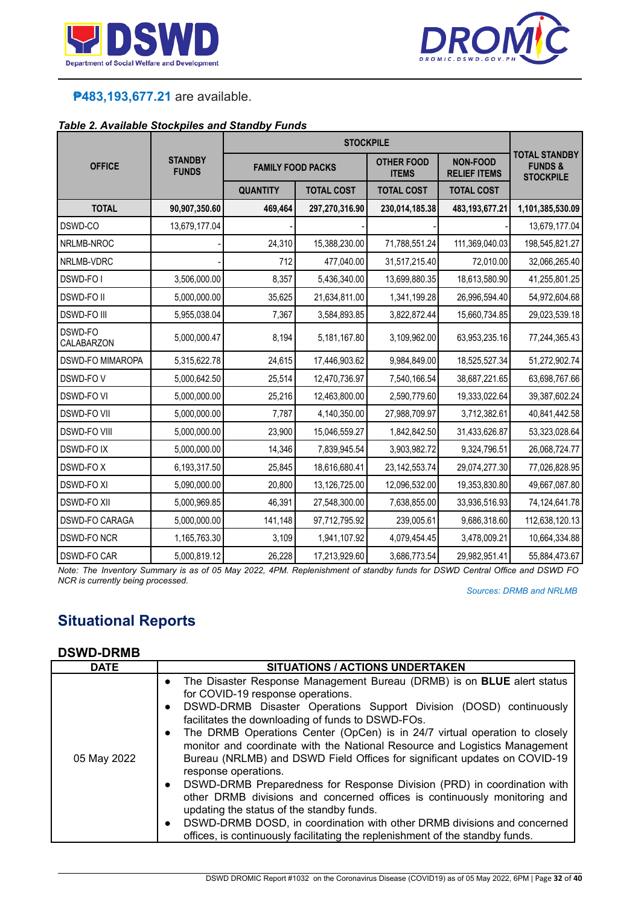



# **₱483,193,677.21** are available.

#### *Table 2. Available Stockpiles and Standby Funds*

| <b>OFFICE</b>           | <b>STANDBY</b><br><b>FUNDS</b> | <b>FAMILY FOOD PACKS</b> |                   | <b>OTHER FOOD</b><br><b>ITEMS</b> | <b>NON-FOOD</b><br><b>RELIEF ITEMS</b> | <b>TOTAL STANDBY</b><br><b>FUNDS&amp;</b><br><b>STOCKPILE</b> |
|-------------------------|--------------------------------|--------------------------|-------------------|-----------------------------------|----------------------------------------|---------------------------------------------------------------|
|                         |                                | <b>QUANTITY</b>          | <b>TOTAL COST</b> | <b>TOTAL COST</b>                 | <b>TOTAL COST</b>                      |                                                               |
| <b>TOTAL</b>            | 90,907,350.60                  | 469,464                  | 297,270,316.90    | 230,014,185.38                    | 483, 193, 677. 21                      | 1,101,385,530.09                                              |
| DSWD-CO                 | 13,679,177.04                  |                          |                   |                                   |                                        | 13,679,177.04                                                 |
| NRLMB-NROC              |                                | 24,310                   | 15,388,230.00     | 71,788,551.24                     | 111,369,040.03                         | 198,545,821.27                                                |
| NRLMB-VDRC              |                                | 712                      | 477,040.00        | 31,517,215.40                     | 72,010.00                              | 32,066,265.40                                                 |
| DSWD-FO I               | 3,506,000.00                   | 8,357                    | 5,436,340.00      | 13,699,880.35                     | 18,613,580.90                          | 41,255,801.25                                                 |
| <b>DSWD-FOII</b>        | 5,000,000.00                   | 35,625                   | 21,634,811.00     | 1,341,199.28                      | 26,996,594.40                          | 54,972,604.68                                                 |
| <b>DSWD-FO III</b>      | 5,955,038.04                   | 7,367                    | 3,584,893.85      | 3,822,872.44                      | 15,660,734.85                          | 29,023,539.18                                                 |
| DSWD-FO<br>CALABARZON   | 5,000,000.47                   | 8,194                    | 5,181,167.80      | 3,109,962.00                      | 63,953,235.16                          | 77,244,365.43                                                 |
| <b>DSWD-FO MIMAROPA</b> | 5,315,622.78                   | 24,615                   | 17,446,903.62     | 9,984,849.00                      | 18,525,527.34                          | 51,272,902.74                                                 |
| DSWD-FOV                | 5,000,642.50                   | 25,514                   | 12,470,736.97     | 7,540,166.54                      | 38,687,221.65                          | 63,698,767.66                                                 |
| <b>DSWD-FO VI</b>       | 5,000,000.00                   | 25,216                   | 12,463,800.00     | 2,590,779.60                      | 19,333,022.64                          | 39,387,602.24                                                 |
| <b>DSWD-FO VII</b>      | 5,000,000.00                   | 7,787                    | 4,140,350.00      | 27,988,709.97                     | 3,712,382.61                           | 40,841,442.58                                                 |
| <b>DSWD-FO VIII</b>     | 5,000,000.00                   | 23,900                   | 15,046,559.27     | 1,842,842.50                      | 31,433,626.87                          | 53,323,028.64                                                 |
| <b>DSWD-FOIX</b>        | 5,000,000.00                   | 14,346                   | 7,839,945.54      | 3,903,982.72                      | 9,324,796.51                           | 26,068,724.77                                                 |
| DSWD-FOX                | 6,193,317.50                   | 25,845                   | 18,616,680.41     | 23, 142, 553. 74                  | 29,074,277.30                          | 77,026,828.95                                                 |
| <b>DSWD-FO XI</b>       | 5,090,000.00                   | 20,800                   | 13,126,725.00     | 12,096,532.00                     | 19,353,830.80                          | 49,667,087.80                                                 |
| <b>DSWD-FO XII</b>      | 5,000,969.85                   | 46,391                   | 27,548,300.00     | 7,638,855.00                      | 33,936,516.93                          | 74,124,641.78                                                 |
| <b>DSWD-FO CARAGA</b>   | 5,000,000.00                   | 141,148                  | 97,712,795.92     | 239,005.61                        | 9,686,318.60                           | 112,638,120.13                                                |
| <b>DSWD-FO NCR</b>      | 1,165,763.30                   | 3,109                    | 1,941,107.92      | 4,079,454.45                      | 3,478,009.21                           | 10,664,334.88                                                 |
| <b>DSWD-FO CAR</b>      | 5,000,819.12                   | 26,228                   | 17,213,929.60     | 3,686,773.54                      | 29,982,951.41                          | 55,884,473.67                                                 |

Note: The Inventory Summary is as of 05 May 2022, 4PM. Replenishment of standby funds for DSWD Central Office and DSWD FO *NCR is currently being processed.*

*Sources: DRMB and NRLMB*

# **Situational Reports**

#### **DSWD-DRMB**

| <b>DATE</b> | <b>SITUATIONS / ACTIONS UNDERTAKEN</b>                                                                                                                                                                                                                                                                                                                                                                                                                                                                                                                                                                                                                                                                                                                                                                                                                                                                                                |
|-------------|---------------------------------------------------------------------------------------------------------------------------------------------------------------------------------------------------------------------------------------------------------------------------------------------------------------------------------------------------------------------------------------------------------------------------------------------------------------------------------------------------------------------------------------------------------------------------------------------------------------------------------------------------------------------------------------------------------------------------------------------------------------------------------------------------------------------------------------------------------------------------------------------------------------------------------------|
| 05 May 2022 | The Disaster Response Management Bureau (DRMB) is on <b>BLUE</b> alert status<br>$\bullet$<br>for COVID-19 response operations.<br>DSWD-DRMB Disaster Operations Support Division (DOSD) continuously<br>$\bullet$<br>facilitates the downloading of funds to DSWD-FOs.<br>The DRMB Operations Center (OpCen) is in 24/7 virtual operation to closely<br>$\bullet$<br>monitor and coordinate with the National Resource and Logistics Management<br>Bureau (NRLMB) and DSWD Field Offices for significant updates on COVID-19<br>response operations.<br>• DSWD-DRMB Preparedness for Response Division (PRD) in coordination with<br>other DRMB divisions and concerned offices is continuously monitoring and<br>updating the status of the standby funds.<br>DSWD-DRMB DOSD, in coordination with other DRMB divisions and concerned<br>$\bullet$<br>offices, is continuously facilitating the replenishment of the standby funds. |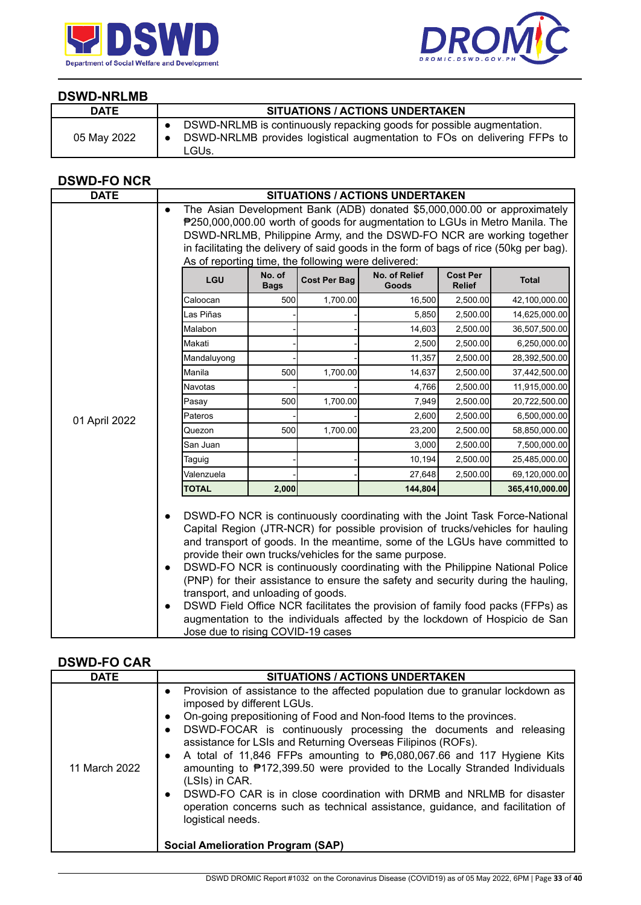



### **DSWD-NRLMB**

| <b>DATE</b> | <b>SITUATIONS / ACTIONS UNDERTAKEN</b>                                                                                                                     |
|-------------|------------------------------------------------------------------------------------------------------------------------------------------------------------|
| 05 May 2022 | DSWD-NRLMB is continuously repacking goods for possible augmentation.<br>DSWD-NRLMB provides logistical augmentation to FOs on delivering FFPs to<br>LGUs. |

## **DSWD-FO NCR**

| <b>DATE</b>   |                                                                                                                                                                                                                                                                                                                                                                                                 |                       |                     | <b>SITUATIONS / ACTIONS UNDERTAKEN</b>                                                                                                                                                                                                                                                                                                                                                                                                                                                                                                                        |                                  |                                                                             |
|---------------|-------------------------------------------------------------------------------------------------------------------------------------------------------------------------------------------------------------------------------------------------------------------------------------------------------------------------------------------------------------------------------------------------|-----------------------|---------------------|---------------------------------------------------------------------------------------------------------------------------------------------------------------------------------------------------------------------------------------------------------------------------------------------------------------------------------------------------------------------------------------------------------------------------------------------------------------------------------------------------------------------------------------------------------------|----------------------------------|-----------------------------------------------------------------------------|
|               | The Asian Development Bank (ADB) donated \$5,000,000.00 or approximately<br>$\bullet$<br>₱250,000,000.00 worth of goods for augmentation to LGUs in Metro Manila. The<br>DSWD-NRLMB, Philippine Army, and the DSWD-FO NCR are working together<br>in facilitating the delivery of said goods in the form of bags of rice (50kg per bag).<br>As of reporting time, the following were delivered: |                       |                     |                                                                                                                                                                                                                                                                                                                                                                                                                                                                                                                                                               |                                  |                                                                             |
|               | LGU                                                                                                                                                                                                                                                                                                                                                                                             | No. of<br><b>Bags</b> | <b>Cost Per Bag</b> | No. of Relief<br>Goods                                                                                                                                                                                                                                                                                                                                                                                                                                                                                                                                        | <b>Cost Per</b><br><b>Relief</b> | <b>Total</b>                                                                |
|               | Caloocan                                                                                                                                                                                                                                                                                                                                                                                        | 500                   | 1,700.00            | 16,500                                                                                                                                                                                                                                                                                                                                                                                                                                                                                                                                                        | 2,500.00                         | 42,100,000.00                                                               |
|               | Las Piñas                                                                                                                                                                                                                                                                                                                                                                                       |                       |                     | 5,850                                                                                                                                                                                                                                                                                                                                                                                                                                                                                                                                                         | 2,500.00                         | 14,625,000.00                                                               |
|               | Malabon                                                                                                                                                                                                                                                                                                                                                                                         |                       |                     | 14,603                                                                                                                                                                                                                                                                                                                                                                                                                                                                                                                                                        | 2,500.00                         | 36,507,500.00                                                               |
|               | Makati                                                                                                                                                                                                                                                                                                                                                                                          |                       |                     | 2,500                                                                                                                                                                                                                                                                                                                                                                                                                                                                                                                                                         | 2,500.00                         | 6,250,000.00                                                                |
|               | Mandaluyong                                                                                                                                                                                                                                                                                                                                                                                     |                       |                     | 11,357                                                                                                                                                                                                                                                                                                                                                                                                                                                                                                                                                        | 2,500.00                         | 28,392,500.00                                                               |
|               | Manila                                                                                                                                                                                                                                                                                                                                                                                          | 500                   | 1,700.00            | 14,637                                                                                                                                                                                                                                                                                                                                                                                                                                                                                                                                                        | 2,500.00                         | 37,442,500.00                                                               |
|               | <b>Navotas</b>                                                                                                                                                                                                                                                                                                                                                                                  |                       |                     | 4,766                                                                                                                                                                                                                                                                                                                                                                                                                                                                                                                                                         | 2,500.00                         | 11,915,000.00                                                               |
|               | Pasay                                                                                                                                                                                                                                                                                                                                                                                           | 500                   | 1,700.00            | 7,949                                                                                                                                                                                                                                                                                                                                                                                                                                                                                                                                                         | 2,500.00                         | 20,722,500.00                                                               |
| 01 April 2022 | Pateros                                                                                                                                                                                                                                                                                                                                                                                         |                       |                     | 2,600                                                                                                                                                                                                                                                                                                                                                                                                                                                                                                                                                         | 2,500.00                         | 6,500,000.00                                                                |
|               | Quezon                                                                                                                                                                                                                                                                                                                                                                                          | 500                   | 1,700.00            | 23,200                                                                                                                                                                                                                                                                                                                                                                                                                                                                                                                                                        | 2,500.00                         | 58,850,000.00                                                               |
|               | San Juan                                                                                                                                                                                                                                                                                                                                                                                        |                       |                     | 3,000                                                                                                                                                                                                                                                                                                                                                                                                                                                                                                                                                         | 2,500.00                         | 7,500,000.00                                                                |
|               | Taguig                                                                                                                                                                                                                                                                                                                                                                                          |                       |                     | 10,194                                                                                                                                                                                                                                                                                                                                                                                                                                                                                                                                                        | 2,500.00                         | 25,485,000.00                                                               |
|               | Valenzuela                                                                                                                                                                                                                                                                                                                                                                                      |                       |                     | 27,648                                                                                                                                                                                                                                                                                                                                                                                                                                                                                                                                                        | 2,500.00                         | 69,120,000.00                                                               |
|               | <b>TOTAL</b>                                                                                                                                                                                                                                                                                                                                                                                    | 2,000                 |                     | 144,804                                                                                                                                                                                                                                                                                                                                                                                                                                                                                                                                                       |                                  | 365,410,000.00                                                              |
|               | $\bullet$<br>$\bullet$<br>transport, and unloading of goods.<br>$\bullet$<br>Jose due to rising COVID-19 cases                                                                                                                                                                                                                                                                                  |                       |                     | DSWD-FO NCR is continuously coordinating with the Joint Task Force-National<br>Capital Region (JTR-NCR) for possible provision of trucks/vehicles for hauling<br>and transport of goods. In the meantime, some of the LGUs have committed to<br>provide their own trucks/vehicles for the same purpose.<br>DSWD-FO NCR is continuously coordinating with the Philippine National Police<br>(PNP) for their assistance to ensure the safety and security during the hauling,<br>DSWD Field Office NCR facilitates the provision of family food packs (FFPs) as |                                  | augmentation to the individuals affected by the lockdown of Hospicio de San |

## **DSWD-FO CAR**

| <b>DATE</b>   | <b>SITUATIONS / ACTIONS UNDERTAKEN</b>                                                                                                                                                                                                                                                                                                                                                                                                                                                                                                                                                                                                                                                                                                                                                                      |
|---------------|-------------------------------------------------------------------------------------------------------------------------------------------------------------------------------------------------------------------------------------------------------------------------------------------------------------------------------------------------------------------------------------------------------------------------------------------------------------------------------------------------------------------------------------------------------------------------------------------------------------------------------------------------------------------------------------------------------------------------------------------------------------------------------------------------------------|
| 11 March 2022 | Provision of assistance to the affected population due to granular lockdown as<br>$\bullet$<br>imposed by different LGUs.<br>On-going prepositioning of Food and Non-food Items to the provinces.<br>$\bullet$<br>DSWD-FOCAR is continuously processing the documents and releasing<br>$\bullet$<br>assistance for LSIs and Returning Overseas Filipinos (ROFs).<br>A total of 11,846 FFPs amounting to $\mathbf{P}6,080,067.66$ and 117 Hygiene Kits<br>$\bullet$<br>amounting to ₱172,399.50 were provided to the Locally Stranded Individuals<br>(LSIs) in CAR.<br>DSWD-FO CAR is in close coordination with DRMB and NRLMB for disaster<br>$\bullet$<br>operation concerns such as technical assistance, guidance, and facilitation of<br>logistical needs.<br><b>Social Amelioration Program (SAP)</b> |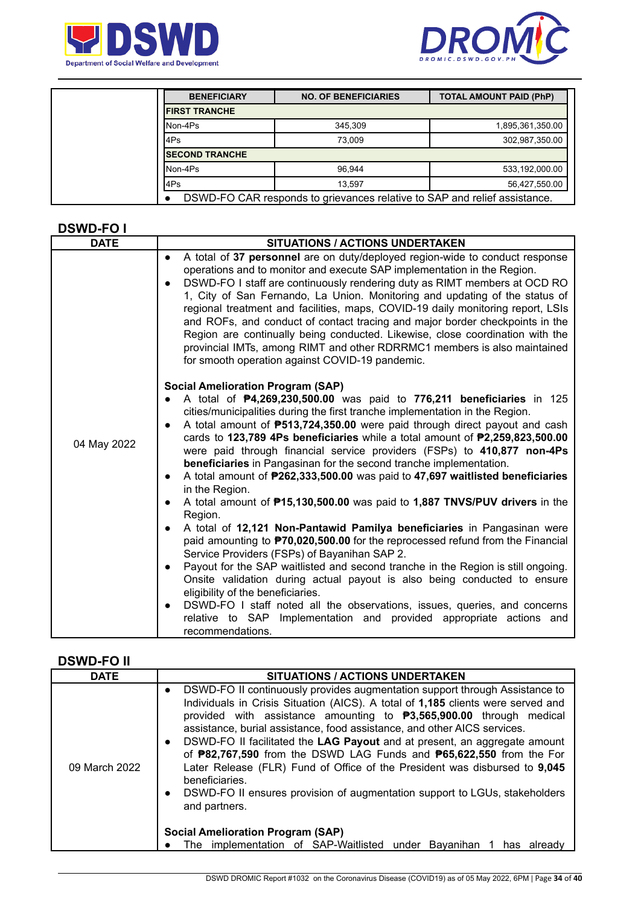



| <b>BENEFICIARY</b>     | <b>NO. OF BENEFICIARIES</b>                                               | <b>TOTAL AMOUNT PAID (PhP)</b> |
|------------------------|---------------------------------------------------------------------------|--------------------------------|
| <b>IFIRST TRANCHE</b>  |                                                                           |                                |
| Non-4Ps                | 345.309                                                                   | 1,895,361,350.00               |
| l4Ps                   | 73.009                                                                    | 302,987,350.00                 |
| <b>ISECOND TRANCHE</b> |                                                                           |                                |
| Non-4Ps                | 96.944                                                                    | 533,192,000.00                 |
| l4Ps                   | 13.597                                                                    | 56,427,550.00                  |
|                        | DSWD-FO CAR responds to grievances relative to SAP and relief assistance. |                                |

#### **DSWD-FO I**

| <b>DATE</b> | <b>SITUATIONS / ACTIONS UNDERTAKEN</b>                                                                                                                                                                                                                                                                                                                                                                                                                                                                                                                                                                                                                                                                                                                                                                                                                                                                                                                                                                                                                                                                                                                                                                                                                                                                                                                                                   |
|-------------|------------------------------------------------------------------------------------------------------------------------------------------------------------------------------------------------------------------------------------------------------------------------------------------------------------------------------------------------------------------------------------------------------------------------------------------------------------------------------------------------------------------------------------------------------------------------------------------------------------------------------------------------------------------------------------------------------------------------------------------------------------------------------------------------------------------------------------------------------------------------------------------------------------------------------------------------------------------------------------------------------------------------------------------------------------------------------------------------------------------------------------------------------------------------------------------------------------------------------------------------------------------------------------------------------------------------------------------------------------------------------------------|
|             | A total of 37 personnel are on duty/deployed region-wide to conduct response<br>$\bullet$<br>operations and to monitor and execute SAP implementation in the Region.<br>DSWD-FO I staff are continuously rendering duty as RIMT members at OCD RO<br>$\bullet$<br>1, City of San Fernando, La Union. Monitoring and updating of the status of<br>regional treatment and facilities, maps, COVID-19 daily monitoring report, LSIs<br>and ROFs, and conduct of contact tracing and major border checkpoints in the<br>Region are continually being conducted. Likewise, close coordination with the<br>provincial IMTs, among RIMT and other RDRRMC1 members is also maintained<br>for smooth operation against COVID-19 pandemic.                                                                                                                                                                                                                                                                                                                                                                                                                                                                                                                                                                                                                                                         |
| 04 May 2022 | <b>Social Amelioration Program (SAP)</b><br>A total of <b>P4,269,230,500.00</b> was paid to 776,211 beneficiaries in 125<br>cities/municipalities during the first tranche implementation in the Region.<br>A total amount of <b>P513,724,350.00</b> were paid through direct payout and cash<br>cards to 123,789 4Ps beneficiaries while a total amount of $P2,259,823,500.00$<br>were paid through financial service providers (FSPs) to 410,877 non-4Ps<br>beneficiaries in Pangasinan for the second tranche implementation.<br>A total amount of P262,333,500.00 was paid to 47,697 waitlisted beneficiaries<br>$\bullet$<br>in the Region.<br>A total amount of <b>P15,130,500.00</b> was paid to 1,887 TNVS/PUV drivers in the<br>$\bullet$<br>Region.<br>A total of 12,121 Non-Pantawid Pamilya beneficiaries in Pangasinan were<br>paid amounting to <b>P70,020,500.00</b> for the reprocessed refund from the Financial<br>Service Providers (FSPs) of Bayanihan SAP 2.<br>Payout for the SAP waitlisted and second tranche in the Region is still ongoing.<br>$\bullet$<br>Onsite validation during actual payout is also being conducted to ensure<br>eligibility of the beneficiaries.<br>DSWD-FO I staff noted all the observations, issues, queries, and concerns<br>$\bullet$<br>relative to SAP Implementation and provided appropriate actions and<br>recommendations. |

### **DSWD-FO II**

| <b>DATE</b>   | <b>SITUATIONS / ACTIONS UNDERTAKEN</b>                                                                                                                                                                                                                                                                                                                                                                                                                                                                                                                                                                                                                                                                                                                                                                                         |
|---------------|--------------------------------------------------------------------------------------------------------------------------------------------------------------------------------------------------------------------------------------------------------------------------------------------------------------------------------------------------------------------------------------------------------------------------------------------------------------------------------------------------------------------------------------------------------------------------------------------------------------------------------------------------------------------------------------------------------------------------------------------------------------------------------------------------------------------------------|
| 09 March 2022 | DSWD-FO II continuously provides augmentation support through Assistance to<br>$\bullet$<br>Individuals in Crisis Situation (AICS). A total of 1,185 clients were served and<br>provided with assistance amounting to $\textbf{P}3,565,900.00$ through medical<br>assistance, burial assistance, food assistance, and other AICS services.<br>DSWD-FO II facilitated the LAG Payout and at present, an aggregate amount<br>of <b>P82,767,590</b> from the DSWD LAG Funds and <b>P65,622,550</b> from the For<br>Later Release (FLR) Fund of Office of the President was disbursed to 9,045<br>beneficiaries.<br>DSWD-FO II ensures provision of augmentation support to LGUs, stakeholders<br>and partners.<br><b>Social Amelioration Program (SAP)</b><br>The implementation of SAP-Waitlisted under Bayanihan<br>has already |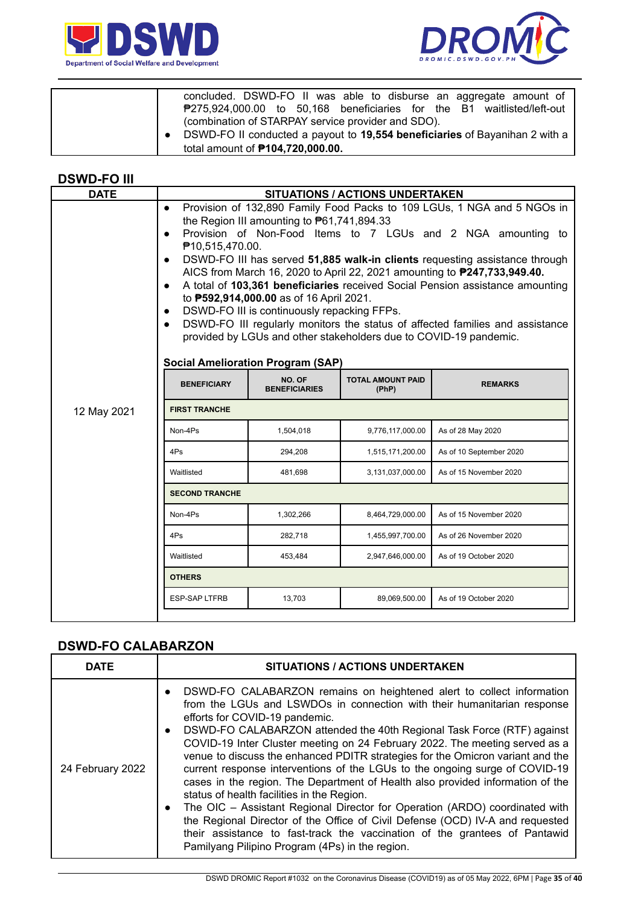



| concluded. DSWD-FO II was able to disburse an aggregate amount of<br>₱275,924,000.00 to 50,168 beneficiaries for the B1 waitlisted/left-out                                  |
|------------------------------------------------------------------------------------------------------------------------------------------------------------------------------|
| (combination of STARPAY service provider and SDO).<br>DSWD-FO II conducted a payout to 19,554 beneficiaries of Bayanihan 2 with a<br>total amount of <b>P104,720,000.00.</b> |

#### **DSWD-FO III**

| $\bullet$<br>$\bullet$<br>$\bullet$<br>$\bullet$<br>$\bullet$<br>$\bullet$ |                                |                                   |                                                                                                                                                                                                                                                                                                                                                                                                                                                                                                                                                                                                                                                                                                                                                                                         |
|----------------------------------------------------------------------------|--------------------------------|-----------------------------------|-----------------------------------------------------------------------------------------------------------------------------------------------------------------------------------------------------------------------------------------------------------------------------------------------------------------------------------------------------------------------------------------------------------------------------------------------------------------------------------------------------------------------------------------------------------------------------------------------------------------------------------------------------------------------------------------------------------------------------------------------------------------------------------------|
| <b>BENEFICIARY</b>                                                         | NO. OF<br><b>BENEFICIARIES</b> | <b>TOTAL AMOUNT PAID</b><br>(PhP) | <b>REMARKS</b>                                                                                                                                                                                                                                                                                                                                                                                                                                                                                                                                                                                                                                                                                                                                                                          |
| <b>FIRST TRANCHE</b>                                                       |                                |                                   |                                                                                                                                                                                                                                                                                                                                                                                                                                                                                                                                                                                                                                                                                                                                                                                         |
| Non-4Ps                                                                    | 1,504,018                      | 9,776,117,000.00                  | As of 28 May 2020                                                                                                                                                                                                                                                                                                                                                                                                                                                                                                                                                                                                                                                                                                                                                                       |
| 4Ps                                                                        | 294,208                        | 1,515,171,200.00                  | As of 10 September 2020                                                                                                                                                                                                                                                                                                                                                                                                                                                                                                                                                                                                                                                                                                                                                                 |
| Waitlisted                                                                 | 481,698                        | 3,131,037,000.00                  | As of 15 November 2020                                                                                                                                                                                                                                                                                                                                                                                                                                                                                                                                                                                                                                                                                                                                                                  |
| <b>SECOND TRANCHE</b>                                                      |                                |                                   |                                                                                                                                                                                                                                                                                                                                                                                                                                                                                                                                                                                                                                                                                                                                                                                         |
| Non-4Ps                                                                    | 1,302,266                      | 8,464,729,000.00                  | As of 15 November 2020                                                                                                                                                                                                                                                                                                                                                                                                                                                                                                                                                                                                                                                                                                                                                                  |
| 4Ps                                                                        | 282.718                        | 1,455,997,700.00                  | As of 26 November 2020                                                                                                                                                                                                                                                                                                                                                                                                                                                                                                                                                                                                                                                                                                                                                                  |
| Waitlisted                                                                 | 453,484                        | 2,947,646,000.00                  | As of 19 October 2020                                                                                                                                                                                                                                                                                                                                                                                                                                                                                                                                                                                                                                                                                                                                                                   |
| <b>OTHERS</b>                                                              |                                |                                   |                                                                                                                                                                                                                                                                                                                                                                                                                                                                                                                                                                                                                                                                                                                                                                                         |
| <b>ESP-SAP LTFRB</b>                                                       | 13,703                         | 89,069,500.00                     | As of 19 October 2020                                                                                                                                                                                                                                                                                                                                                                                                                                                                                                                                                                                                                                                                                                                                                                   |
|                                                                            |                                | ₱10,515,470.00.                   | <b>SITUATIONS / ACTIONS UNDERTAKEN</b><br>Provision of 132,890 Family Food Packs to 109 LGUs, 1 NGA and 5 NGOs in<br>the Region III amounting to $P61,741,894.33$<br>Provision of Non-Food Items to 7 LGUs and 2 NGA amounting to<br>DSWD-FO III has served 51,885 walk-in clients requesting assistance through<br>AICS from March 16, 2020 to April 22, 2021 amounting to <b>P247,733,949.40.</b><br>A total of 103,361 beneficiaries received Social Pension assistance amounting<br>to <b>P592,914,000.00</b> as of 16 April 2021.<br>DSWD-FO III is continuously repacking FFPs.<br>DSWD-FO III regularly monitors the status of affected families and assistance<br>provided by LGUs and other stakeholders due to COVID-19 pandemic.<br><b>Social Amelioration Program (SAP)</b> |

## **DSWD-FO CALABARZON**

| <b>DATE</b>      | <b>SITUATIONS / ACTIONS UNDERTAKEN</b>                                                                                                                                                                                                                                                                                                                                                                                                                                                                                                                                                                                                                                                                                                                                                                                                                                                                                                                                               |
|------------------|--------------------------------------------------------------------------------------------------------------------------------------------------------------------------------------------------------------------------------------------------------------------------------------------------------------------------------------------------------------------------------------------------------------------------------------------------------------------------------------------------------------------------------------------------------------------------------------------------------------------------------------------------------------------------------------------------------------------------------------------------------------------------------------------------------------------------------------------------------------------------------------------------------------------------------------------------------------------------------------|
| 24 February 2022 | DSWD-FO CALABARZON remains on heightened alert to collect information<br>$\bullet$<br>from the LGUs and LSWDOs in connection with their humanitarian response<br>efforts for COVID-19 pandemic.<br>DSWD-FO CALABARZON attended the 40th Regional Task Force (RTF) against<br>$\bullet$<br>COVID-19 Inter Cluster meeting on 24 February 2022. The meeting served as a<br>venue to discuss the enhanced PDITR strategies for the Omicron variant and the<br>current response interventions of the LGUs to the ongoing surge of COVID-19<br>cases in the region. The Department of Health also provided information of the<br>status of health facilities in the Region.<br>The OIC - Assistant Regional Director for Operation (ARDO) coordinated with<br>$\bullet$<br>the Regional Director of the Office of Civil Defense (OCD) IV-A and requested<br>their assistance to fast-track the vaccination of the grantees of Pantawid<br>Pamilyang Pilipino Program (4Ps) in the region. |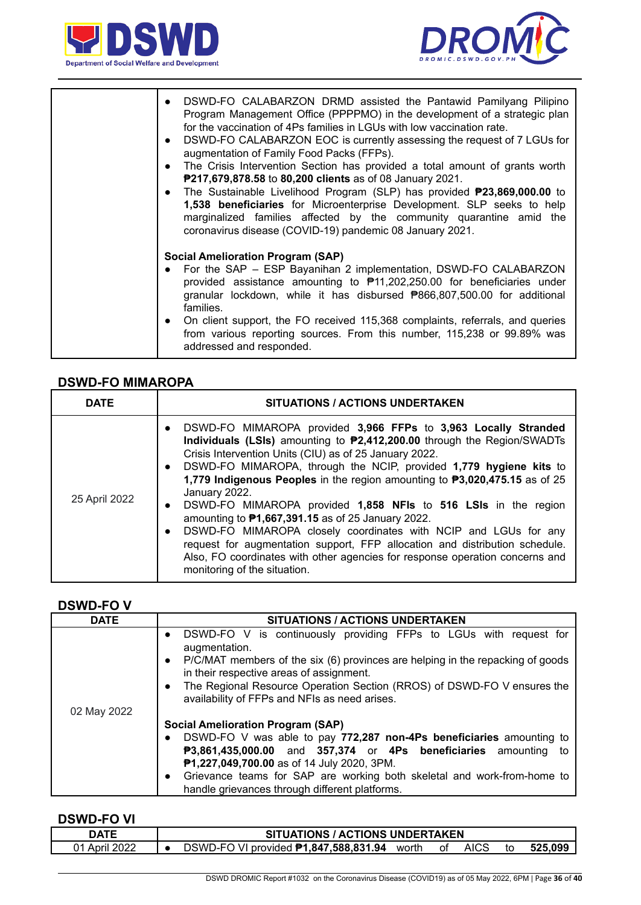



| DSWD-FO CALABARZON DRMD assisted the Pantawid Pamilyang Pilipino<br>$\bullet$<br>Program Management Office (PPPPMO) in the development of a strategic plan<br>for the vaccination of 4Ps families in LGUs with low vaccination rate.<br>DSWD-FO CALABARZON EOC is currently assessing the request of 7 LGUs for<br>$\bullet$<br>augmentation of Family Food Packs (FFPs).<br>The Crisis Intervention Section has provided a total amount of grants worth<br>$\bullet$<br>P217,679,878.58 to 80,200 clients as of 08 January 2021.<br>The Sustainable Livelihood Program (SLP) has provided <b>P23,869,000.00</b> to<br>$\bullet$<br>1,538 beneficiaries for Microenterprise Development. SLP seeks to help<br>marginalized families affected by the community quarantine amid the<br>coronavirus disease (COVID-19) pandemic 08 January 2021. |
|-----------------------------------------------------------------------------------------------------------------------------------------------------------------------------------------------------------------------------------------------------------------------------------------------------------------------------------------------------------------------------------------------------------------------------------------------------------------------------------------------------------------------------------------------------------------------------------------------------------------------------------------------------------------------------------------------------------------------------------------------------------------------------------------------------------------------------------------------|
| <b>Social Amelioration Program (SAP)</b><br>For the SAP - ESP Bayanihan 2 implementation, DSWD-FO CALABARZON<br>provided assistance amounting to \#11,202,250.00 for beneficiaries under<br>granular lockdown, while it has disbursed <b>P866,807,500.00</b> for additional<br>families.<br>• On client support, the FO received 115,368 complaints, referrals, and queries<br>from various reporting sources. From this number, 115,238 or 99.89% was<br>addressed and responded.                                                                                                                                                                                                                                                                                                                                                            |

### **DSWD-FO MIMAROPA**

| <b>DATE</b>   | <b>SITUATIONS / ACTIONS UNDERTAKEN</b>                                                                                                                                                                                                                                                                                                                                                                                                                                                                                                                                                                                                                                                                                                                                                                                         |
|---------------|--------------------------------------------------------------------------------------------------------------------------------------------------------------------------------------------------------------------------------------------------------------------------------------------------------------------------------------------------------------------------------------------------------------------------------------------------------------------------------------------------------------------------------------------------------------------------------------------------------------------------------------------------------------------------------------------------------------------------------------------------------------------------------------------------------------------------------|
| 25 April 2022 | DSWD-FO MIMAROPA provided 3,966 FFPs to 3,963 Locally Stranded<br>$\bullet$<br>Individuals (LSIs) amounting to <b>P2,412,200.00</b> through the Region/SWADTs<br>Crisis Intervention Units (CIU) as of 25 January 2022.<br>DSWD-FO MIMAROPA, through the NCIP, provided 1,779 hygiene kits to<br>$\bullet$<br>1,779 Indigenous Peoples in the region amounting to P3,020,475.15 as of 25<br>January 2022.<br>DSWD-FO MIMAROPA provided 1,858 NFIs to 516 LSIs in the region<br>$\bullet$<br>amounting to $P1,667,391.15$ as of 25 January 2022.<br>DSWD-FO MIMAROPA closely coordinates with NCIP and LGUs for any<br>$\bullet$<br>request for augmentation support, FFP allocation and distribution schedule.<br>Also, FO coordinates with other agencies for response operation concerns and<br>monitoring of the situation. |

### **DSWD-FO V**

| <b>DATE</b> | <b>SITUATIONS / ACTIONS UNDERTAKEN</b>                                                                                                  |
|-------------|-----------------------------------------------------------------------------------------------------------------------------------------|
|             | DSWD-FO V is continuously providing FFPs to LGUs with request for<br>$\bullet$<br>augmentation.                                         |
|             | P/C/MAT members of the six (6) provinces are helping in the repacking of goods<br>$\bullet$<br>in their respective areas of assignment. |
|             | The Regional Resource Operation Section (RROS) of DSWD-FO V ensures the<br>$\bullet$<br>availability of FFPs and NFIs as need arises.   |
| 02 May 2022 |                                                                                                                                         |
|             | <b>Social Amelioration Program (SAP)</b>                                                                                                |
|             | DSWD-FO V was able to pay 772,287 non-4Ps beneficiaries amounting to                                                                    |
|             | P3,861,435,000.00 and 357,374 or 4Ps beneficiaries amounting to                                                                         |
|             | P1,227,049,700.00 as of 14 July 2020, 3PM.                                                                                              |
|             | Grievance teams for SAP are working both skeletal and work-from-home to<br>$\bullet$                                                    |
|             | handle grievances through different platforms.                                                                                          |

### **DSWD-FO VI**

| NATF            | <b>UATIONS / ACTIONS UNDERTAKEN</b>                                             |      |
|-----------------|---------------------------------------------------------------------------------|------|
| ימ∩מ<br>April 2 | <b>AICS</b><br>O VI provided <b>₱1,847,588,831.94</b><br>DSWD-FC<br>worth<br>οt | .099 |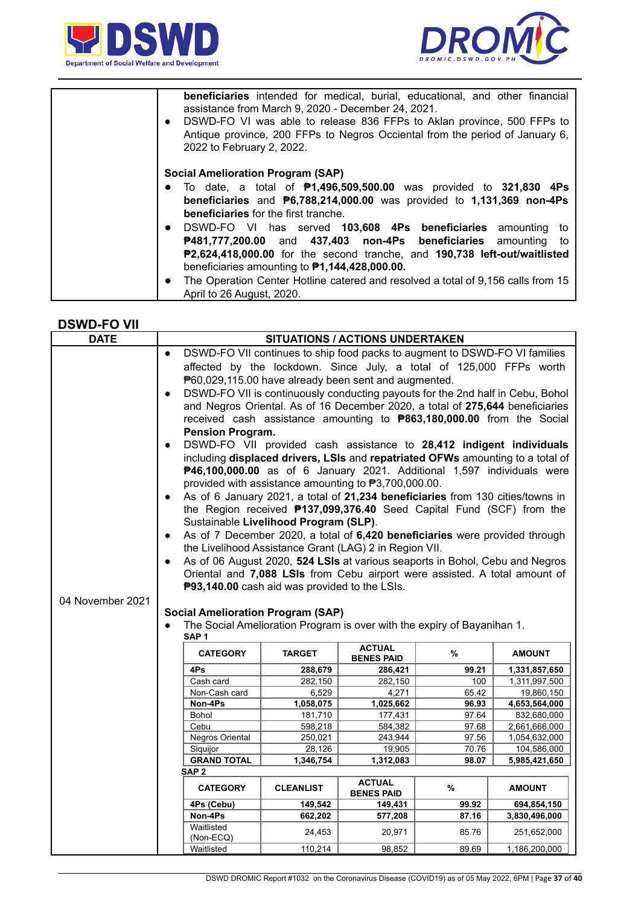



| <b>beneficiaries</b> intended for medical, burial, educational, and other financial<br>assistance from March 9, 2020 - December 24, 2021.<br>DSWD-FO VI was able to release 836 FFPs to Aklan province, 500 FFPs to<br>$\bullet$<br>Antique province, 200 FFPs to Negros Occiental from the period of January 6,<br>2022 to February 2, 2022.                                                      |
|----------------------------------------------------------------------------------------------------------------------------------------------------------------------------------------------------------------------------------------------------------------------------------------------------------------------------------------------------------------------------------------------------|
| <b>Social Amelioration Program (SAP)</b><br>• To date, a total of $P1,496,509,500.00$ was provided to 321,830 4Ps<br>beneficiaries and $P6,788,214,000.00$ was provided to 1,131,369 non-4Ps<br><b>beneficiaries</b> for the first tranche.                                                                                                                                                        |
| • DSWD-FO VI has served 103,608 4Ps beneficiaries amounting to<br>P481,777,200.00 and 437,403 non-4Ps beneficiaries amounting<br>to<br>P2,624,418,000.00 for the second tranche, and 190,738 left-out/waitlisted<br>beneficiaries amounting to $P1,144,428,000.00$ .<br>The Operation Center Hotline catered and resolved a total of 9,156 calls from 15<br>$\bullet$<br>April to 26 August, 2020. |

#### **DSWD-FO VII**

| <b>DATE</b>      | <b>SITUATIONS / ACTIONS UNDERTAKEN</b>               |                                                                                |                              |                |                                |
|------------------|------------------------------------------------------|--------------------------------------------------------------------------------|------------------------------|----------------|--------------------------------|
|                  | $\bullet$                                            | DSWD-FO VII continues to ship food packs to augment to DSWD-FO VI families     |                              |                |                                |
|                  |                                                      | affected by the lockdown. Since July, a total of 125,000 FFPs worth            |                              |                |                                |
|                  | P60,029,115.00 have already been sent and augmented. |                                                                                |                              |                |                                |
|                  | $\bullet$                                            | DSWD-FO VII is continuously conducting payouts for the 2nd half in Cebu, Bohol |                              |                |                                |
|                  |                                                      | and Negros Oriental. As of 16 December 2020, a total of 275,644 beneficiaries  |                              |                |                                |
|                  |                                                      | received cash assistance amounting to <b>P863,180,000.00</b> from the Social   |                              |                |                                |
|                  | <b>Pension Program.</b>                              |                                                                                |                              |                |                                |
|                  | $\bullet$                                            | DSWD-FO VII provided cash assistance to 28,412 indigent individuals            |                              |                |                                |
|                  |                                                      | including displaced drivers, LSIs and repatriated OFWs amounting to a total of |                              |                |                                |
|                  |                                                      | P46,100,000.00 as of 6 January 2021. Additional 1,597 individuals were         |                              |                |                                |
|                  |                                                      | provided with assistance amounting to P3,700,000.00.                           |                              |                |                                |
|                  | $\bullet$                                            | As of 6 January 2021, a total of 21,234 beneficiaries from 130 cities/towns in |                              |                |                                |
|                  |                                                      | the Region received <b>P137,099,376.40</b> Seed Capital Fund (SCF) from the    |                              |                |                                |
|                  |                                                      | Sustainable Livelihood Program (SLP).                                          |                              |                |                                |
|                  | $\bullet$                                            | As of 7 December 2020, a total of 6,420 beneficiaries were provided through    |                              |                |                                |
|                  |                                                      | the Livelihood Assistance Grant (LAG) 2 in Region VII.                         |                              |                |                                |
|                  |                                                      | As of 06 August 2020, 524 LSIs at various seaports in Bohol, Cebu and Negros   |                              |                |                                |
|                  |                                                      | Oriental and 7,088 LSIs from Cebu airport were assisted. A total amount of     |                              |                |                                |
|                  |                                                      | P93,140.00 cash aid was provided to the LSIs.                                  |                              |                |                                |
| 04 November 2021 |                                                      |                                                                                |                              |                |                                |
|                  | <b>Social Amelioration Program (SAP)</b>             |                                                                                |                              |                |                                |
|                  |                                                      |                                                                                |                              |                |                                |
|                  |                                                      | The Social Amelioration Program is over with the expiry of Bayanihan 1.        |                              |                |                                |
|                  | SAP <sub>1</sub>                                     |                                                                                |                              |                |                                |
|                  | <b>CATEGORY</b>                                      | <b>TARGET</b>                                                                  | <b>ACTUAL</b>                | %              | <b>AMOUNT</b>                  |
|                  | 4Ps                                                  | 288,679                                                                        | <b>BENES PAID</b><br>286,421 | 99.21          |                                |
|                  | Cash card                                            | 282,150                                                                        | 282,150                      | 100            | 1,331,857,650<br>1,311,997,500 |
|                  | Non-Cash card                                        | 6,529                                                                          | 4,271                        | 65.42          | 19,860,150                     |
|                  | Non-4Ps                                              | 1,058,075                                                                      | 1,025,662                    | 96.93          | 4,653,564,000                  |
|                  | Bohol                                                | 181,710                                                                        | 177,431                      | 97.64          | 832,680,000                    |
|                  | Cebu                                                 | 598,218                                                                        | 584,382                      | 97.68          | 2,661,666,000                  |
|                  | Negros Oriental                                      | 250,021                                                                        | 243,944                      | 97.56          | 1,054,632,000                  |
|                  | Siquijor                                             | 28,126                                                                         | 19,905                       | 70.76          | 104,586,000                    |
|                  | <b>GRAND TOTAL</b><br>SAP <sub>2</sub>               | 1,346,754                                                                      | 1,312,083                    | 98.07          | 5,985,421,650                  |
|                  | <b>CATEGORY</b>                                      | <b>CLEANLIST</b>                                                               | <b>ACTUAL</b>                | %              | <b>AMOUNT</b>                  |
|                  |                                                      |                                                                                | <b>BENES PAID</b>            |                |                                |
|                  | 4Ps (Cebu)<br>Non-4Ps                                | 149,542<br>662,202                                                             | 149,431<br>577,208           | 99.92<br>87.16 | 694,854,150<br>3,830,496,000   |
|                  | Waitlisted<br>(Non-ECQ)                              | 24,453                                                                         | 20,971                       | 85.76          | 251,652,000                    |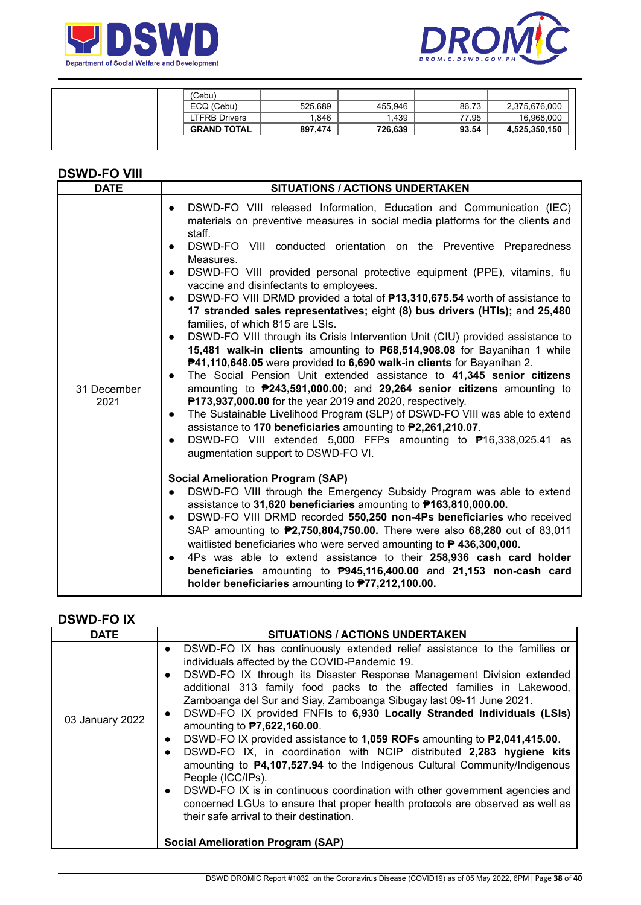



| (Cebu)             |         |         |       |               |
|--------------------|---------|---------|-------|---------------|
| ECQ (Cebu)         | 525,689 | 455.946 | 86.73 | 2,375,676,000 |
| LTFRB Drivers      | .846    | .439    | 77.95 | 16.968.000    |
| <b>GRAND TOTAL</b> | 897.474 | 726.639 | 93.54 | 4,525,350,150 |
|                    |         |         |       |               |

### **DSWD-FO VIII**

# **DSWD-FO IX**

| <b>DATE</b>     | SITUATIONS / ACTIONS UNDERTAKEN                                                                                                                                                                                                                                                                                                                                                                                                                                                                                                                                                                                                                                                                                                                                                                                                                                                                                                                                                                                                                                                   |
|-----------------|-----------------------------------------------------------------------------------------------------------------------------------------------------------------------------------------------------------------------------------------------------------------------------------------------------------------------------------------------------------------------------------------------------------------------------------------------------------------------------------------------------------------------------------------------------------------------------------------------------------------------------------------------------------------------------------------------------------------------------------------------------------------------------------------------------------------------------------------------------------------------------------------------------------------------------------------------------------------------------------------------------------------------------------------------------------------------------------|
| 03 January 2022 | DSWD-FO IX has continuously extended relief assistance to the families or<br>$\bullet$<br>individuals affected by the COVID-Pandemic 19.<br>DSWD-FO IX through its Disaster Response Management Division extended<br>$\bullet$<br>additional 313 family food packs to the affected families in Lakewood,<br>Zamboanga del Sur and Siay, Zamboanga Sibugay last 09-11 June 2021.<br>DSWD-FO IX provided FNFIs to 6,930 Locally Stranded Individuals (LSIs)<br>$\bullet$<br>amounting to <b>P7,622,160.00</b> .<br>DSWD-FO IX provided assistance to 1,059 ROFs amounting to P2,041,415.00.<br>$\bullet$<br>DSWD-FO IX, in coordination with NCIP distributed 2,283 hygiene kits<br>$\bullet$<br>amounting to $\mathbf{P4}$ , 107, 527.94 to the Indigenous Cultural Community/Indigenous<br>People (ICC/IPs).<br>DSWD-FO IX is in continuous coordination with other government agencies and<br>$\bullet$<br>concerned LGUs to ensure that proper health protocols are observed as well as<br>their safe arrival to their destination.<br><b>Social Amelioration Program (SAP)</b> |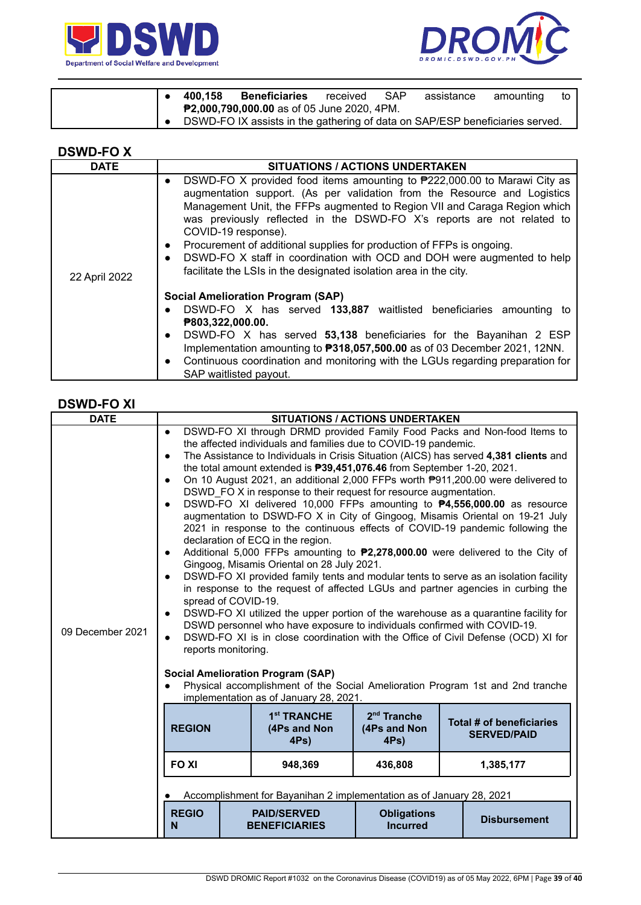



|  | 400.158 | <b>Beneficiaries</b>                                                         | received | <b>SAP</b> | assistance | amounting | to I |
|--|---------|------------------------------------------------------------------------------|----------|------------|------------|-----------|------|
|  |         | <b>P2,000,790,000.00</b> as of 05 June 2020, 4PM.                            |          |            |            |           |      |
|  |         | DSWD-FO IX assists in the gathering of data on SAP/ESP beneficiaries served. |          |            |            |           |      |

| /VD-'<br>┍<br>s.<br>− |  |
|-----------------------|--|
|-----------------------|--|

| <b>DATE</b>   | <b>SITUATIONS / ACTIONS UNDERTAKEN</b>                                                                                                                                                                                                                                                                                                                                                                                                                                                                                                                                                             |
|---------------|----------------------------------------------------------------------------------------------------------------------------------------------------------------------------------------------------------------------------------------------------------------------------------------------------------------------------------------------------------------------------------------------------------------------------------------------------------------------------------------------------------------------------------------------------------------------------------------------------|
| 22 April 2022 | DSWD-FO X provided food items amounting to ₹222,000.00 to Marawi City as<br>$\bullet$<br>augmentation support. (As per validation from the Resource and Logistics<br>Management Unit, the FFPs augmented to Region VII and Caraga Region which<br>was previously reflected in the DSWD-FO X's reports are not related to<br>COVID-19 response).<br>Procurement of additional supplies for production of FFPs is ongoing.<br>$\bullet$<br>DSWD-FO X staff in coordination with OCD and DOH were augmented to help<br>$\bullet$<br>facilitate the LSIs in the designated isolation area in the city. |
|               | <b>Social Amelioration Program (SAP)</b><br>DSWD-FO X has served 133,887 waitlisted beneficiaries amounting to<br>$\bullet$<br>P803,322,000.00.<br>DSWD-FO X has served 53,138 beneficiaries for the Bayanihan 2 ESP<br>$\bullet$<br>Implementation amounting to <b>P318,057,500.00</b> as of 03 December 2021, 12NN.<br>Continuous coordination and monitoring with the LGUs regarding preparation for<br>$\bullet$<br>SAP waitlisted payout.                                                                                                                                                     |

# **DSWD-FO XI**

| <b>DATE</b>      |                                                                                                                                                                                                                                                                                                                                                                                                                                                                                                                                                                                                                                                                                                                                                                                                                                                                                                                                                                                                                                                                                                                                                                                                                                                                                                                                                                                                                                                                                                                                                                                                                                                                               |                                                    | <b>SITUATIONS / ACTIONS UNDERTAKEN</b> |                                                |  |
|------------------|-------------------------------------------------------------------------------------------------------------------------------------------------------------------------------------------------------------------------------------------------------------------------------------------------------------------------------------------------------------------------------------------------------------------------------------------------------------------------------------------------------------------------------------------------------------------------------------------------------------------------------------------------------------------------------------------------------------------------------------------------------------------------------------------------------------------------------------------------------------------------------------------------------------------------------------------------------------------------------------------------------------------------------------------------------------------------------------------------------------------------------------------------------------------------------------------------------------------------------------------------------------------------------------------------------------------------------------------------------------------------------------------------------------------------------------------------------------------------------------------------------------------------------------------------------------------------------------------------------------------------------------------------------------------------------|----------------------------------------------------|----------------------------------------|------------------------------------------------|--|
| 09 December 2021 | DSWD-FO XI through DRMD provided Family Food Packs and Non-food Items to<br>the affected individuals and families due to COVID-19 pandemic.<br>The Assistance to Individuals in Crisis Situation (AICS) has served 4,381 clients and<br>$\bullet$<br>the total amount extended is <b>P39,451,076.46</b> from September 1-20, 2021.<br>On 10 August 2021, an additional 2,000 FFPs worth P911,200.00 were delivered to<br>$\bullet$<br>DSWD FO X in response to their request for resource augmentation.<br>DSWD-FO XI delivered 10,000 FFPs amounting to <b>P4,556,000.00</b> as resource<br>$\bullet$<br>augmentation to DSWD-FO X in City of Gingoog, Misamis Oriental on 19-21 July<br>2021 in response to the continuous effects of COVID-19 pandemic following the<br>declaration of ECQ in the region.<br>Additional 5,000 FFPs amounting to <b>P2,278,000.00</b> were delivered to the City of<br>$\bullet$<br>Gingoog, Misamis Oriental on 28 July 2021.<br>DSWD-FO XI provided family tents and modular tents to serve as an isolation facility<br>$\bullet$<br>in response to the request of affected LGUs and partner agencies in curbing the<br>spread of COVID-19.<br>DSWD-FO XI utilized the upper portion of the warehouse as a quarantine facility for<br>$\bullet$<br>DSWD personnel who have exposure to individuals confirmed with COVID-19.<br>DSWD-FO XI is in close coordination with the Office of Civil Defense (OCD) XI for<br>$\bullet$<br>reports monitoring.<br><b>Social Amelioration Program (SAP)</b><br>Physical accomplishment of the Social Amelioration Program 1st and 2nd tranche<br>$\bullet$<br>implementation as of January 28, 2021. |                                                    |                                        |                                                |  |
|                  | <b>REGION</b>                                                                                                                                                                                                                                                                                                                                                                                                                                                                                                                                                                                                                                                                                                                                                                                                                                                                                                                                                                                                                                                                                                                                                                                                                                                                                                                                                                                                                                                                                                                                                                                                                                                                 | 1 <sup>st</sup> TRANCHE<br>(4Ps and Non<br>$4Ps$ ) | $2nd$ Tranche<br>(4Ps and Non<br>4Ps)  | Total # of beneficiaries<br><b>SERVED/PAID</b> |  |
|                  | <b>FOXI</b>                                                                                                                                                                                                                                                                                                                                                                                                                                                                                                                                                                                                                                                                                                                                                                                                                                                                                                                                                                                                                                                                                                                                                                                                                                                                                                                                                                                                                                                                                                                                                                                                                                                                   | 948,369                                            | 436,808                                | 1,385,177                                      |  |
|                  | Accomplishment for Bayanihan 2 implementation as of January 28, 2021                                                                                                                                                                                                                                                                                                                                                                                                                                                                                                                                                                                                                                                                                                                                                                                                                                                                                                                                                                                                                                                                                                                                                                                                                                                                                                                                                                                                                                                                                                                                                                                                          |                                                    |                                        |                                                |  |
|                  | <b>REGIO</b><br>N                                                                                                                                                                                                                                                                                                                                                                                                                                                                                                                                                                                                                                                                                                                                                                                                                                                                                                                                                                                                                                                                                                                                                                                                                                                                                                                                                                                                                                                                                                                                                                                                                                                             | <b>PAID/SERVED</b><br><b>BENEFICIARIES</b>         | <b>Obligations</b><br><b>Incurred</b>  | <b>Disbursement</b>                            |  |